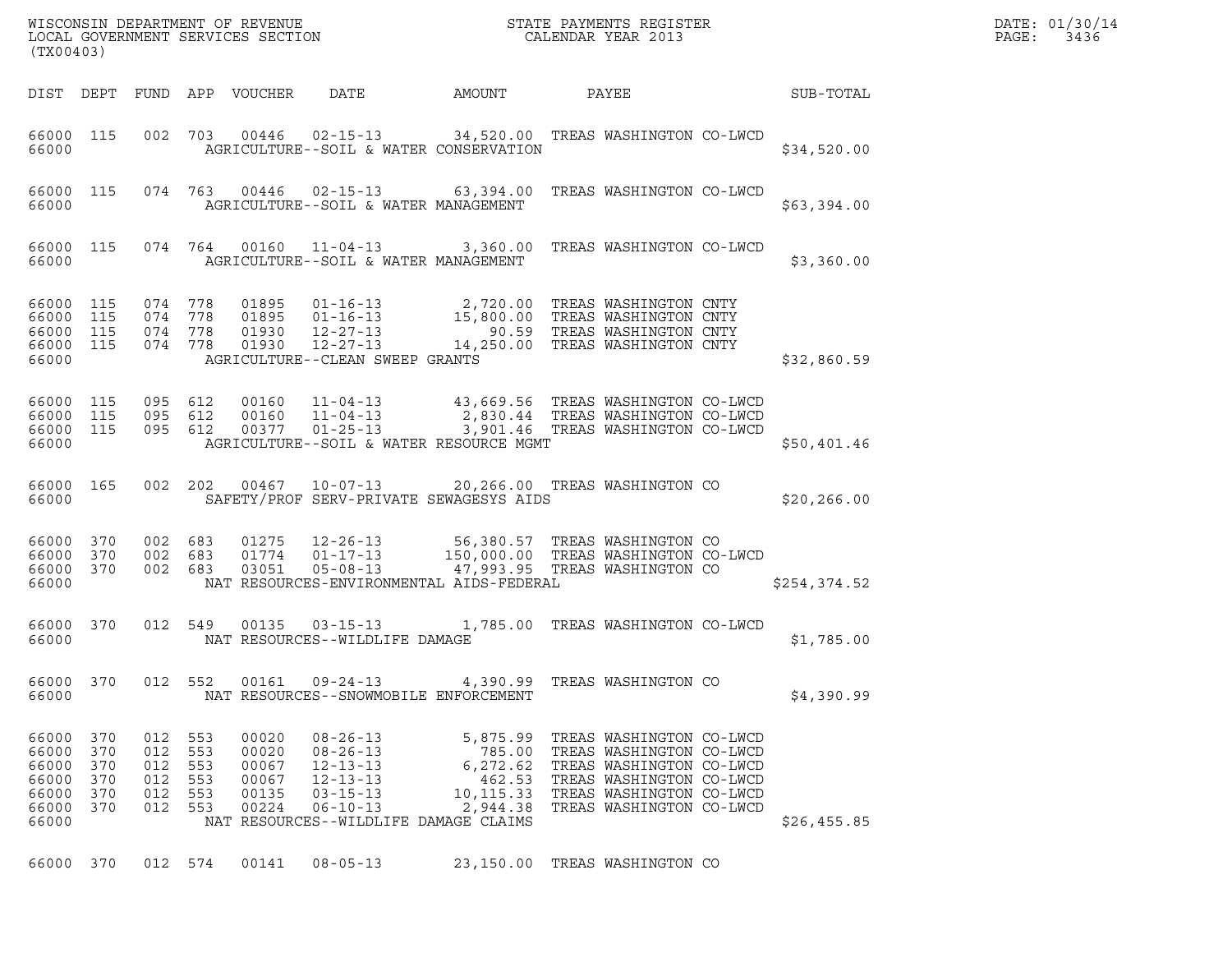| (TX00403)                                                   |                                        |                                            |                                 |                                                    |                                                                                                                                                                                                                              |                                                                               |  |                                                                                                                                                                      |  |              | DATE: 01/30/14<br>PAGE:<br>3436 |
|-------------------------------------------------------------|----------------------------------------|--------------------------------------------|---------------------------------|----------------------------------------------------|------------------------------------------------------------------------------------------------------------------------------------------------------------------------------------------------------------------------------|-------------------------------------------------------------------------------|--|----------------------------------------------------------------------------------------------------------------------------------------------------------------------|--|--------------|---------------------------------|
|                                                             |                                        |                                            |                                 | DIST DEPT FUND APP VOUCHER                         | DATE                                                                                                                                                                                                                         | AMOUNT                                                                        |  | PAYEE                                                                                                                                                                |  | SUB-TOTAL    |                                 |
| 66000 115<br>66000                                          |                                        |                                            |                                 |                                                    | 002 703 00446 02-15-13 34,520.00 TREAS WASHINGTON CO-LWCD<br>AGRICULTURE--SOIL & WATER CONSERVATION                                                                                                                          |                                                                               |  |                                                                                                                                                                      |  | \$34,520.00  |                                 |
| 66000                                                       | 66000 115                              |                                            |                                 |                                                    | 074 763 00446 02-15-13 63,394.00 TREAS WASHINGTON CO-LWCD<br>AGRICULTURE--SOIL & WATER MANAGEMENT                                                                                                                            |                                                                               |  |                                                                                                                                                                      |  | \$63,394.00  |                                 |
| 66000                                                       | 66000 115                              |                                            |                                 |                                                    | 074  764  00160  11-04-13  3,360.00  TREAS WASHINGTON CO-LWCD<br>AGRICULTURE--SOIL & WATER MANAGEMENT                                                                                                                        |                                                                               |  |                                                                                                                                                                      |  | \$3,360.00   |                                 |
| 66000 115<br>66000<br>66000 115<br>66000 115<br>66000       | 115                                    | 074 778<br>074 778<br>074 778<br>074 778   |                                 | 01930                                              | 01895  01-16-13  2,720.00 TREAS WASHINGTON CNTY<br>01895  01-16-13  15,800.00 TREAS WASHINGTON CNTY<br>01930  12-27-13  90.59 TREAS WASHINGTON CNTY<br>$12 - 27 - 13$<br>AGRICULTURE--CLEAN SWEEP GRANTS                     |                                                                               |  | 14,250.00 TREAS WASHINGTON CNTY                                                                                                                                      |  | \$32,860.59  |                                 |
| 66000 115<br>66000 115<br>66000 115<br>66000                |                                        | 095 612<br>095 612<br>095 612              |                                 |                                                    | 00160   11-04-13   43,669.56   TREAS   WASHINGTON CO-LWCD<br>00160   11-04-13   2,830.44   TREAS   WASHINGTON CO-LWCD<br>00377   01-25-13   3,901.46   TREAS   WASHINGTON CO-LWCD<br>AGRICULTURE--SOIL & WATER RESOURCE MGMT |                                                                               |  |                                                                                                                                                                      |  | \$50,401.46  |                                 |
| 66000 165<br>66000                                          |                                        | 002 202                                    |                                 |                                                    | 00467  10-07-13  20,266.00 TREAS WASHINGTON CO<br>SAFETY/PROF SERV-PRIVATE SEWAGESYS AIDS                                                                                                                                    |                                                                               |  |                                                                                                                                                                      |  | \$20, 266.00 |                                 |
| 66000 370<br>66000 370<br>66000 370<br>66000                |                                        | 002 683<br>002 683<br>002 683              |                                 | 03051                                              | 01275   12-26-13   56,380.57   TREAS WASHINGTON CO   01774   01-17-13   150,000.00   TREAS WASHINGTON CO-<br>NAT RESOURCES-ENVIRONMENTAL AIDS-FEDERAL                                                                        | 150,000.00 TREAS WASHINGTON CO-LWCD<br>05-08-13 47,993.95 TREAS WASHINGTON CO |  |                                                                                                                                                                      |  | \$254,374.52 |                                 |
| 66000 370<br>66000                                          |                                        | 012 549                                    |                                 |                                                    | 00135  03-15-13  1,785.00 TREAS WASHINGTON CO-LWCD<br>NAT RESOURCES--WILDLIFE DAMAGE                                                                                                                                         |                                                                               |  |                                                                                                                                                                      |  | \$1,785.00   |                                 |
| 66000<br>66000                                              | 370                                    | 012                                        | 552                             | 00161                                              | $09 - 24 - 13$<br>NAT RESOURCES--SNOWMOBILE ENFORCEMENT                                                                                                                                                                      | 4,390.99                                                                      |  | TREAS WASHINGTON CO                                                                                                                                                  |  | \$4,390.99   |                                 |
| 66000<br>66000<br>66000<br>66000<br>66000<br>66000<br>66000 | 370<br>370<br>370<br>370<br>370<br>370 | 012<br>012<br>012<br>012<br>012<br>012 553 | 553<br>553<br>553<br>553<br>553 | 00020<br>00020<br>00067<br>00067<br>00135<br>00224 | $08 - 26 - 13$<br>$08 - 26 - 13$<br>$12 - 13 - 13$<br>$12 - 13 - 13$<br>$03 - 15 - 13$<br>$06 - 10 - 13$<br>NAT RESOURCES--WILDLIFE DAMAGE CLAIMS                                                                            | 5,875.99<br>785.00<br>6,272.62<br>462.53<br>10,115.33<br>2,944.38             |  | TREAS WASHINGTON CO-LWCD<br>TREAS WASHINGTON CO-LWCD<br>TREAS WASHINGTON CO-LWCD<br>TREAS WASHINGTON CO-LWCD<br>TREAS WASHINGTON CO-LWCD<br>TREAS WASHINGTON CO-LWCD |  | \$26,455.85  |                                 |
| 66000 370                                                   |                                        | 012 574                                    |                                 | 00141                                              | $08 - 05 - 13$                                                                                                                                                                                                               |                                                                               |  | 23,150.00 TREAS WASHINGTON CO                                                                                                                                        |  |              |                                 |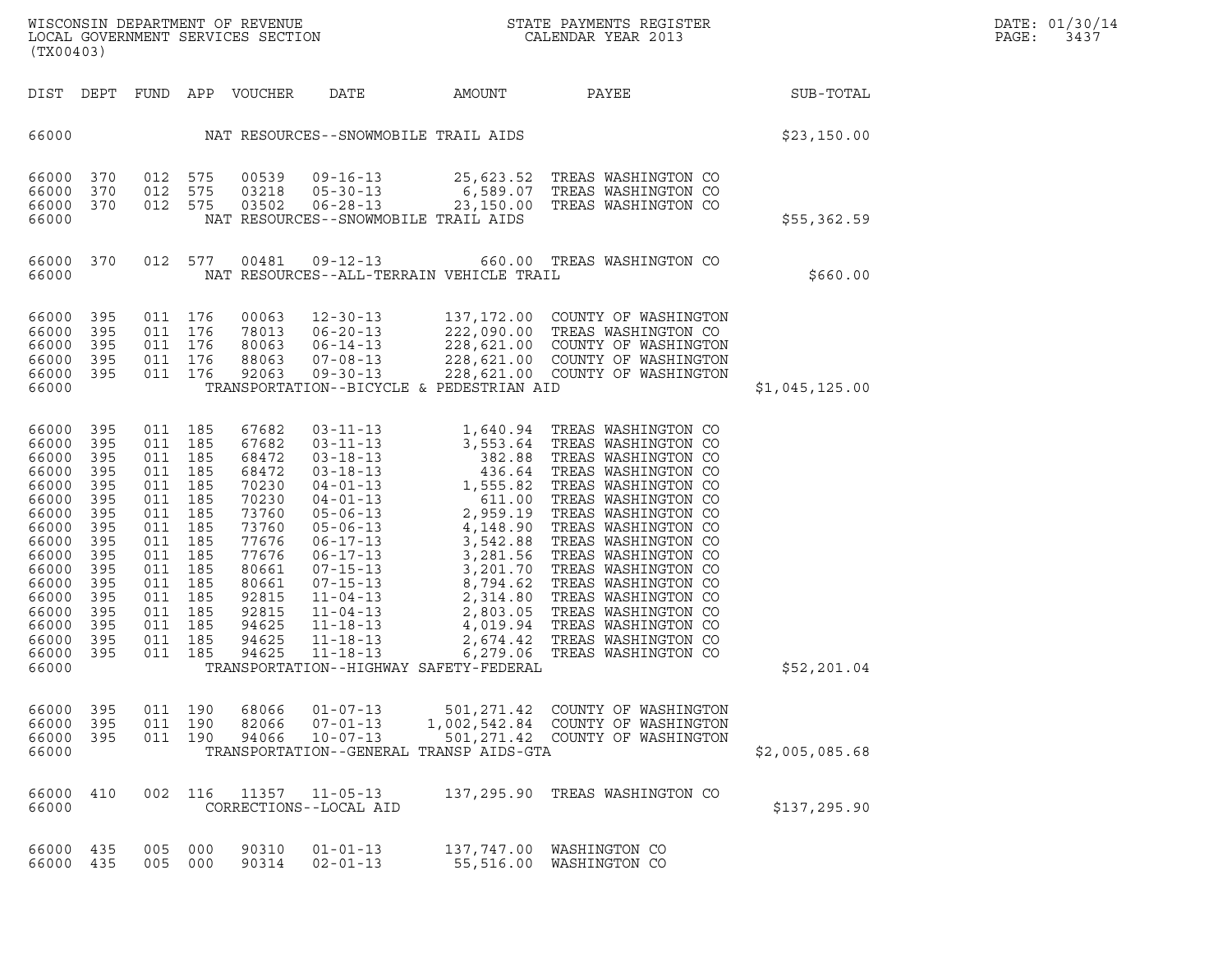| WISCONSIN DEPARTMENT OF REVENUE<br>LOCAL GOVERNMENT SERVICES SECTION<br>(TX00403) | STATE PAYMENTS REGISTER<br>CALENDAR YEAR 2013 | DATE: 01/30/14<br>PAGE:<br>3437 |
|-----------------------------------------------------------------------------------|-----------------------------------------------|---------------------------------|

| (TX00403)                                                                                                           |                                                                                                                     |                                                                                                                     |                                                                                                                                                       |                                                                                                                                                                                                                                                                                                                |                        |                                                                                          |                                                                                                                                                                                                                                                                                                                                                                                                                                                                                                                                                                                                                                                                                                                                                                                                                                                                                                                                                                                                             |
|---------------------------------------------------------------------------------------------------------------------|---------------------------------------------------------------------------------------------------------------------|---------------------------------------------------------------------------------------------------------------------|-------------------------------------------------------------------------------------------------------------------------------------------------------|----------------------------------------------------------------------------------------------------------------------------------------------------------------------------------------------------------------------------------------------------------------------------------------------------------------|------------------------|------------------------------------------------------------------------------------------|-------------------------------------------------------------------------------------------------------------------------------------------------------------------------------------------------------------------------------------------------------------------------------------------------------------------------------------------------------------------------------------------------------------------------------------------------------------------------------------------------------------------------------------------------------------------------------------------------------------------------------------------------------------------------------------------------------------------------------------------------------------------------------------------------------------------------------------------------------------------------------------------------------------------------------------------------------------------------------------------------------------|
| DEPT                                                                                                                |                                                                                                                     |                                                                                                                     | <b>VOUCHER</b>                                                                                                                                        | DATE                                                                                                                                                                                                                                                                                                           | AMOUNT                 | PAYEE                                                                                    | SUB-TOTAL                                                                                                                                                                                                                                                                                                                                                                                                                                                                                                                                                                                                                                                                                                                                                                                                                                                                                                                                                                                                   |
|                                                                                                                     |                                                                                                                     |                                                                                                                     |                                                                                                                                                       |                                                                                                                                                                                                                                                                                                                |                        |                                                                                          | \$23,150.00                                                                                                                                                                                                                                                                                                                                                                                                                                                                                                                                                                                                                                                                                                                                                                                                                                                                                                                                                                                                 |
| 370<br>370<br>370                                                                                                   | 012<br>012<br>012                                                                                                   | 575<br>575<br>575                                                                                                   | 00539<br>03218<br>03502                                                                                                                               | $09 - 16 - 13$<br>$05 - 30 - 13$<br>$06 - 28 - 13$                                                                                                                                                                                                                                                             | 25,623.52              | TREAS WASHINGTON CO<br>TREAS WASHINGTON CO<br>TREAS WASHINGTON CO                        | \$55,362.59                                                                                                                                                                                                                                                                                                                                                                                                                                                                                                                                                                                                                                                                                                                                                                                                                                                                                                                                                                                                 |
| 370                                                                                                                 | 012                                                                                                                 | 577                                                                                                                 | 00481                                                                                                                                                 | $09 - 12 - 13$                                                                                                                                                                                                                                                                                                 |                        |                                                                                          | \$660.00                                                                                                                                                                                                                                                                                                                                                                                                                                                                                                                                                                                                                                                                                                                                                                                                                                                                                                                                                                                                    |
| 395<br>395<br>395<br>395<br>395                                                                                     | 011<br>011<br>011<br>011<br>011                                                                                     | 176<br>176<br>176<br>176<br>176                                                                                     | 00063<br>78013<br>80063<br>88063<br>92063                                                                                                             | $12 - 30 - 13$<br>$06 - 20 - 13$<br>$06 - 14 - 13$<br>$07 - 08 - 13$<br>$09 - 30 - 13$                                                                                                                                                                                                                         |                        |                                                                                          | \$1,045,125.00                                                                                                                                                                                                                                                                                                                                                                                                                                                                                                                                                                                                                                                                                                                                                                                                                                                                                                                                                                                              |
| 395<br>395<br>395<br>395<br>395<br>395<br>395<br>395<br>395<br>395<br>395<br>395<br>395<br>395<br>395<br>395<br>395 | 011<br>011<br>011<br>011<br>011<br>011<br>011<br>011<br>011<br>011<br>011<br>011<br>011<br>011<br>011<br>011<br>011 | 185<br>185<br>185<br>185<br>185<br>185<br>185<br>185<br>185<br>185<br>185<br>185<br>185<br>185<br>185<br>185<br>185 | 67682<br>67682<br>68472<br>68472<br>70230<br>70230<br>73760<br>73760<br>77676<br>77676<br>80661<br>80661<br>92815<br>92815<br>94625<br>94625<br>94625 | $03 - 11 - 13$<br>$03 - 11 - 13$<br>$03 - 18 - 13$<br>$03 - 18 - 13$<br>$04 - 01 - 13$<br>$04 - 01 - 13$<br>$05 - 06 - 13$<br>$05 - 06 - 13$<br>$06 - 17 - 13$<br>$06 - 17 - 13$<br>$07 - 15 - 13$<br>$07 - 15 - 13$<br>$11 - 04 - 13$<br>$11 - 04 - 13$<br>$11 - 18 - 13$<br>$11 - 18 - 13$<br>$11 - 18 - 13$ | 3,553.64<br>382.88     | TREAS WASHINGTON CO<br>TREAS WASHINGTON CO<br>TREAS WASHINGTON CO<br>TREAS WASHINGTON CO | \$52,201.04                                                                                                                                                                                                                                                                                                                                                                                                                                                                                                                                                                                                                                                                                                                                                                                                                                                                                                                                                                                                 |
| 395<br>395<br>395                                                                                                   | 011<br>011<br>011                                                                                                   | 190<br>190<br>190                                                                                                   | 68066<br>82066<br>94066                                                                                                                               | $01 - 07 - 13$<br>$07 - 01 - 13$<br>$10 - 07 - 13$                                                                                                                                                                                                                                                             | 501,271.42             | COUNTY OF WASHINGTON                                                                     | \$2,005,085.68                                                                                                                                                                                                                                                                                                                                                                                                                                                                                                                                                                                                                                                                                                                                                                                                                                                                                                                                                                                              |
| 410                                                                                                                 | 002                                                                                                                 | 116                                                                                                                 | 11357                                                                                                                                                 | $11 - 05 - 13$                                                                                                                                                                                                                                                                                                 |                        |                                                                                          | \$137,295.90                                                                                                                                                                                                                                                                                                                                                                                                                                                                                                                                                                                                                                                                                                                                                                                                                                                                                                                                                                                                |
| 435<br>435                                                                                                          | 005<br>005                                                                                                          | 000<br>000                                                                                                          | 90310<br>90314                                                                                                                                        | $01 - 01 - 13$<br>$02 - 01 - 13$                                                                                                                                                                                                                                                                               |                        | WASHINGTON CO                                                                            |                                                                                                                                                                                                                                                                                                                                                                                                                                                                                                                                                                                                                                                                                                                                                                                                                                                                                                                                                                                                             |
|                                                                                                                     |                                                                                                                     |                                                                                                                     | FUND APP                                                                                                                                              |                                                                                                                                                                                                                                                                                                                | CORRECTIONS--LOCAL AID | NAT RESOURCES--SNOWMOBILE TRAIL AIDS<br>NAT RESOURCES--SNOWMOBILE TRAIL AIDS             | 6,589.07<br>23,150.00<br>660.00 TREAS WASHINGTON CO<br>NAT RESOURCES--ALL-TERRAIN VEHICLE TRAIL<br>137,172.00 COUNTY OF WASHINGTON<br>222,090.00 TREAS WASHINGTON CO<br>228,621.00 COUNTY OF WASHINGTON<br>228,621.00 COUNTY OF WASHINGTON<br>228, 621.00 COUNTY OF WASHINGTON<br>TRANSPORTATION--BICYCLE & PEDESTRIAN AID<br>1,640.94<br>-1,555.82 TREAS WASHINGTON CC<br>1,555.82 TREAS WASHINGTON CC<br>611.00 TREAS WASHINGTON CO<br>2,959.19 TREAS WASHINGTON CO<br>4,148.90 TREAS WASHINGTON CO<br>3,542.88 TREAS WASHINGTON CO<br>3,281.56 TREAS WASHINGTON CO<br>3,201.70 TPEAS<br>8,794.62 TREAS WASHINGTON CO<br>2,314.80 TREAS WASHINGTON CO<br>2,803.05 TREAS WASHINGTON CO<br>4,019.94 TREAS WASHINGTON CO<br>2,674.42 TREAS WASHINGTON CO<br>6,279.06<br>TRANSPORTATION--HIGHWAY SAFETY-FEDERAL<br>501,271.42 COUNTY OF WASHINGTON<br>1,002,542.84 COUNTY OF WASHINGTON<br>TRANSPORTATION--GENERAL TRANSP AIDS-GTA<br>137,295.90 TREAS WASHINGTON CO<br>137,747.00 WASHINGTON CO<br>55,516.00 |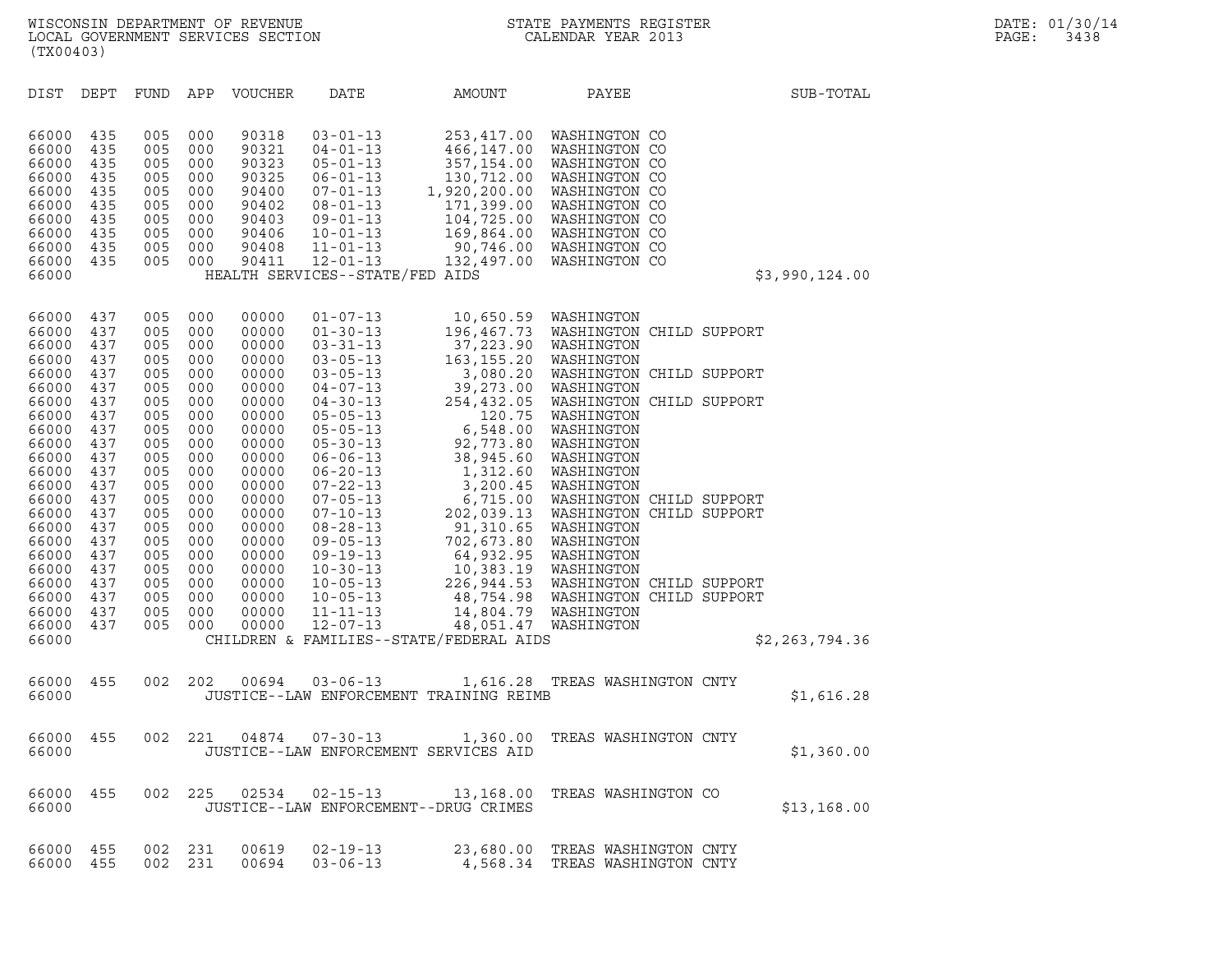| (TX00403)                                                                                                                                                                                                            |                                                                                                                                                               |                                                                                                                                                                           |                                                                                                                                          | WISCONSIN DEPARTMENT OF REVENUE<br>LOCAL GOVERNMENT SERVICES SECTION                                                                                                                                        | $\mathbf{I}$                                      |                                                                     | STATE PAYMENTS REGISTER<br>CALENDAR YEAR 2013 |                  | DATE: 01/30/14<br>PAGE:<br>3438 |
|----------------------------------------------------------------------------------------------------------------------------------------------------------------------------------------------------------------------|---------------------------------------------------------------------------------------------------------------------------------------------------------------|---------------------------------------------------------------------------------------------------------------------------------------------------------------------------|------------------------------------------------------------------------------------------------------------------------------------------|-------------------------------------------------------------------------------------------------------------------------------------------------------------------------------------------------------------|---------------------------------------------------|---------------------------------------------------------------------|-----------------------------------------------|------------------|---------------------------------|
| DIST                                                                                                                                                                                                                 |                                                                                                                                                               |                                                                                                                                                                           |                                                                                                                                          | DEPT FUND APP VOUCHER                                                                                                                                                                                       | DATE                                              | AMOUNT                                                              | PAYEE                                         | SUB-TOTAL        |                                 |
| 66000<br>66000<br>66000<br>66000<br>66000<br>66000<br>66000<br>66000<br>66000<br>66000<br>66000                                                                                                                      | 435<br>435<br>435<br>435<br>435<br>435<br>435<br>435<br>435<br>435                                                                                            | 005<br>005 000<br>005 000<br>005 000<br>005 000<br>005 000<br>005 000<br>005 000<br>005<br>005 000                                                                        | 000<br>000                                                                                                                               | 90318<br>90321<br>90323<br>90325<br>90400<br>90402<br>90403<br>90406<br>90408<br>90411                                                                                                                      | $12 - 01 - 13$<br>HEALTH SERVICES--STATE/FED AIDS | 132,497.00 WASHINGTON CO                                            |                                               | \$3,990,124.00   |                                 |
| 66000<br>66000<br>66000<br>66000<br>66000<br>66000<br>66000<br>66000<br>66000<br>66000<br>66000<br>66000<br>66000<br>66000<br>66000<br>66000<br>66000<br>66000<br>66000<br>66000<br>66000<br>66000<br>66000<br>66000 | 437<br>437<br>437<br>437<br>437<br>437<br>437<br>437<br>437<br>437<br>437<br>437<br>437<br>437<br>437<br>437<br>437<br>437<br>437<br>437<br>437<br>437<br>437 | 005 000<br>005<br>005 000<br>005<br>005<br>005<br>005<br>005<br>005<br>005<br>005<br>005<br>005<br>005<br>005<br>005<br>005<br>005<br>005<br>005<br>005<br>005<br>005 000 | 000<br>000<br>000<br>000<br>000<br>000<br>000<br>000<br>000<br>000<br>000<br>000<br>000<br>000<br>000<br>000<br>000<br>000<br>000<br>000 | 00000<br>00000<br>00000<br>00000<br>00000<br>00000<br>00000<br>00000<br>00000<br>00000<br>00000<br>00000<br>00000<br>00000<br>00000<br>00000<br>00000<br>00000<br>00000<br>00000<br>00000<br>00000<br>00000 | $12 - 07 - 13$                                    | CHILDREN & FAMILIES--STATE/FEDERAL AIDS                             |                                               | \$2, 263, 794.36 |                                 |
| 66000 455<br>66000                                                                                                                                                                                                   |                                                                                                                                                               | 002 202                                                                                                                                                                   |                                                                                                                                          | 00694                                                                                                                                                                                                       | $03 - 06 - 13$                                    | JUSTICE--LAW ENFORCEMENT TRAINING REIMB                             | 1,616.28 TREAS WASHINGTON CNTY                | \$1,616.28       |                                 |
| 66000                                                                                                                                                                                                                |                                                                                                                                                               |                                                                                                                                                                           |                                                                                                                                          |                                                                                                                                                                                                             | JUSTICE--LAW ENFORCEMENT SERVICES AID             | 66000 455 002 221 04874 07-30-13 1,360.00 TREAS WASHINGTON CNTY     |                                               | \$1,360.00       |                                 |
| 66000                                                                                                                                                                                                                | 66000 455                                                                                                                                                     |                                                                                                                                                                           |                                                                                                                                          |                                                                                                                                                                                                             | JUSTICE--LAW ENFORCEMENT--DRUG CRIMES             | 002  225  02534  02-15-13  13,168.00 TREAS WASHINGTON CO            |                                               | \$13,168.00      |                                 |
| 66000 455<br>66000 455                                                                                                                                                                                               |                                                                                                                                                               | 002 231<br>002 231                                                                                                                                                        |                                                                                                                                          |                                                                                                                                                                                                             | 00619  02-19-13<br>$00694$ $03-06-13$             | 23,680.00 TREAS WASHINGTON CNTY<br>4,568.34   TREAS WASHINGTON CNTY |                                               |                  |                                 |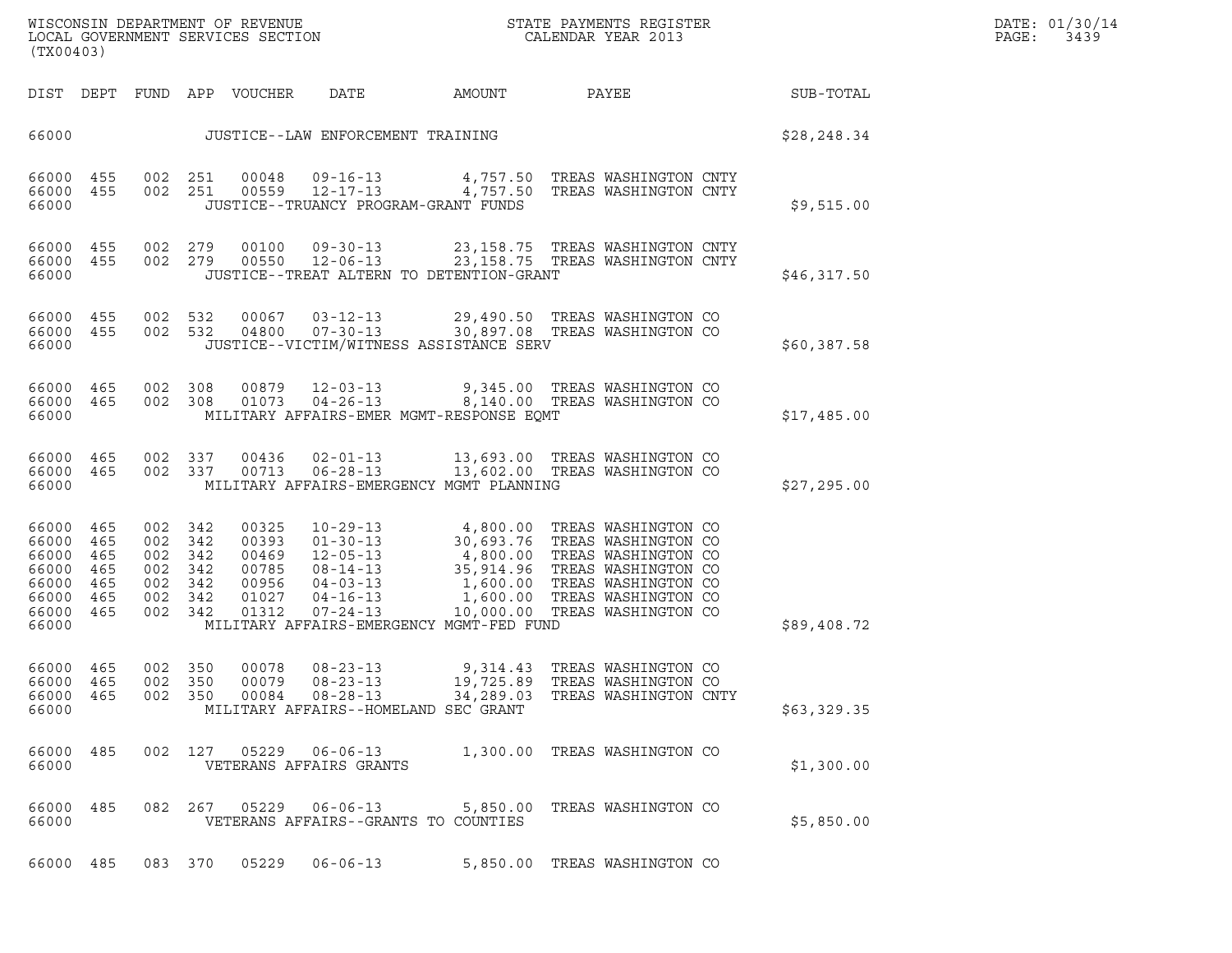| WISCONSIN DEPARTMENT OF REVENUE   | STATE PAYMENTS REGISTER | DATE: 01/30/14            |
|-----------------------------------|-------------------------|---------------------------|
| LOCAL GOVERNMENT SERVICES SECTION | CALENDAR YEAR 2013      | $\mathtt{PAGE}$ :<br>3439 |

| (TX00403)                                                            |                                               |                                               |                                               |                                                             |                                                                                                                            |                                                                                                         |                                                                                                                                                                                 |              |
|----------------------------------------------------------------------|-----------------------------------------------|-----------------------------------------------|-----------------------------------------------|-------------------------------------------------------------|----------------------------------------------------------------------------------------------------------------------------|---------------------------------------------------------------------------------------------------------|---------------------------------------------------------------------------------------------------------------------------------------------------------------------------------|--------------|
| DIST                                                                 | DEPT                                          | FUND                                          |                                               | APP VOUCHER                                                 | DATE                                                                                                                       | AMOUNT                                                                                                  | PAYEE                                                                                                                                                                           | SUB-TOTAL    |
| 66000                                                                |                                               |                                               |                                               |                                                             | JUSTICE--LAW ENFORCEMENT TRAINING                                                                                          |                                                                                                         |                                                                                                                                                                                 | \$28, 248.34 |
| 66000<br>66000<br>66000                                              | 455<br>455                                    | 002<br>002                                    | 251<br>251                                    | 00048<br>00559                                              | $09 - 16 - 13$<br>$12 - 17 - 13$                                                                                           | 4,757.50<br>4,757.50<br>JUSTICE--TRUANCY PROGRAM-GRANT FUNDS                                            | TREAS WASHINGTON CNTY<br>TREAS WASHINGTON CNTY                                                                                                                                  | \$9,515.00   |
| 66000<br>66000<br>66000                                              | 455<br>455                                    | 002<br>002                                    | 279<br>279                                    | 00100<br>00550                                              | $09 - 30 - 13$<br>$12 - 06 - 13$                                                                                           | 23, 158.75<br>JUSTICE--TREAT ALTERN TO DETENTION-GRANT                                                  | TREAS WASHINGTON CNTY<br>23,158.75 TREAS WASHINGTON CNTY                                                                                                                        | \$46,317.50  |
| 66000<br>66000<br>66000                                              | 455<br>455                                    | 002<br>002                                    | 532<br>532                                    | 00067<br>04800                                              | $03 - 12 - 13$<br>$07 - 30 - 13$                                                                                           | 29,490.50<br>30,897.08<br>JUSTICE--VICTIM/WITNESS ASSISTANCE SERV                                       | TREAS WASHINGTON CO<br>TREAS WASHINGTON CO                                                                                                                                      | \$60,387.58  |
| 66000<br>66000<br>66000                                              | 465<br>465                                    | 002<br>002                                    | 308<br>308                                    | 00879<br>01073                                              | $12 - 03 - 13$<br>$04 - 26 - 13$                                                                                           | 9,345.00<br>MILITARY AFFAIRS-EMER MGMT-RESPONSE EQMT                                                    | TREAS WASHINGTON CO<br>8,140.00 TREAS WASHINGTON CO                                                                                                                             | \$17,485.00  |
| 66000<br>66000<br>66000                                              | 465<br>465                                    | 002<br>002                                    | 337<br>337                                    | 00436<br>00713                                              | $02 - 01 - 13$<br>$06 - 28 - 13$                                                                                           | 13,602.00<br>MILITARY AFFAIRS-EMERGENCY MGMT PLANNING                                                   | 13,693.00 TREAS WASHINGTON CO<br>TREAS WASHINGTON CO                                                                                                                            | \$27, 295.00 |
| 66000<br>66000<br>66000<br>66000<br>66000<br>66000<br>66000<br>66000 | 465<br>465<br>465<br>465<br>465<br>465<br>465 | 002<br>002<br>002<br>002<br>002<br>002<br>002 | 342<br>342<br>342<br>342<br>342<br>342<br>342 | 00325<br>00393<br>00469<br>00785<br>00956<br>01027<br>01312 | $10 - 29 - 13$<br>$01 - 30 - 13$<br>$12 - 05 - 13$<br>$08 - 14 - 13$<br>$04 - 03 - 13$<br>$04 - 16 - 13$<br>$07 - 24 - 13$ | 4,800.00<br>30,693.76<br>35,914.96<br>1,600.00<br>10,000.00<br>MILITARY AFFAIRS-EMERGENCY MGMT-FED FUND | TREAS WASHINGTON CO<br>TREAS WASHINGTON CO<br>4,800.00 TREAS WASHINGTON CO<br>TREAS WASHINGTON CO<br>1,600.00 TREAS WASHINGTON CO<br>TREAS WASHINGTON CO<br>TREAS WASHINGTON CO | \$89,408.72  |
| 66000<br>66000<br>66000<br>66000                                     | 465<br>465<br>465                             | 002<br>002<br>002                             | 350<br>350<br>350                             | 00078<br>00079<br>00084                                     | $08 - 23 - 13$<br>$08 - 23 - 13$<br>$08 - 28 - 13$                                                                         | 9,314.43<br>19,725.89<br>34,289.03<br>MILITARY AFFAIRS--HOMELAND SEC GRANT                              | TREAS WASHINGTON CO<br>TREAS WASHINGTON CO<br>TREAS WASHINGTON CNTY                                                                                                             | \$63,329.35  |
| 66000<br>66000                                                       | 485                                           | 002                                           | 127                                           | 05229                                                       | $06 - 06 - 13$<br>VETERANS AFFAIRS GRANTS                                                                                  |                                                                                                         | 1,300.00 TREAS WASHINGTON CO                                                                                                                                                    | \$1,300.00   |
| 66000<br>66000                                                       | 485                                           | 082                                           | 267                                           | 05229                                                       | $06 - 06 - 13$                                                                                                             | 5,850.00<br>VETERANS AFFAIRS--GRANTS TO COUNTIES                                                        | TREAS WASHINGTON CO                                                                                                                                                             | \$5,850.00   |
| 66000                                                                | 485                                           | 083                                           | 370                                           | 05229                                                       | $06 - 06 - 13$                                                                                                             | 5,850.00                                                                                                | TREAS WASHINGTON CO                                                                                                                                                             |              |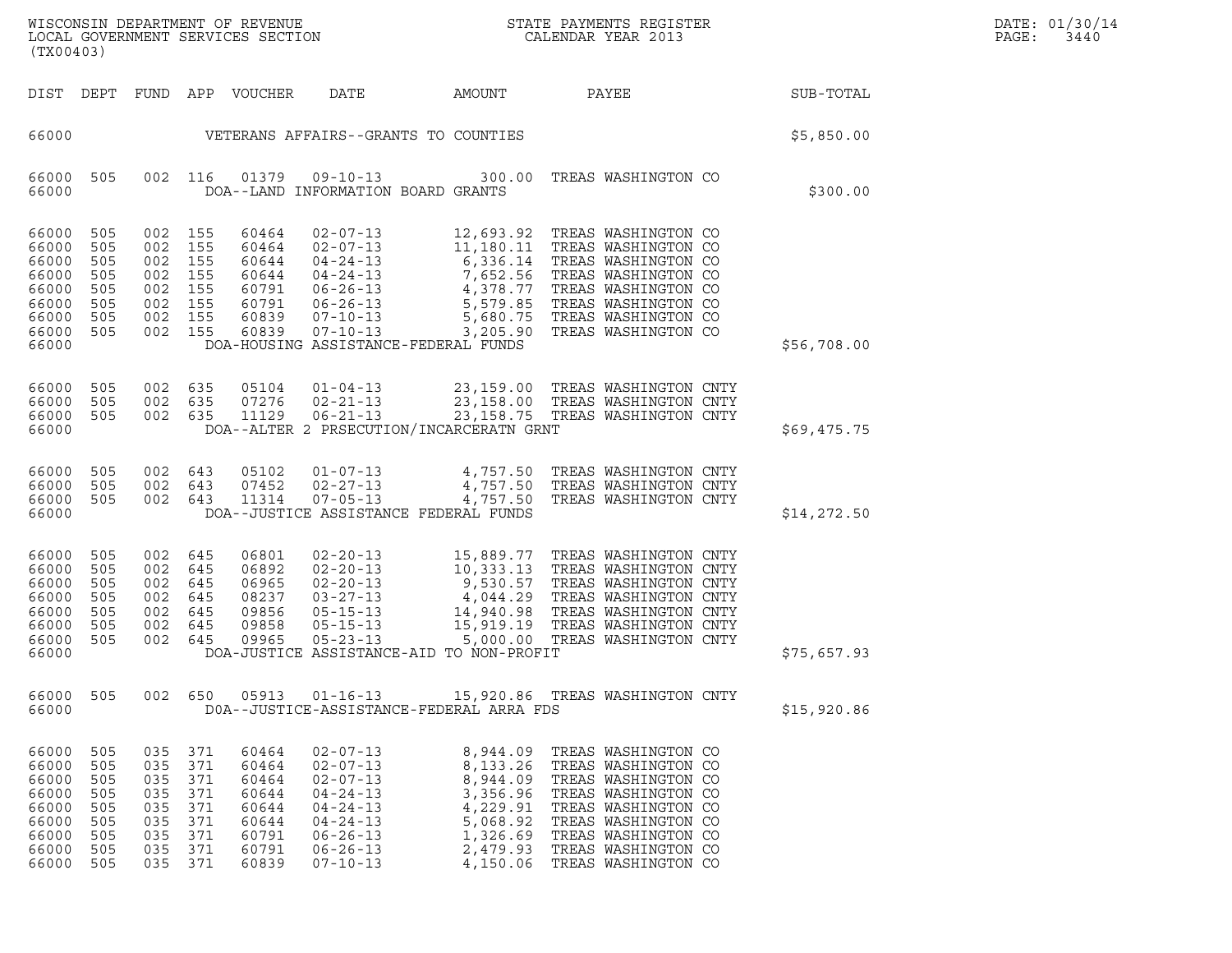| DATE: | 01/30/14 |
|-------|----------|
| PAGE: | 3440     |

| (TX00403)                                                                     |                                                             |                                                                |                                                                     | WISCONSIN DEPARTMENT OF REVENUE<br>LOCAL GOVERNMENT SERVICES SECTION          |                                                                                                                                                                |                                                                                                       | STATE PAYMENTS REGISTER<br>CALENDAR YEAR 2013                                                                                                                                                                                                                  |  | DATE: 01/30/14<br>PAGE:<br>3440 |  |
|-------------------------------------------------------------------------------|-------------------------------------------------------------|----------------------------------------------------------------|---------------------------------------------------------------------|-------------------------------------------------------------------------------|----------------------------------------------------------------------------------------------------------------------------------------------------------------|-------------------------------------------------------------------------------------------------------|----------------------------------------------------------------------------------------------------------------------------------------------------------------------------------------------------------------------------------------------------------------|--|---------------------------------|--|
|                                                                               |                                                             |                                                                |                                                                     | DIST DEPT FUND APP VOUCHER                                                    | DATE                                                                                                                                                           | AMOUNT                                                                                                | PAYEE                                                                                                                                                                                                                                                          |  | SUB-TOTAL                       |  |
| 66000                                                                         |                                                             |                                                                |                                                                     |                                                                               |                                                                                                                                                                | VETERANS AFFAIRS--GRANTS TO COUNTIES                                                                  |                                                                                                                                                                                                                                                                |  | \$5,850.00                      |  |
| 66000 505<br>66000                                                            |                                                             |                                                                | 002 116                                                             | 01379                                                                         | 09-10-13<br>DOA--LAND INFORMATION BOARD GRANTS                                                                                                                 |                                                                                                       | 300.00 TREAS WASHINGTON CO                                                                                                                                                                                                                                     |  | \$300.00                        |  |
| 66000<br>66000<br>66000<br>66000<br>66000<br>66000<br>66000<br>66000<br>66000 | 505<br>505<br>505<br>505<br>505<br>505<br>505<br>505        | 002 155<br>002 155<br>002 155<br>002 155<br>002 155<br>002 155 | 002 155<br>002 155                                                  | 60464<br>60464<br>60644<br>60644<br>60791<br>60791<br>60839<br>60839          | $02 - 07 - 13$<br>$02 - 07 - 13$<br>04-24-13<br>$04 - 24 - 13$<br>06-26-13<br>06-26-13<br>$07 - 10 - 13$<br>$07 - 10 - 13$                                     | DOA-HOUSING ASSISTANCE-FEDERAL FUNDS                                                                  | 12,693.92 TREAS WASHINGTON CO<br>11,180.11 TREAS WASHINGTON CO<br>6,336.14 TREAS WASHINGTON CO<br>7,652.56 TREAS WASHINGTON CO<br>4,378.77 TREAS WASHINGTON CO<br>5,579.85 TREAS WASHINGTON CO<br>5,680.75 TREAS WASHINGTON CO<br>3,205.90 TREAS WASHINGTON CO |  | \$56,708.00                     |  |
| 66000<br>66000<br>66000<br>66000                                              | 505<br>505<br>505                                           | 002 635                                                        | 002 635<br>002 635                                                  | 05104<br>07276<br>11129                                                       | $01 - 04 - 13$<br>$02 - 21 - 13$<br>$06 - 21 - 13$                                                                                                             | DOA--ALTER 2 PRSECUTION/INCARCERATN GRNT                                                              | 23,159.00 TREAS WASHINGTON CNTY<br>23,158.00 TREAS WASHINGTON CNTY<br>23,158.75 TREAS WASHINGTON CNTY                                                                                                                                                          |  | \$69,475.75                     |  |
| 66000<br>66000<br>66000<br>66000                                              | 505<br>505<br>505                                           | 002 643<br>002 643                                             | 002 643                                                             | 05102<br>07452<br>11314                                                       | $02 - 27 - 13$<br>$07 - 05 - 13$                                                                                                                               | DOA--JUSTICE ASSISTANCE FEDERAL FUNDS                                                                 | 01-07-13 4,757.50 TREAS WASHINGTON CNTY<br>4,757.50 TREAS WASHINGTON CNTY<br>4,757.50 TREAS WASHINGTON CNTY                                                                                                                                                    |  | \$14,272.50                     |  |
| 66000<br>66000<br>66000<br>66000<br>66000<br>66000<br>66000<br>66000          | 505<br>505<br>505<br>505<br>505<br>505<br>505               | 002 645<br>002 645                                             | 002 645<br>002 645<br>002 645<br>002 645<br>002 645                 | 06801<br>06892<br>06965<br>08237<br>09856<br>09858<br>09965                   | $02 - 20 - 13$<br>$02 - 20 - 13$<br>$05 - 15 - 13$<br>$05 - 23 - 13$                                                                                           | 02-20-13<br>03-27-13<br>05-15-13<br>05-15-13<br>14,940.98<br>DOA-JUSTICE ASSISTANCE-AID TO NON-PROFIT | 15,889.77 TREAS WASHINGTON CNTY<br>10,333.13 TREAS WASHINGTON CNTY<br>9,530.57 TREAS WASHINGTON CNTY<br>TREAS WASHINGTON CNTY<br>14,940.98 TREAS WASHINGTON CNTY<br>15,919.19 TREAS WASHINGTON CNTY<br>5,000.00 TREAS WASHINGTON CNTY                          |  | \$75,657.93                     |  |
| 66000<br>66000                                                                | 505                                                         |                                                                | 002 650                                                             | 05913                                                                         | $01 - 16 - 13$                                                                                                                                                 | DOA--JUSTICE-ASSISTANCE-FEDERAL ARRA FDS                                                              | 15,920.86 TREAS WASHINGTON CNTY                                                                                                                                                                                                                                |  | \$15,920.86                     |  |
| 66000<br>66000<br>66000<br>66000<br>66000<br>66000<br>66000<br>66000<br>66000 | 505<br>505<br>505<br>505<br>505<br>505<br>505<br>505<br>505 | 035<br>035<br>035<br>035<br>035<br>035<br>035                  | 035 371<br>371<br>371<br>371<br>371<br>371<br>371<br>371<br>035 371 | 60464<br>60464<br>60464<br>60644<br>60644<br>60644<br>60791<br>60791<br>60839 | $02 - 07 - 13$<br>$02 - 07 - 13$<br>$02 - 07 - 13$<br>$04 - 24 - 13$<br>$04 - 24 - 13$<br>$04 - 24 - 13$<br>$06 - 26 - 13$<br>$06 - 26 - 13$<br>$07 - 10 - 13$ | 8,944.09<br>8,133.26<br>8,944.09<br>3,356.96<br>4,229.91<br>5,068.92<br>1,326.69<br>2,479.93          | TREAS WASHINGTON CO<br>TREAS WASHINGTON CO<br>TREAS WASHINGTON CO<br>TREAS WASHINGTON CO<br>TREAS WASHINGTON CO<br>TREAS WASHINGTON CO<br>TREAS WASHINGTON CO<br>TREAS WASHINGTON CO<br>4,150.06 TREAS WASHINGTON CO                                           |  |                                 |  |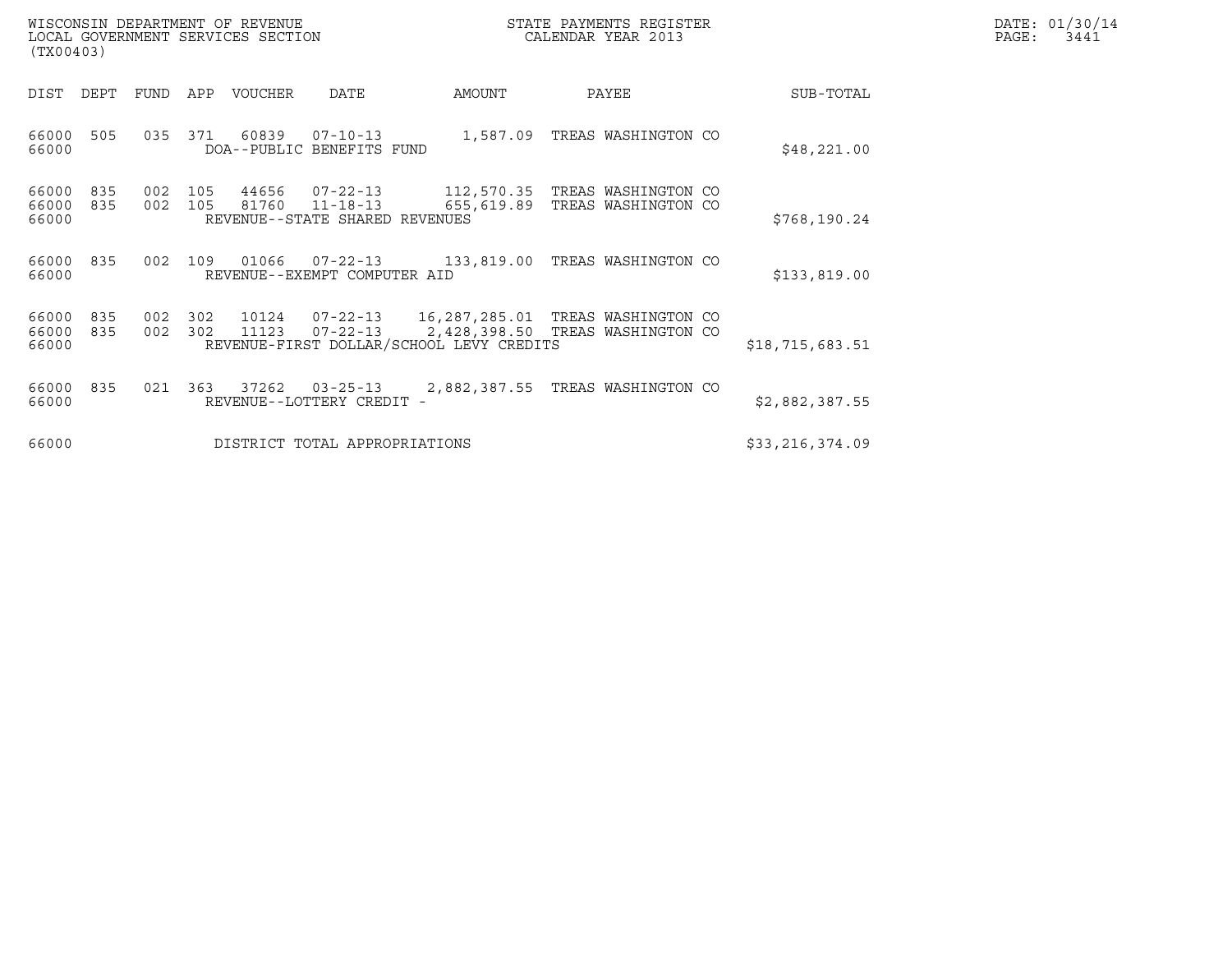| WISCONSIN DEPARTMENT OF REVENUE   | STATE PAYMENTS REGISTER | DATE: 01/30/14 |
|-----------------------------------|-------------------------|----------------|
| LOCAL GOVERNMENT SERVICES SECTION | CALENDAR YEAR 2013      | PAGE:<br>3441  |

| (TX00403)               |            |            |            | WISCONSIN DEPARTMENT OF REVENUE<br>LOCAL GOVERNMENT SERVICES SECTION |                                                              | STATE PAYMENTS REGISTER<br>CALENDAR YEAR 2013            |                                            |  |                   | DATE: 01/30/14<br>PAGE:<br>3441 |
|-------------------------|------------|------------|------------|----------------------------------------------------------------------|--------------------------------------------------------------|----------------------------------------------------------|--------------------------------------------|--|-------------------|---------------------------------|
| DIST                    | DEPT       | FUND       | APP        | VOUCHER                                                              | DATE                                                         | AMOUNT                                                   | PAYEE                                      |  | SUB-TOTAL         |                                 |
| 66000<br>66000          | 505        | 035        | 371        | 60839                                                                | 07-10-13<br>DOA--PUBLIC BENEFITS FUND                        | 1,587.09                                                 | TREAS WASHINGTON CO                        |  | \$48,221.00       |                                 |
| 66000<br>66000<br>66000 | 835<br>835 | 002<br>002 | 105<br>105 | 44656<br>81760                                                       | 07-22-13<br>$11 - 18 - 13$<br>REVENUE--STATE SHARED REVENUES | 112,570.35<br>655,619.89                                 | TREAS WASHINGTON CO<br>TREAS WASHINGTON CO |  | \$768,190.24      |                                 |
| 66000<br>66000          | 835        | 002        | 109        |                                                                      | REVENUE--EXEMPT COMPUTER AID                                 | 01066  07-22-13  133,819.00                              | TREAS WASHINGTON CO                        |  | \$133,819.00      |                                 |
| 66000<br>66000<br>66000 | 835<br>835 | 002<br>002 | 302<br>302 | 10124<br>11123                                                       | $07 - 22 - 13$                                               | 2,428,398.50<br>REVENUE-FIRST DOLLAR/SCHOOL LEVY CREDITS | TREAS WASHINGTON CO<br>TREAS WASHINGTON CO |  | \$18,715,683.51   |                                 |
| 66000<br>66000          | 835        | 021        | 363        | 37262                                                                | $03 - 25 - 13$<br>REVENUE--LOTTERY CREDIT -                  | 2,882,387.55                                             | TREAS WASHINGTON CO                        |  | \$2,882,387.55    |                                 |
| 66000                   |            |            |            |                                                                      | DISTRICT TOTAL APPROPRIATIONS                                |                                                          |                                            |  | \$33, 216, 374.09 |                                 |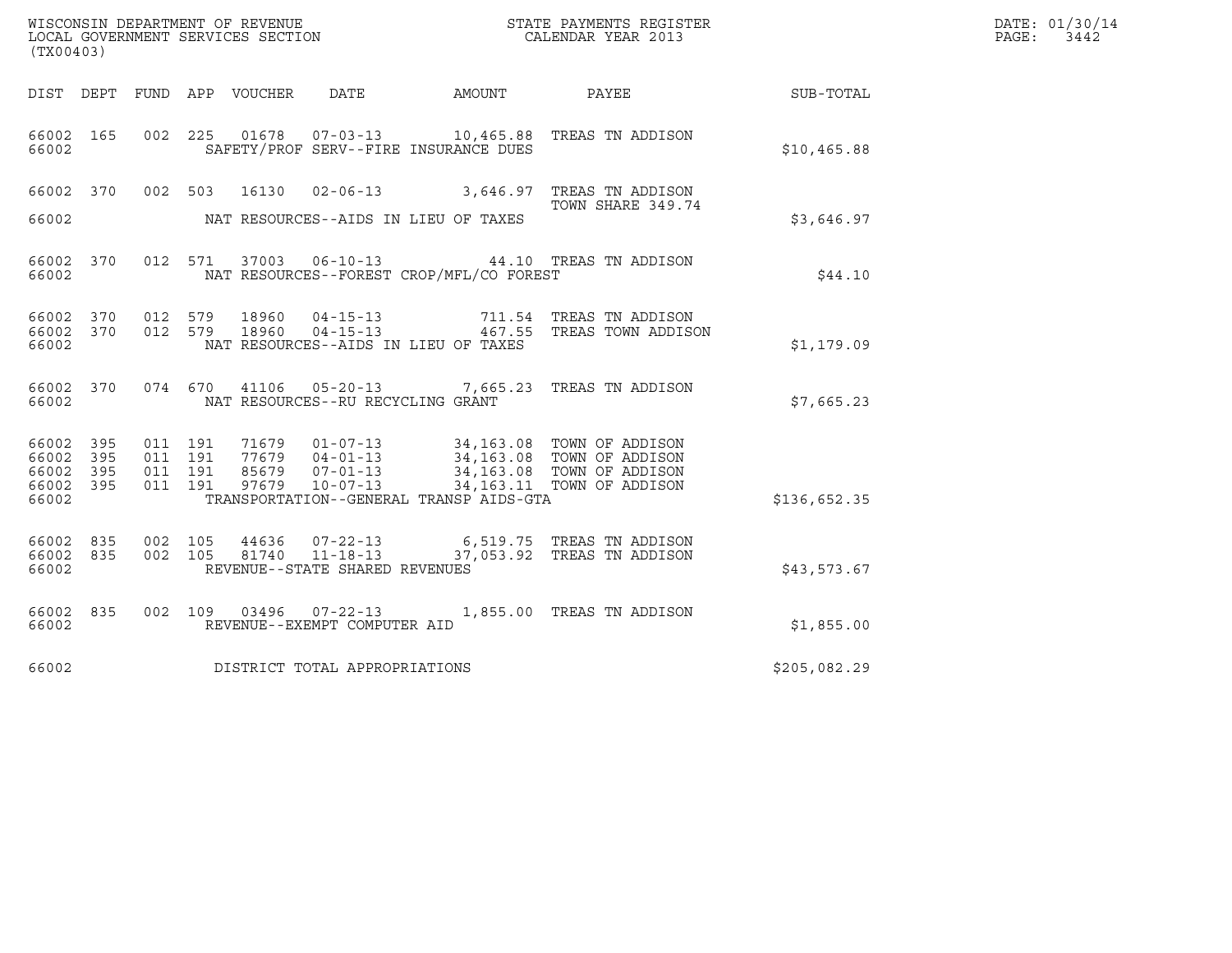| (TX00403)                                 |                          |                                          |         |                         | WISCONSIN DEPARTMENT OF REVENUE<br>LOCAL GOVERNMENT SERVICES SECTION |                                                                     | STATE PAYMENTS REGISTER<br>CALENDAR YEAR 2013                                                                                                 |              | DATE: 01/30/14<br>PAGE:<br>3442 |
|-------------------------------------------|--------------------------|------------------------------------------|---------|-------------------------|----------------------------------------------------------------------|---------------------------------------------------------------------|-----------------------------------------------------------------------------------------------------------------------------------------------|--------------|---------------------------------|
| DIST DEPT                                 |                          |                                          |         | FUND APP VOUCHER        | DATE                                                                 | AMOUNT                                                              | PAYEE                                                                                                                                         | SUB-TOTAL    |                                 |
| 66002 165<br>66002                        |                          |                                          | 002 225 |                         |                                                                      | 01678  07-03-13  10,465.88<br>SAFETY/PROF SERV--FIRE INSURANCE DUES | TREAS TN ADDISON                                                                                                                              | \$10,465.88  |                                 |
| 66002 370<br>66002                        |                          |                                          | 002 503 | 16130                   |                                                                      | NAT RESOURCES--AIDS IN LIEU OF TAXES                                | 02-06-13 3,646.97 TREAS TN ADDISON<br>TOWN SHARE 349.74                                                                                       | \$3,646.97   |                                 |
| 66002 370<br>66002                        |                          |                                          | 012 571 |                         | 37003 06-10-13                                                       | NAT RESOURCES--FOREST CROP/MFL/CO FOREST                            | 44.10 TREAS TN ADDISON                                                                                                                        | \$44.10      |                                 |
| 66002 370<br>66002<br>66002               | 370                      | 012 579<br>012 579                       |         | 18960<br>18960          | 04-15-13<br>$04 - 15 - 13$                                           | NAT RESOURCES--AIDS IN LIEU OF TAXES                                | 711.54 TREAS TN ADDISON<br>467.55 TREAS TOWN ADDISON                                                                                          | \$1,179.09   |                                 |
| 66002 370<br>66002                        |                          |                                          | 074 670 | 41106                   | NAT RESOURCES--RU RECYCLING GRANT                                    | $05 - 20 - 13$ 7,665.23                                             | TREAS TN ADDISON                                                                                                                              | \$7,665.23   |                                 |
| 66002<br>66002<br>66002<br>66002<br>66002 | 395<br>395<br>395<br>395 | 011 191<br>011 191<br>011 191<br>011 191 |         | 71679<br>85679<br>97679 | $01 - 07 - 13$<br>77679 04-01-13<br>$07 - 01 - 13$<br>$10 - 07 - 13$ | TRANSPORTATION--GENERAL TRANSP AIDS-GTA                             | 34,163.08 TOWN OF ADDISON<br>34,163.08 TOWN OF ADDISON<br>34,163.08 TOWN OF ADDISON<br>34,163.08 TOWN OF ADDISON<br>34,163.11 TOWN OF ADDISON | \$136,652.35 |                                 |
| 66002 835<br>66002<br>66002               | 835                      | 002 105<br>002 105                       |         | 44636<br>81740          | $07 - 22 - 13$<br>$11 - 18 - 13$<br>REVENUE--STATE SHARED REVENUES   |                                                                     | 6,519.75 TREAS TN ADDISON<br>37,053.92 TREAS TN ADDISON                                                                                       | \$43,573.67  |                                 |
| 66002 835<br>66002                        |                          |                                          | 002 109 | 03496                   | REVENUE--EXEMPT COMPUTER AID                                         |                                                                     |                                                                                                                                               | \$1,855.00   |                                 |
| 66002                                     |                          |                                          |         |                         | DISTRICT TOTAL APPROPRIATIONS                                        |                                                                     |                                                                                                                                               | \$205,082.29 |                                 |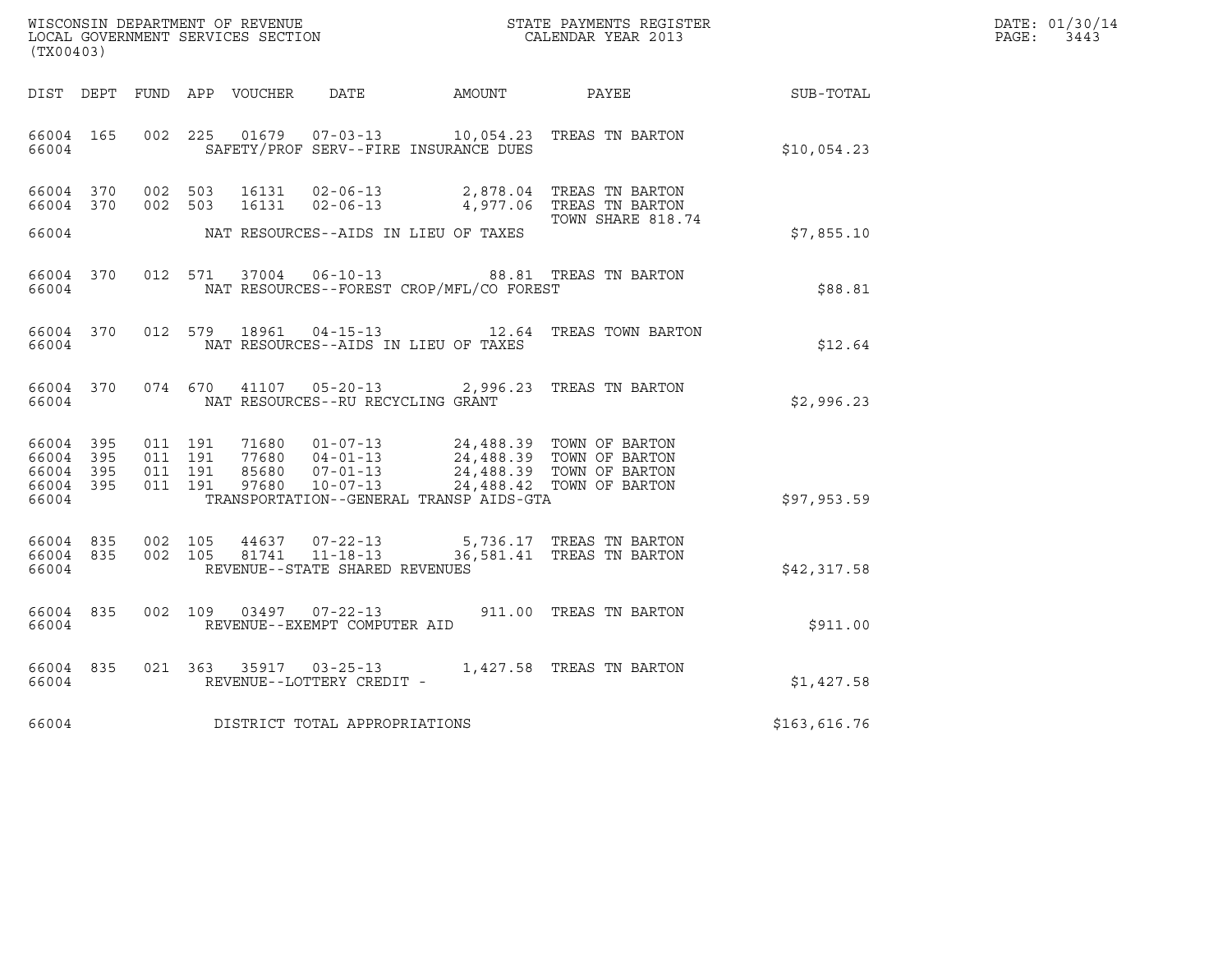| WISCONSIN DEPARTMENT OF REVENUE   | STATE PAYMENTS REGISTER | DATE: 01/30/14 |
|-----------------------------------|-------------------------|----------------|
| LOCAL GOVERNMENT SERVICES SECTION | CALENDAR YEAR 2013      | PAGE:<br>3443  |

| (TX00403)                                                                                                                                                                                                                                                                                                                                                               |              | DATE: 01/30/14<br>PAGE:<br>3443 |
|-------------------------------------------------------------------------------------------------------------------------------------------------------------------------------------------------------------------------------------------------------------------------------------------------------------------------------------------------------------------------|--------------|---------------------------------|
|                                                                                                                                                                                                                                                                                                                                                                         |              |                                 |
| 66004 165 002 225 01679 07-03-13 10,054.23 TREAS TN BARTON<br>66004 SAFETY/PROF SERV--FIRE INSURANCE DUES                                                                                                                                                                                                                                                               | \$10,054.23  |                                 |
| 66004 370 002 503 16131 02-06-13 2,878.04 TREAS TN BARTON<br>66004 370 002 503 16131 02-06-13 4,977.06 TREAS TN BARTON<br>TOWN SHARE 818.74                                                                                                                                                                                                                             |              |                                 |
| 66004 NAT RESOURCES--AIDS IN LIEU OF TAXES                                                                                                                                                                                                                                                                                                                              | \$7,855.10   |                                 |
| 66004 370 012 571 37004 06-10-13 88.81 TREAS TN BARTON<br>66004 NAT RESOURCES--FOREST CROP/MFL/CO FOREST                                                                                                                                                                                                                                                                | \$88.81      |                                 |
| 66004 370 012 579 18961 04-15-13 12.64 TREAS TOWN BARTON<br>66004 MAT RESOURCES--AIDS IN LIEU OF TAXES                                                                                                                                                                                                                                                                  | \$12.64      |                                 |
| 66004 370 074 670 41107 05-20-13 2,996.23 TREAS TN BARTON<br>66004 MAT RESOURCES--RU RECYCLING GRANT                                                                                                                                                                                                                                                                    | \$2,996.23   |                                 |
| $\begin{array}{cccccc} 011 & 191 & 71680 & 01-07-13 & 24,488.39 & \text{TOWN OF BARTON} \\ 011 & 191 & 77680 & 04-01-13 & 24,488.39 & \text{TOWN OF BARTON} \\ 011 & 191 & 85680 & 07-01-13 & 24,488.39 & \text{TOWN OF BARTON} \\ 011 & 191 & 97680 & 10-07-13 & 24,488.42 & \text{TOWN OF BARTON} \\ \end{array}$<br>66004 395<br>66004 395<br>66004 395<br>66004 395 | \$97,953.59  |                                 |
| TRANSPORTATION--GENERAL TRANSP AIDS-GTA<br>66004                                                                                                                                                                                                                                                                                                                        |              |                                 |
| $\begin{array}{cccccc} 66\,004 & 83\,5 & 002 & 105 & 44\,637 & 07-22-13 & 5,73\,6.17 & \text{TREAS TN BARTON} \\ 66\,004 & 83\,5 & 002 & 105 & 81741 & 11-18-13 & 36,581.41 & \text{TREAS TN BARTON} \end{array}$<br>66004 REVENUE--STATE SHARED REVENUES                                                                                                               | \$42,317.58  |                                 |
| 66004 835 002 109 03497 07-22-13 911.00 TREAS TN BARTON<br>66004 6600<br>REVENUE--EXEMPT COMPUTER AID                                                                                                                                                                                                                                                                   | \$911.00     |                                 |
| 66004 835 021 363 35917 03-25-13 1,427.58 TREAS TN BARTON<br>66004 6600<br>REVENUE--LOTTERY CREDIT -                                                                                                                                                                                                                                                                    | \$1,427.58   |                                 |
| 66004 DISTRICT TOTAL APPROPRIATIONS                                                                                                                                                                                                                                                                                                                                     | \$163,616.76 |                                 |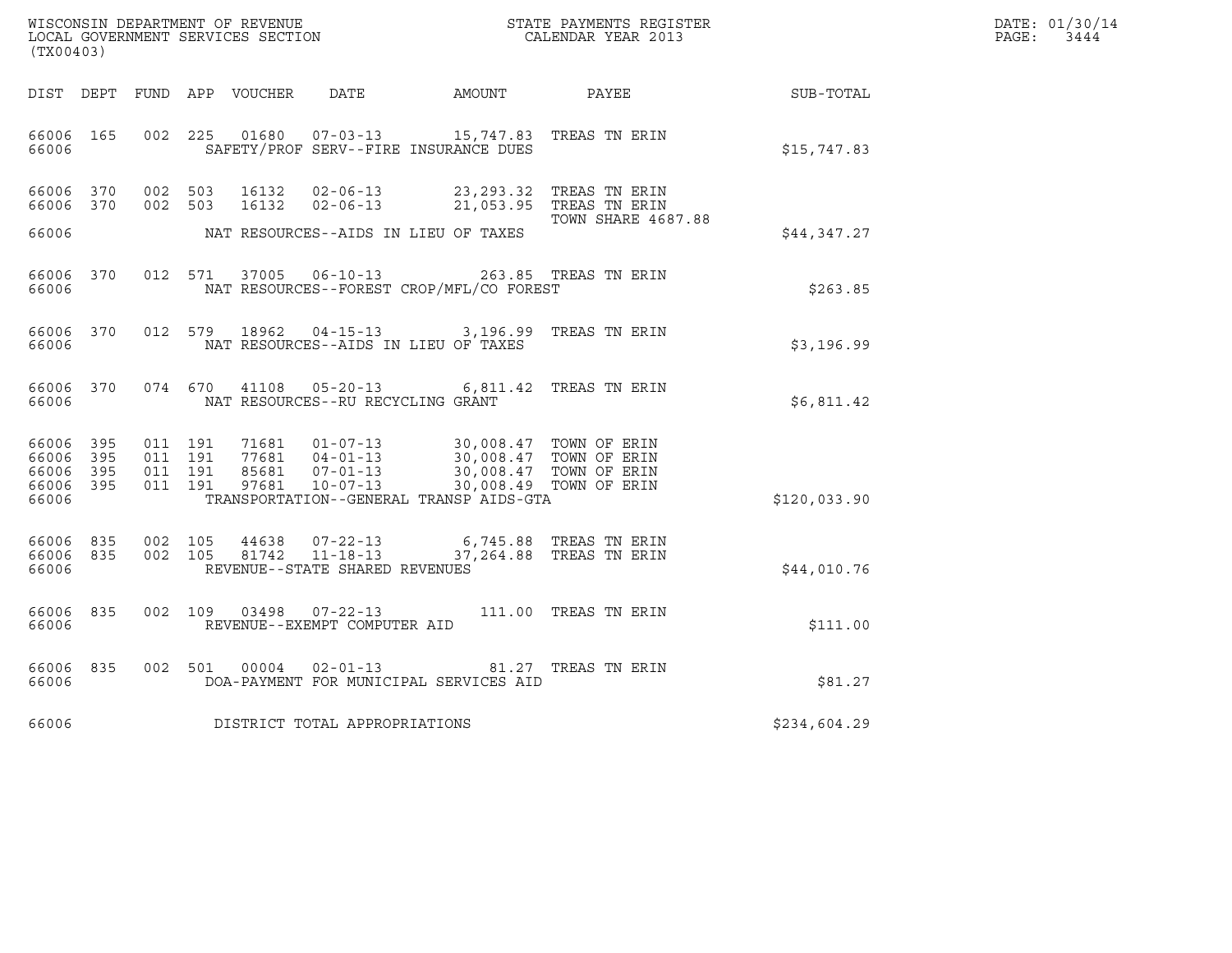| WISCONSIN DEPARTMENT OF REVENUE   | STATE PAYMENTS REGISTER | DATE: 01/30/14            |
|-----------------------------------|-------------------------|---------------------------|
| LOCAL GOVERNMENT SERVICES SECTION | CALENDAR YEAR 2013      | $\mathtt{PAGE}$ :<br>3444 |

| (TX00403)                                                 |  |  |                                      |                                                                                                                                                                                                                                             |                                                                                                 |                                                             | DATE: 01/30/14<br>$\mathtt{PAGE:}$<br>3444 |
|-----------------------------------------------------------|--|--|--------------------------------------|---------------------------------------------------------------------------------------------------------------------------------------------------------------------------------------------------------------------------------------------|-------------------------------------------------------------------------------------------------|-------------------------------------------------------------|--------------------------------------------|
|                                                           |  |  |                                      |                                                                                                                                                                                                                                             |                                                                                                 | DIST DEPT FUND APP VOUCHER DATE AMOUNT PAYEE PATE SUB-TOTAL |                                            |
| 66006 165<br>66006                                        |  |  |                                      | SAFETY/PROF SERV--FIRE INSURANCE DUES                                                                                                                                                                                                       | 002 225 01680 07-03-13 15,747.83 TREAS TN ERIN                                                  | \$15,747.83                                                 |                                            |
| 66006 370<br>66006 370                                    |  |  |                                      | 002 503 16132 02-06-13 21,053.95 TREAS TN ERIN                                                                                                                                                                                              | 002 503 16132 02-06-13 23,293.32 TREAS TN ERIN<br>TOWN SHARE 4687.88                            |                                                             |                                            |
| 66006                                                     |  |  |                                      | NAT RESOURCES--AIDS IN LIEU OF TAXES                                                                                                                                                                                                        |                                                                                                 | \$44,347.27                                                 |                                            |
| 66006 370<br>66006                                        |  |  |                                      | NAT RESOURCES--FOREST CROP/MFL/CO FOREST                                                                                                                                                                                                    | 012 571 37005 06-10-13 263.85 TREAS TN ERIN                                                     | \$263.85                                                    |                                            |
| 66006 370<br>66006                                        |  |  | NAT RESOURCES--AIDS IN LIEU OF TAXES |                                                                                                                                                                                                                                             | 012 579 18962 04-15-13 3,196.99 TREAS TN ERIN                                                   | \$3,196.99                                                  |                                            |
| 66006 370<br>66006                                        |  |  | NAT RESOURCES--RU RECYCLING GRANT    |                                                                                                                                                                                                                                             | 074 670 41108 05-20-13 6,811.42 TREAS TN ERIN                                                   | \$6,811.42                                                  |                                            |
| 66006 395<br>66006 395<br>66006 395<br>66006 395<br>66006 |  |  |                                      | 011 191 71681 01-07-13 30,008.47 TOWN OF ERIN<br>011 191 77681 04-01-13 30,008.47 TOWN OF ERIN<br>011 191 85681 07-01-13 30,008.47 TOWN OF ERIN<br>011 191 97681 10-07-13 30,008.49 TOWN OF ERIN<br>TRANSPORTATION--GENERAL TRANSP AIDS-GTA |                                                                                                 | \$120,033.90                                                |                                            |
| 66006 835<br>66006 835<br>66006                           |  |  | REVENUE--STATE SHARED REVENUES       |                                                                                                                                                                                                                                             | 002 105 44638 07-22-13 6,745.88 TREAS TN ERIN<br>002 105 81742 11-18-13 37,264.88 TREAS TN ERIN | \$44,010.76                                                 |                                            |
| 66006 835<br>66006                                        |  |  | REVENUE--EXEMPT COMPUTER AID         |                                                                                                                                                                                                                                             | 002 109 03498 07-22-13 111.00 TREAS TN ERIN                                                     | \$111.00                                                    |                                            |
| 66006 835<br>66006                                        |  |  |                                      | 002 501 00004 02-01-13 81.27 TREAS TN ERIN<br>DOA-PAYMENT FOR MUNICIPAL SERVICES AID                                                                                                                                                        |                                                                                                 | \$81.27                                                     |                                            |
|                                                           |  |  | 66006 DISTRICT TOTAL APPROPRIATIONS  |                                                                                                                                                                                                                                             | \$234,604.29                                                                                    |                                                             |                                            |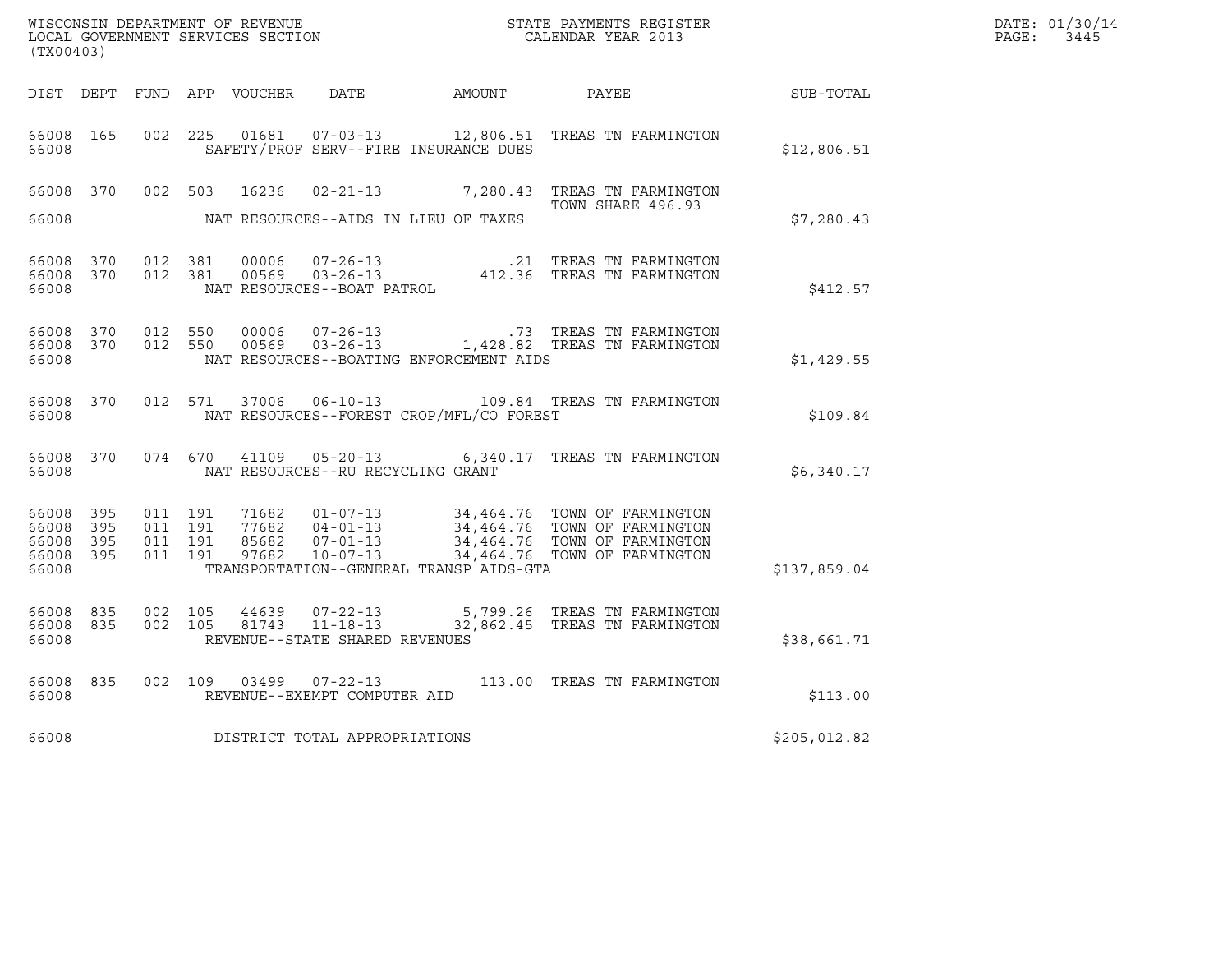| WISCONSIN DEPARTMENT OF REVENUE<br>LOCAL GOVERNMENT SERVICES SECTION<br>(TX00403) |                        |                               |         |       |                                                                    |                                          | STATE PAYMENTS REGISTER<br>CALENDAR YEAR 2013                                                                                                                                                                                                 |              | DATE: 01/30/14<br>PAGE:<br>3445 |
|-----------------------------------------------------------------------------------|------------------------|-------------------------------|---------|-------|--------------------------------------------------------------------|------------------------------------------|-----------------------------------------------------------------------------------------------------------------------------------------------------------------------------------------------------------------------------------------------|--------------|---------------------------------|
|                                                                                   |                        |                               |         |       |                                                                    |                                          | DIST DEPT FUND APP VOUCHER  DATE          AMOUNT          PAYEE                                                                                                                                                                               | SUB-TOTAL    |                                 |
| 66008 165<br>66008                                                                |                        | 002 225                       |         | 01681 |                                                                    | SAFETY/PROF SERV--FIRE INSURANCE DUES    | 07-03-13 12,806.51 TREAS TN FARMINGTON                                                                                                                                                                                                        | \$12,806.51  |                                 |
| 66008                                                                             | 66008 370              | 002 503                       |         | 16236 |                                                                    | NAT RESOURCES--AIDS IN LIEU OF TAXES     | 02-21-13 7,280.43 TREAS TN FARMINGTON<br>TOWN SHARE 496.93                                                                                                                                                                                    | \$7,280.43   |                                 |
| 66008                                                                             | 66008 370<br>66008 370 | 012 381                       | 012 381 |       | NAT RESOURCES--BOAT PATROL                                         |                                          | $\begin{tabular}{llllll} 00006 & 07-26-13 & .21 TREAS TN FARMINGTON \\ 00569 & 03-26-13 & 412.36 TREAS TN FARMINGTON \end{tabular}$                                                                                                           | \$412.57     |                                 |
| 66008 370<br>66008                                                                |                        | 66008 370 012 550             | 012 550 |       |                                                                    | NAT RESOURCES--BOATING ENFORCEMENT AIDS  |                                                                                                                                                                                                                                               | \$1,429.55   |                                 |
| 66008                                                                             | 66008 370              |                               | 012 571 |       |                                                                    | NAT RESOURCES--FOREST CROP/MFL/CO FOREST | 37006  06-10-13  109.84  TREAS TN FARMINGTON                                                                                                                                                                                                  | \$109.84     |                                 |
| 66008                                                                             | 66008 370              |                               |         |       | NAT RESOURCES--RU RECYCLING GRANT                                  |                                          | 074 670 41109 05-20-13 6,340.17 TREAS TN FARMINGTON                                                                                                                                                                                           | \$6,340.17   |                                 |
| 66008 395<br>66008<br>66008<br>66008<br>66008                                     | 395<br>395<br>395      | 011 191<br>011 191<br>011 191 | 011 191 | 71682 |                                                                    | TRANSPORTATION--GENERAL TRANSP AIDS-GTA  | 01-07-13 34,464.76 TOWN OF FARMINGTON<br>04-01-13 34,464.76 TOWN OF FARMINGTON<br>77682   04-01-13   34,464.76   TOWN OF FARMINGTON<br>85682   07-01-13   34,464.76   TOWN OF FARMINGTON<br>97682   10-07-13   34,464.76   TOWN OF FARMINGTON | \$137,859.04 |                                 |
| 66008 835<br>66008                                                                | 66008 835              | 002 105<br>002 105            |         |       | 44639 07-22-13<br>81743 11-18-13<br>REVENUE--STATE SHARED REVENUES |                                          | 5,799.26 TREAS TN FARMINGTON<br>32,862.45 TREAS TN FARMINGTON                                                                                                                                                                                 | \$38,661.71  |                                 |
| 66008 835<br>66008                                                                |                        |                               |         |       | REVENUE--EXEMPT COMPUTER AID                                       |                                          | 002 109 03499 07-22-13 113.00 TREAS TN FARMINGTON                                                                                                                                                                                             | \$113.00     |                                 |
| 66008                                                                             |                        |                               |         |       | DISTRICT TOTAL APPROPRIATIONS                                      |                                          |                                                                                                                                                                                                                                               | \$205,012.82 |                                 |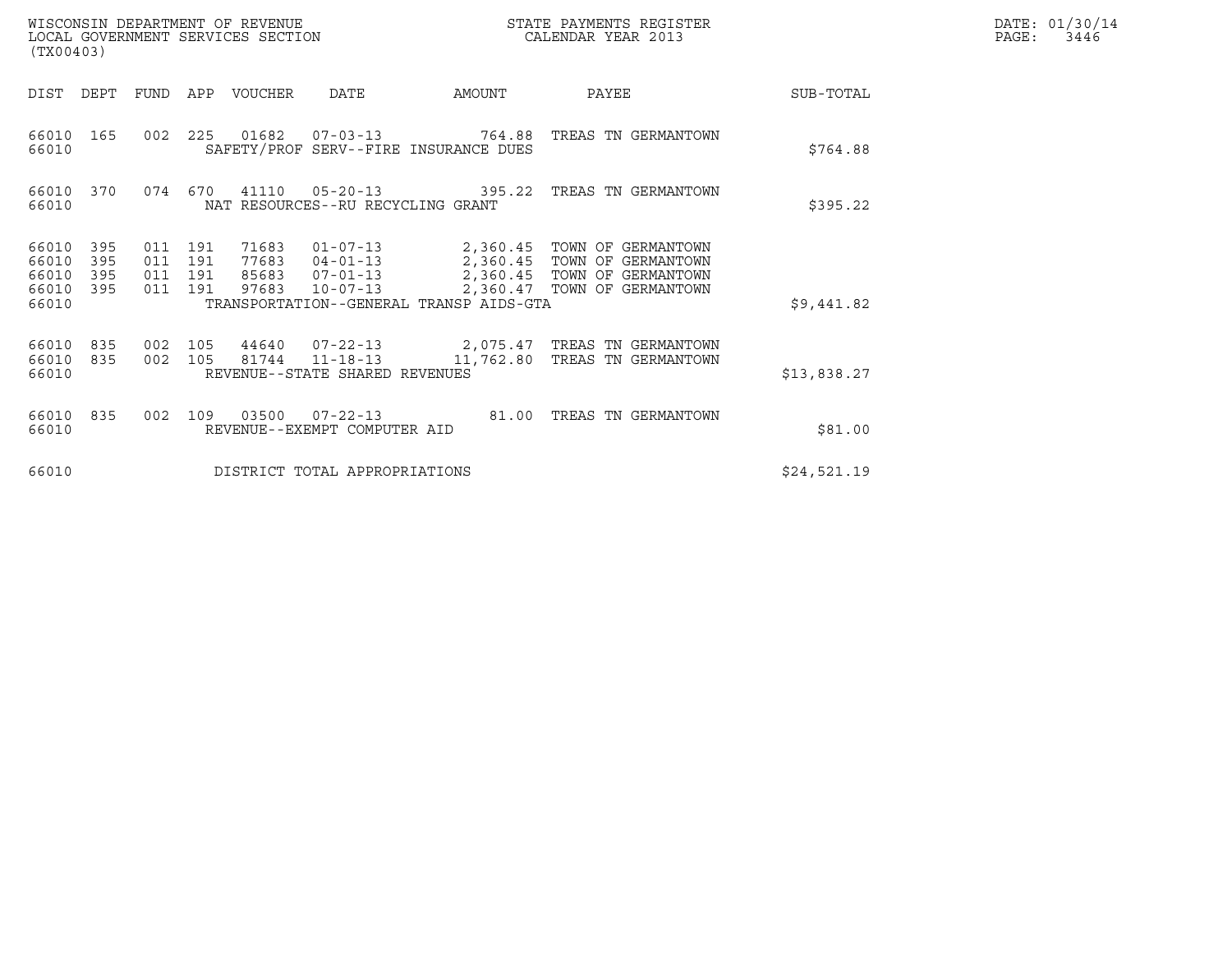| WISCONSIN DEPARTMENT OF REVENUE<br>LOCAL GOVERNMENT SERVICES SECTION<br>(TX00403)                                   | STATE PAYMENTS REGISTER<br>CALENDAR YEAR 2013 | DATE: 01/30/14<br>PAGE:<br>3446 |
|---------------------------------------------------------------------------------------------------------------------|-----------------------------------------------|---------------------------------|
| $n + \alpha m$ $n + \beta m$<br>$\sim$ $\sim$ $\sim$ $\sim$<br>570777777<br>T T T T T T<br>$\overline{\phantom{a}}$ | 5.5627777<br>$\mathbf{r}$                     | $ATID$ $MOMT$                   |

| (TX00403)                                                             |                          |                          |                |                                                                                                                 |                                              |                                                                                      |             |
|-----------------------------------------------------------------------|--------------------------|--------------------------|----------------|-----------------------------------------------------------------------------------------------------------------|----------------------------------------------|--------------------------------------------------------------------------------------|-------------|
| DIST<br>DEPT                                                          | <b>FUND</b>              | APP                      | <b>VOUCHER</b> | DATE                                                                                                            | AMOUNT                                       | PAYEE                                                                                | SUB-TOTAL   |
| 66010<br>165<br>66010                                                 | 002                      | 225                      | 01682          | $07 - 03 - 13$ 764.88<br>SAFETY/PROF SERV--FIRE INSURANCE DUES                                                  |                                              | TREAS TN GERMANTOWN                                                                  | \$764.88    |
| 66010<br>370<br>66010                                                 | 074                      | 670                      | 41110          | $05 - 20 - 13$<br>NAT RESOURCES--RU RECYCLING GRANT                                                             | 395.22                                       | TREAS TN GERMANTOWN                                                                  | \$395.22    |
| 66010<br>395<br>395<br>66010<br>66010<br>395<br>66010<br>395<br>66010 | 011<br>011<br>011<br>011 | 191<br>191<br>191<br>191 | 71683<br>97683 | $01 - 07 - 13$<br>77683 04-01-13<br>85683 07-01-13<br>$10 - 07 - 13$<br>TRANSPORTATION--GENERAL TRANSP AIDS-GTA | 2,360.45<br>2,360.45<br>2,360.45<br>2,360.47 | TOWN OF GERMANTOWN<br>TOWN OF GERMANTOWN<br>TOWN OF GERMANTOWN<br>TOWN OF GERMANTOWN | \$9,441.82  |
| 66010<br>835<br>66010<br>835<br>66010                                 | 002<br>002               | 105<br>105               | 44640<br>81744 | 07-22-13<br>$11 - 18 - 13$<br>REVENUE--STATE SHARED REVENUES                                                    | 2,075.47<br>11,762.80                        | TREAS TN GERMANTOWN<br>TREAS TN GERMANTOWN                                           | \$13,838.27 |
| 835<br>66010<br>66010                                                 | 002                      | 109                      | 03500          | $07 - 22 - 13$<br>REVENUE--EXEMPT COMPUTER AID                                                                  | 81.00                                        | TREAS TN GERMANTOWN                                                                  | \$81.00     |
| 66010                                                                 |                          |                          |                | DISTRICT TOTAL APPROPRIATIONS                                                                                   |                                              |                                                                                      | \$24,521.19 |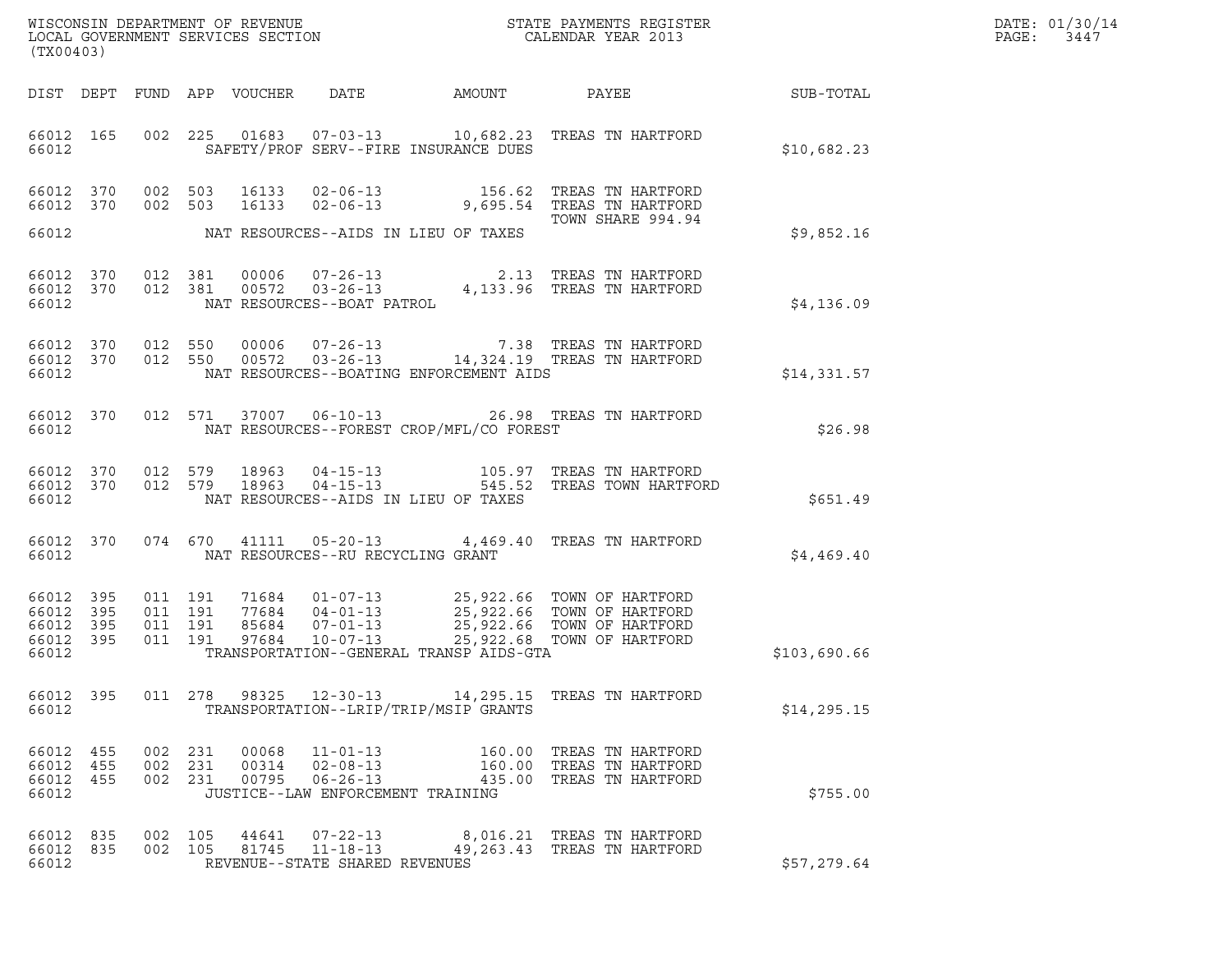| WISCONSIN DEPARTMENT OF REVENUE   | STATE PAYMENTS REGISTER | DATE: 01/30/14 |
|-----------------------------------|-------------------------|----------------|
| LOCAL GOVERNMENT SERVICES SECTION | CALENDAR YEAR 2013      | PAGE:<br>3447  |

| WISCONSIN DEPARTMENT OF REVENUE<br>LOCAL GOVERNMENT SERVICES SECTION<br>CALENDAR YEAR 2013<br>(TX00403)                                                                                                                                              |                                                                                                                                                                                                                  |              | DATE: 01/30/14<br>PAGE: 3447 |
|------------------------------------------------------------------------------------------------------------------------------------------------------------------------------------------------------------------------------------------------------|------------------------------------------------------------------------------------------------------------------------------------------------------------------------------------------------------------------|--------------|------------------------------|
| DIST DEPT FUND APP VOUCHER DATE AMOUNT PAYEE PATE SUB-TOTAL                                                                                                                                                                                          |                                                                                                                                                                                                                  |              |                              |
| 66012 165 002 225 01683 07-03-13 10,682.23 TREAS TN HARTFORD<br>66012 SAFETY/PROF SERV--FIRE INSURANCE DUES                                                                                                                                          |                                                                                                                                                                                                                  | \$10,682.23  |                              |
| 66012 370 002 503 16133 02-06-13 156.62 TREAS TN HARTFORD<br>66012 370 002 503 16133 02-06-13 9,695.54 TREAS TN HARTFORD<br>66012 NAT RESOURCES--AIDS IN LIEU OF TAXES                                                                               |                                                                                                                                                                                                                  | \$9,852.16   |                              |
| $\begin{array}{cccc} 66012 & 370 & 012 & 381 & 00006 & 07-26-13 & 2.13 & \text{TREAS TN HARTFORD} \\ 66012 & 370 & 012 & 381 & 00572 & 03-26-13 & 4,133.96 & \text{TREAS TN HARTFORD} \end{array}$<br>66012 NAT RESOURCES--BOAT PATROL               |                                                                                                                                                                                                                  | \$4,136.09   |                              |
| $\begin{array}{cccc} 66012 & 370 & 012 & 550 & 00006 & 07-26-13 & 7.38 & \text{TREAS TN HARTFORD} \\ 66012 & 370 & 012 & 550 & 00572 & 03-26-13 & 14,324.19 & \text{TREAS TN HARTFORD} \end{array}$<br>66012 MAT RESOURCES--BOATING ENFORCEMENT AIDS |                                                                                                                                                                                                                  | \$14,331.57  |                              |
| 66012 370 012 571 37007 06-10-13 26.98 TREAS TN HARTFORD<br>66012 NAT RESOURCES--FOREST CROP/MFL/CO FOREST                                                                                                                                           |                                                                                                                                                                                                                  | \$26.98      |                              |
| 66012 370 012 579 18963 04-15-13 105.97 TREAS TN HARTFORD<br>66012 370 012 579 18963 04-15-13 545.52 TREAS TOWN HARTFORD<br>66012 MAT RESOURCES--AIDS IN LIEU OF TAXES                                                                               |                                                                                                                                                                                                                  | \$651.49     |                              |
| 66012 370 074 670 41111 05-20-13 4,469.40 TREAS TN HARTFORD                                                                                                                                                                                          |                                                                                                                                                                                                                  | \$4,469.40   |                              |
| 66012 395<br>66012 395<br>66012 395<br>66012 395<br>TRANSPORTATION--GENERAL TRANSP AIDS-GTA<br>66012                                                                                                                                                 | 011 191 71684 01-07-13 25,922.66 TOWN OF HARTFORD<br>011 191 77684 04-01-13 25,922.66 TOWN OF HARTFORD<br>011 191 85684 07-01-13 25,922.66 TOWN OF HARTFORD<br>011 191 97684 10-07-13 25,922.68 TOWN OF HARTFORD | \$103,690.66 |                              |
| 66012 395<br>011 278<br>TRANSPORTATION--LRIP/TRIP/MSIP GRANTS<br>66012                                                                                                                                                                               | 98325 12-30-13 14,295.15 TREAS TN HARTFORD                                                                                                                                                                       | \$14, 295.15 |                              |
| 66012 455<br>002 231<br>00068<br>$11 - 01 - 13$<br>002 231<br>66012 455<br>00314<br>02-08-13<br>002 231<br>00795<br>$06 - 26 - 13$<br>66012 455<br>66012<br>JUSTICE--LAW ENFORCEMENT TRAINING                                                        | 160.00<br>TREAS TN HARTFORD<br>160.00<br>TREAS TN HARTFORD<br>435.00<br>TREAS TN HARTFORD                                                                                                                        | \$755.00     |                              |
| 66012 835<br>002 105<br>44641<br>$07 - 22 - 13$<br>66012 835<br>002 105<br>81745<br>66012<br>REVENUE--STATE SHARED REVENUES                                                                                                                          | 8,016.21 TREAS TN HARTFORD<br>11-18-13 49,263.43 TREAS TN HARTFORD                                                                                                                                               | \$57,279.64  |                              |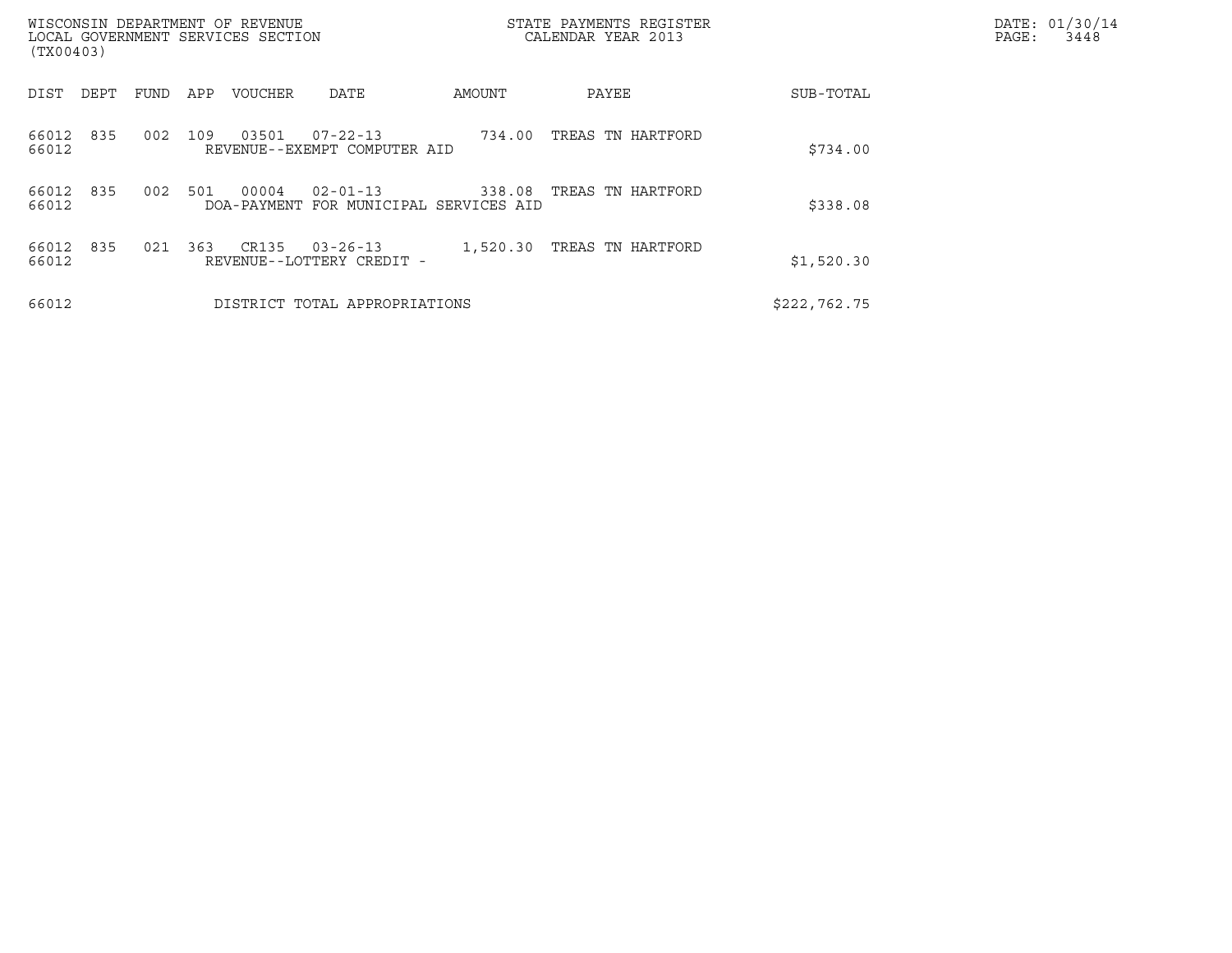| WISCONSIN DEPARTMENT OF REVENUE<br>LOCAL GOVERNMENT SERVICES SECTION<br>(TX00403) |      |     |                      |                                                |                                      | STATE PAYMENTS REGISTER<br>CALENDAR YEAR 2013 |              | DATE: 01/30/14<br>PAGE:<br>3448 |
|-----------------------------------------------------------------------------------|------|-----|----------------------|------------------------------------------------|--------------------------------------|-----------------------------------------------|--------------|---------------------------------|
| DIST<br>DEPT                                                                      | FUND | APP | VOUCHER              | DATE                                           | AMOUNT                               | PAYEE                                         | SUB-TOTAL    |                                 |
| 835<br>66012<br>66012                                                             | 002  | 109 | 03501                | $07 - 22 - 13$<br>REVENUE--EXEMPT COMPUTER AID | 734.00                               | TREAS TN HARTFORD                             | \$734.00     |                                 |
| 835<br>66012<br>66012                                                             | 002  | 501 | 00004<br>DOA-PAYMENT | $02 - 01 - 13$                                 | 338.08<br>FOR MUNICIPAL SERVICES AID | TREAS TN HARTFORD                             | \$338.08     |                                 |
| 66012<br>835<br>66012                                                             | 021  | 363 | CR135                | $03 - 26 - 13$<br>REVENUE--LOTTERY CREDIT -    | 1,520.30                             | TREAS TN HARTFORD                             | \$1,520.30   |                                 |
| 66012                                                                             |      |     |                      | DISTRICT TOTAL APPROPRIATIONS                  |                                      |                                               | \$222,762.75 |                                 |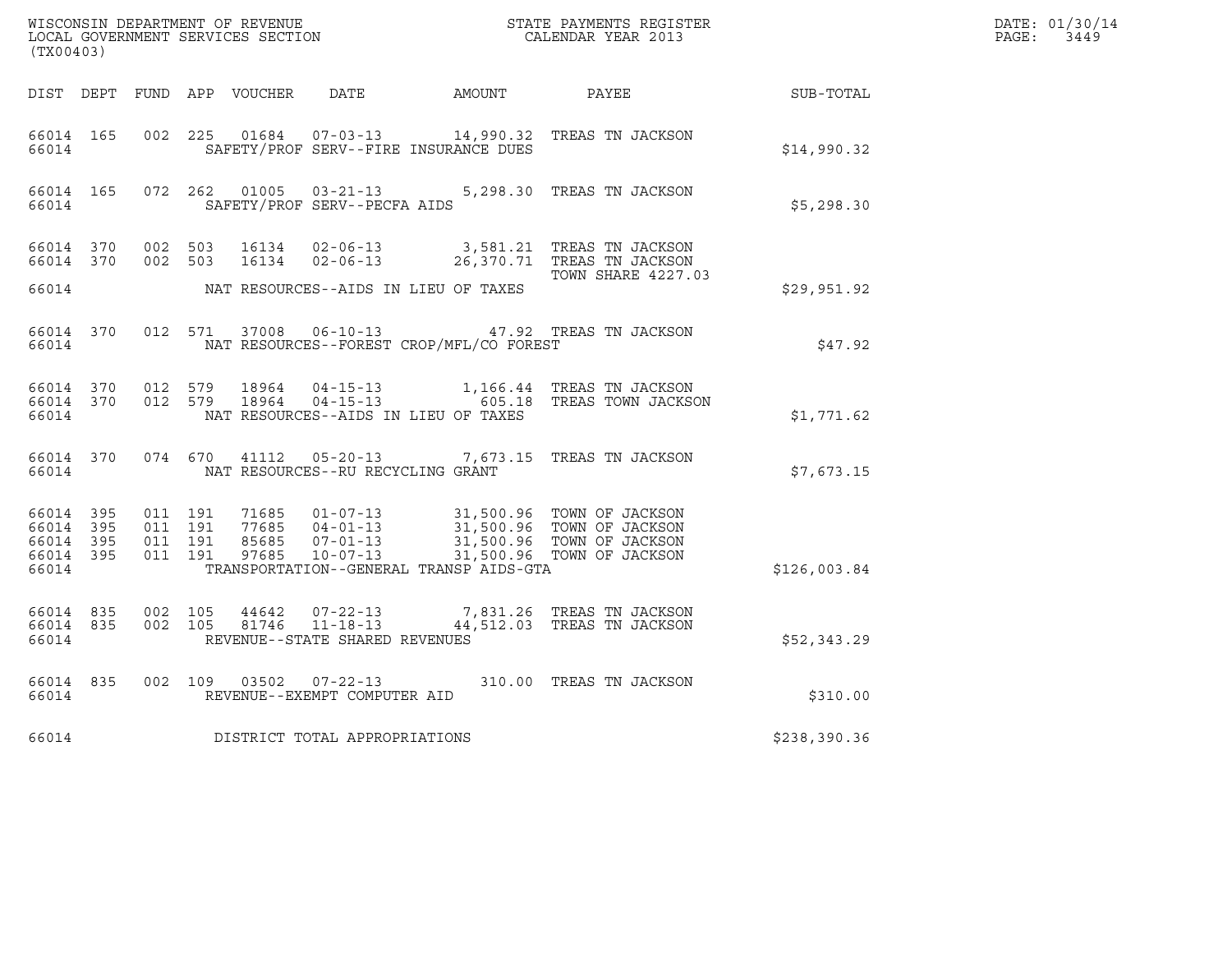| (TX00403)                                    |           |                               |         |  |                                         |                                          |                                                                                                                                                                                          |              | DATE: 01/30/14<br>PAGE: 3449 |
|----------------------------------------------|-----------|-------------------------------|---------|--|-----------------------------------------|------------------------------------------|------------------------------------------------------------------------------------------------------------------------------------------------------------------------------------------|--------------|------------------------------|
|                                              |           |                               |         |  |                                         |                                          | DIST DEPT FUND APP VOUCHER DATE AMOUNT PAYEE PAYES                                                                                                                                       |              |                              |
| 66014                                        |           |                               |         |  |                                         | SAFETY/PROF SERV--FIRE INSURANCE DUES    | 66014 165 002 225 01684 07-03-13 14,990.32 TREAS TN JACKSON                                                                                                                              | \$14,990.32  |                              |
|                                              |           |                               |         |  | 66014 SAFETY/PROF SERV--PECFA AIDS      |                                          | 66014 165 072 262 01005 03-21-13 5,298.30 TREAS TN JACKSON                                                                                                                               | \$5,298.30   |                              |
|                                              |           |                               |         |  |                                         |                                          | 66014 370 002 503 16134 02-06-13 3,581.21 TREAS TN JACKSON<br>66014 370 002 503 16134 02-06-13 26,370.71 TREAS TN JACKSON<br>TOWN SHARE 4227.03                                          |              |                              |
|                                              |           |                               |         |  |                                         |                                          |                                                                                                                                                                                          | \$29,951.92  |                              |
|                                              | 66014 700 |                               |         |  |                                         | NAT RESOURCES--FOREST CROP/MFL/CO FOREST | 66014 370 012 571 37008 06-10-13 47.92 TREAS TN JACKSON                                                                                                                                  | \$47.92      |                              |
|                                              | 66014     |                               |         |  |                                         | NAT RESOURCES--AIDS IN LIEU OF TAXES     | 66014 370 012 579 18964 04-15-13 1,166.44 TREAS TN JACKSON 66014 370 012 579 18964 04-15-13 605.18 TREAS TOWN JACKSON                                                                    | \$1,771.62   |                              |
|                                              |           |                               |         |  | 66014 NAT RESOURCES--RU RECYCLING GRANT |                                          | 66014 370 074 670 41112 05-20-13 7,673.15 TREAS TN JACKSON                                                                                                                               | \$7,673.15   |                              |
| 66014 395<br>66014 395<br>66014 395<br>66014 | 66014 395 | 011 191<br>011 191<br>011 191 | 011 191 |  |                                         | TRANSPORTATION--GENERAL TRANSP AIDS-GTA  | 71685  01-07-13  31,500.96  TOWN OF JACKSON<br>77685  04-01-13  31,500.96  TOWN OF JACKSON<br>85685  07-01-13  31,500.96  TOWN OF JACKSON<br>97685  10-07-13  31,500.96  TOWN OF JACKSON | \$126,003.84 |                              |
| 66014                                        | 66014 835 | 66014 835 002 105             |         |  | REVENUE--STATE SHARED REVENUES          |                                          | 002   105   44642   07-22-13   7,831.26   TREAS TN JACKSON   002   105   81746   11-18-13   44,512.03   TREAS TN JACKSON                                                                 | \$52,343.29  |                              |
|                                              |           | 66014                         |         |  | REVENUE--EXEMPT COMPUTER AID            |                                          | 66014 835 002 109 03502 07-22-13 310.00 TREAS TN JACKSON                                                                                                                                 | \$310.00     |                              |
| 66014                                        |           |                               |         |  | DISTRICT TOTAL APPROPRIATIONS           |                                          |                                                                                                                                                                                          | \$238,390.36 |                              |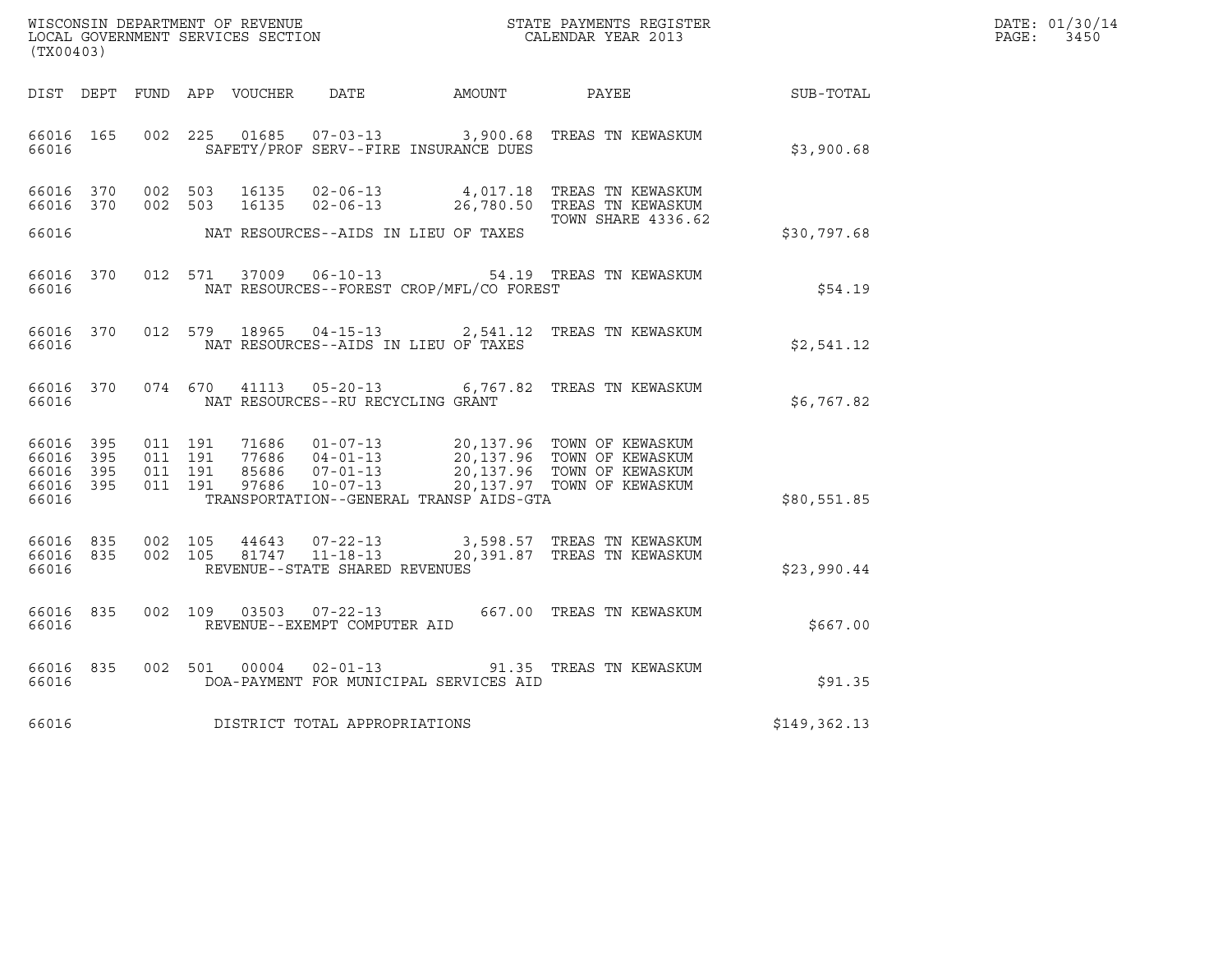| WISCONSIN DEPARTMENT OF REVENUE<br>LOCAL GOVERNMENT SERVICES SECTION<br>(TX00403) | STATE PAYMENTS REGISTER<br>CALENDAR YEAR 2013 | DATE: 01/30/14<br>PAGE:<br>3450 |
|-----------------------------------------------------------------------------------|-----------------------------------------------|---------------------------------|

| (TX00403)                                 |                                                      |                                                     |                                                                                                                 |                       |                                                                                                                      |              |  |
|-------------------------------------------|------------------------------------------------------|-----------------------------------------------------|-----------------------------------------------------------------------------------------------------------------|-----------------------|----------------------------------------------------------------------------------------------------------------------|--------------|--|
| DIST DEPT                                 | FUND APP                                             | VOUCHER                                             | DATE<br>AMOUNT                                                                                                  |                       | PAYEE                                                                                                                | SUB-TOTAL    |  |
| 66016<br>66016                            | 002<br>165                                           | 225<br>01685                                        | $07 - 03 - 13$ 3,900.68<br>SAFETY/PROF SERV--FIRE INSURANCE DUES                                                |                       | TREAS TN KEWASKUM                                                                                                    | \$3,900.68   |  |
| 66016<br>66016                            | 370<br>002<br>002<br>370                             | 503<br>16135<br>16135<br>503                        | $02 - 06 - 13$<br>$02 - 06 - 13$                                                                                | 4,017.18<br>26,780.50 | TREAS TN KEWASKUM<br>TREAS TN KEWASKUM<br>TOWN SHARE 4336.62                                                         |              |  |
| 66016                                     |                                                      |                                                     | NAT RESOURCES--AIDS IN LIEU OF TAXES                                                                            |                       |                                                                                                                      | \$30,797.68  |  |
| 66016<br>66016                            | 012<br>370                                           | 571<br>37009                                        | $06 - 10 - 13$<br>NAT RESOURCES--FOREST CROP/MFL/CO FOREST                                                      |                       | 54.19 TREAS TN KEWASKUM                                                                                              | \$54.19      |  |
| 66016<br>66016                            | 370<br>012                                           | 579<br>18965                                        | NAT RESOURCES--AIDS IN LIEU OF TAXES                                                                            |                       | 04-15-13 2,541.12 TREAS TN KEWASKUM                                                                                  | \$2,541.12   |  |
| 66016<br>66016                            | 370                                                  | 074 670<br>41113                                    | $05 - 20 - 13$<br>NAT RESOURCES--RU RECYCLING GRANT                                                             |                       | 6,767.82 TREAS TN KEWASKUM                                                                                           | \$6,767.82   |  |
| 66016<br>66016<br>66016<br>66016<br>66016 | 395<br>011<br>011<br>395<br>011<br>395<br>011<br>395 | 191<br>191<br>77686<br>191<br>85686<br>191<br>97686 | 71686 01-07-13<br>$04 - 01 - 13$<br>$07 - 01 - 13$<br>$10 - 07 - 13$<br>TRANSPORTATION--GENERAL TRANSP AIDS-GTA |                       | 20,137.96 TOWN OF KEWASKUM<br>20,137.96 TOWN OF KEWASKUM<br>20,137.96 TOWN OF KEWASKUM<br>20,137.97 TOWN OF KEWASKUM | \$80,551.85  |  |
| 66016<br>66016<br>66016                   | 002<br>835<br>835<br>002                             | 105<br>44643<br>105<br>81747                        | $07 - 22 - 13$<br>$11 - 18 - 13$<br>REVENUE--STATE SHARED REVENUES                                              | 20, 391.87            | 3,598.57 TREAS TN KEWASKUM<br>TREAS TN KEWASKUM                                                                      | \$23,990.44  |  |
| 66016<br>66016                            | 835<br>002                                           | 109<br>03503                                        | $07 - 22 - 13$<br>REVENUE--EXEMPT COMPUTER AID                                                                  |                       | 667.00 TREAS TN KEWASKUM                                                                                             | \$667.00     |  |
| 66016<br>66016                            | 002<br>835                                           | 501<br>00004                                        | $02 - 01 - 13$<br>DOA-PAYMENT FOR MUNICIPAL SERVICES AID                                                        | 91.35                 | TREAS TN KEWASKUM                                                                                                    | \$91.35      |  |
| 66016                                     |                                                      |                                                     | DISTRICT TOTAL APPROPRIATIONS                                                                                   |                       |                                                                                                                      | \$149,362.13 |  |
|                                           |                                                      |                                                     |                                                                                                                 |                       |                                                                                                                      |              |  |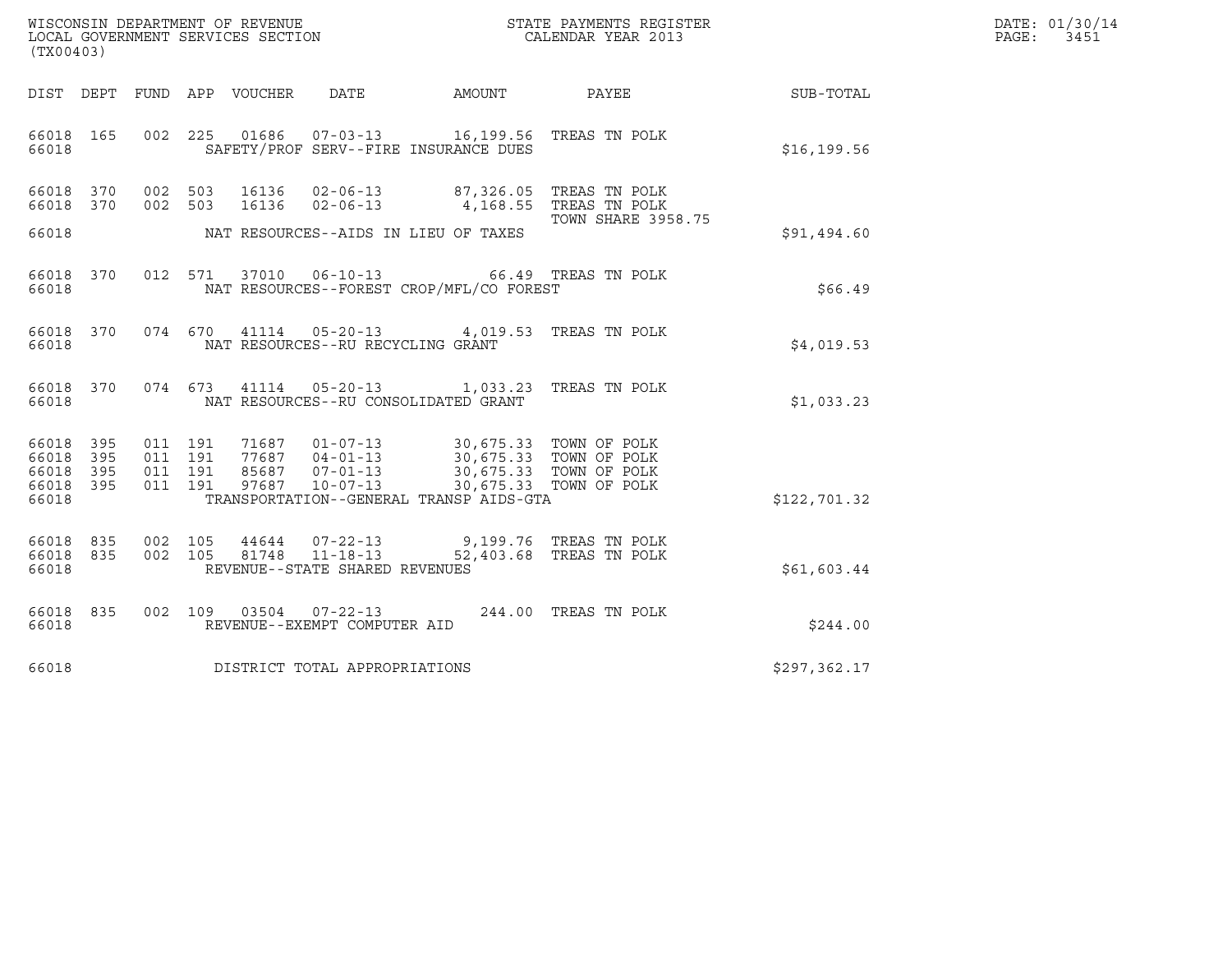| WISCONSIN DEPARTMENT OF REVENUE   | STATE PAYMENTS REGISTER | DATE: 01/30/14 |
|-----------------------------------|-------------------------|----------------|
| LOCAL GOVERNMENT SERVICES SECTION | CALENDAR YEAR 2013      | PAGE:<br>3451  |

|                                 | WISCONSIN DEPARTMENT OF REVENUE<br>LOCAL GOVERNMENT SERVICES SECTION<br>CALENDAR YEAR 2013<br>(TX00403) |  |  |  |                                     |                                                                                                                                                                     | $\mathbb{R}^n$                                       | DATE: 01/30/14<br>PAGE: 3451                                 |  |
|---------------------------------|---------------------------------------------------------------------------------------------------------|--|--|--|-------------------------------------|---------------------------------------------------------------------------------------------------------------------------------------------------------------------|------------------------------------------------------|--------------------------------------------------------------|--|
|                                 |                                                                                                         |  |  |  |                                     |                                                                                                                                                                     |                                                      | DIST DEPT FUND APP VOUCHER DATE AMOUNT PAYEE PAYER SUB-TOTAL |  |
|                                 |                                                                                                         |  |  |  |                                     | 66018 165 002 225 01686 07-03-13 16,199.56 TREAS TN POLK<br>66018 SAFETY/PROF SERV--FIRE INSURANCE DUES                                                             |                                                      | \$16, 199.56                                                 |  |
| 66018 370<br>66018 370          |                                                                                                         |  |  |  |                                     | 002 503 16136 02-06-13 87,326.05 TREAS TN POLK<br>002 503 16136 02-06-13 4,168.55 TREAS TN POLK                                                                     |                                                      |                                                              |  |
|                                 |                                                                                                         |  |  |  |                                     |                                                                                                                                                                     | <b>TOWN SHARE 3958.75</b>                            | \$91,494.60                                                  |  |
| 66018                           |                                                                                                         |  |  |  |                                     | NAT RESOURCES--FOREST CROP/MFL/CO FOREST                                                                                                                            | 66018 370 012 571 37010 06-10-13 66.49 TREAS TN POLK | \$66.49                                                      |  |
| 66018                           |                                                                                                         |  |  |  |                                     | 66018 370 074 670 41114 05-20-13 4,019.53 TREAS TN POLK<br>NAT RESOURCES--RU RECYCLING GRANT                                                                        |                                                      | \$4,019.53                                                   |  |
| 66018                           |                                                                                                         |  |  |  |                                     | 66018 370 074 673 41114 05-20-13 1,033.23 TREAS TN POLK<br>NAT RESOURCES--RU CONSOLIDATED GRANT                                                                     |                                                      | \$1,033.23                                                   |  |
| 66018 395<br>66018 395          |                                                                                                         |  |  |  |                                     |                                                                                                                                                                     |                                                      |                                                              |  |
| 66018 395<br>66018 395<br>66018 |                                                                                                         |  |  |  |                                     | TRANSPORTATION--GENERAL TRANSP AIDS-GTA                                                                                                                             |                                                      | \$122,701.32                                                 |  |
| 66018 835<br>66018 835<br>66018 |                                                                                                         |  |  |  | REVENUE--STATE SHARED REVENUES      | $\begin{array}{cccc} 002 & 105 & 44644 & 07-22-13 & 9,199.76 & \text{TREAS TN POLK} \\ 002 & 105 & 81748 & 11-18-13 & 52,403.68 & \text{TREAS TN POLK} \end{array}$ |                                                      | \$61,603.44                                                  |  |
| 66018 7                         |                                                                                                         |  |  |  | REVENUE--EXEMPT COMPUTER AID        | 66018 835 002 109 03504 07-22-13 244.00 TREAS TN POLK                                                                                                               |                                                      | \$244.00                                                     |  |
|                                 |                                                                                                         |  |  |  | 66018 DISTRICT TOTAL APPROPRIATIONS |                                                                                                                                                                     |                                                      | \$297, 362.17                                                |  |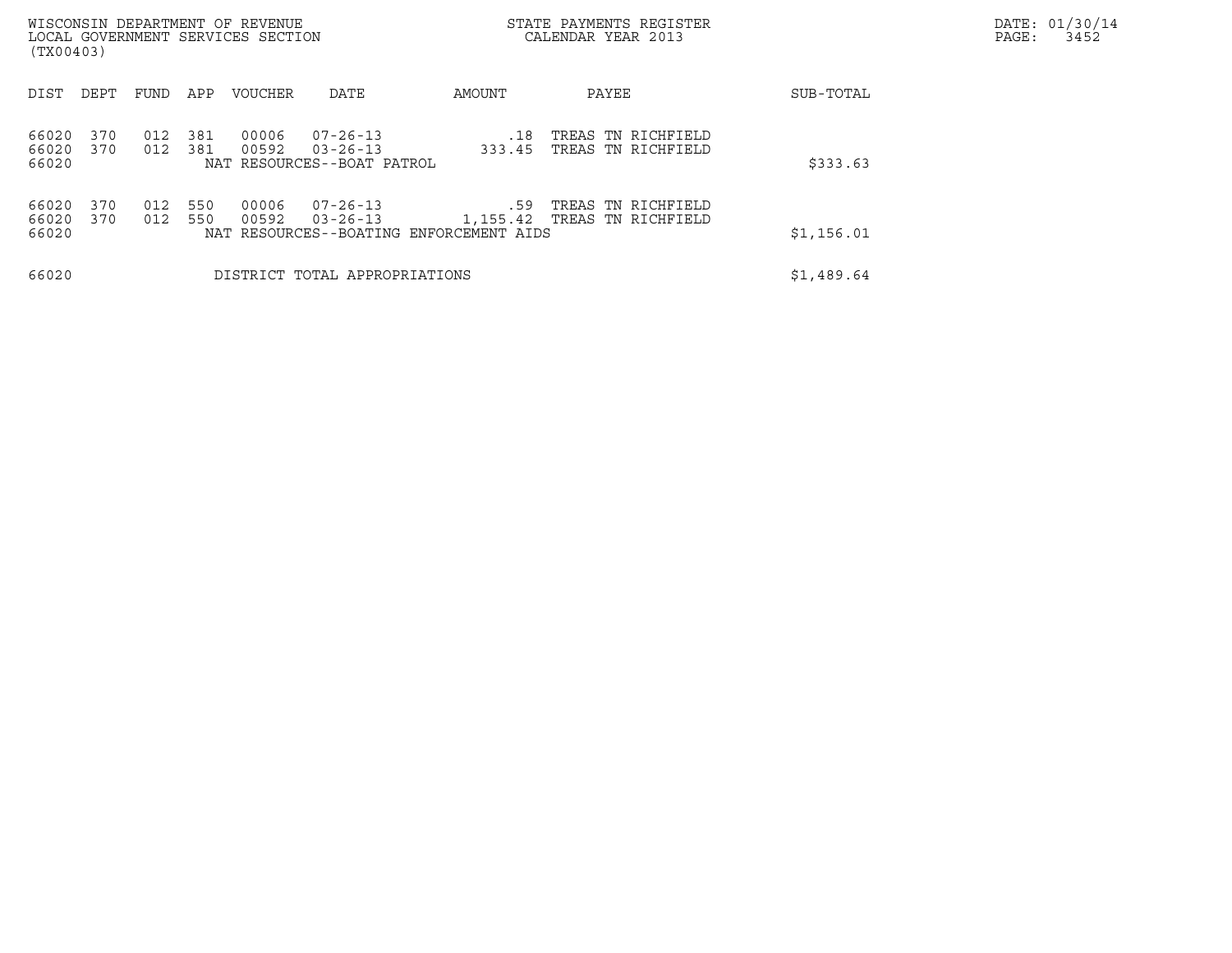| WISCONSIN DEPARTMENT OF REVENUE<br>LOCAL GOVERNMENT SERVICES SECTION<br>(TX00403) |            |            |                |                                                                       |                 | STATE PAYMENTS REGISTER<br>CALENDAR YEAR 2013 |            | DATE: 01/30/14<br>PAGE:<br>3452 |
|-----------------------------------------------------------------------------------|------------|------------|----------------|-----------------------------------------------------------------------|-----------------|-----------------------------------------------|------------|---------------------------------|
| DIST<br>DEPT                                                                      | FUND       | APP        | <b>VOUCHER</b> | DATE                                                                  | AMOUNT          | PAYEE                                         | SUB-TOTAL  |                                 |
| 66020<br>370<br>66020<br>370<br>66020                                             | 012<br>012 | 381<br>381 | 00006<br>00592 | $07 - 26 - 13$<br>$03 - 26 - 13$<br>NAT RESOURCES--BOAT PATROL        | .18<br>333.45   | TREAS TN RICHFIELD<br>TREAS TN RICHFIELD      | \$333.63   |                                 |
| 66020<br>370<br>66020<br>370<br>66020                                             | 012<br>012 | 550<br>550 | 00006<br>00592 | 07-26-13<br>$03 - 26 - 13$<br>NAT RESOURCES--BOATING ENFORCEMENT AIDS | .59<br>1,155.42 | TREAS TN RICHFIELD<br>TREAS TN RICHFIELD      | \$1,156.01 |                                 |
| 66020                                                                             |            |            |                | DISTRICT TOTAL APPROPRIATIONS                                         |                 |                                               | \$1,489.64 |                                 |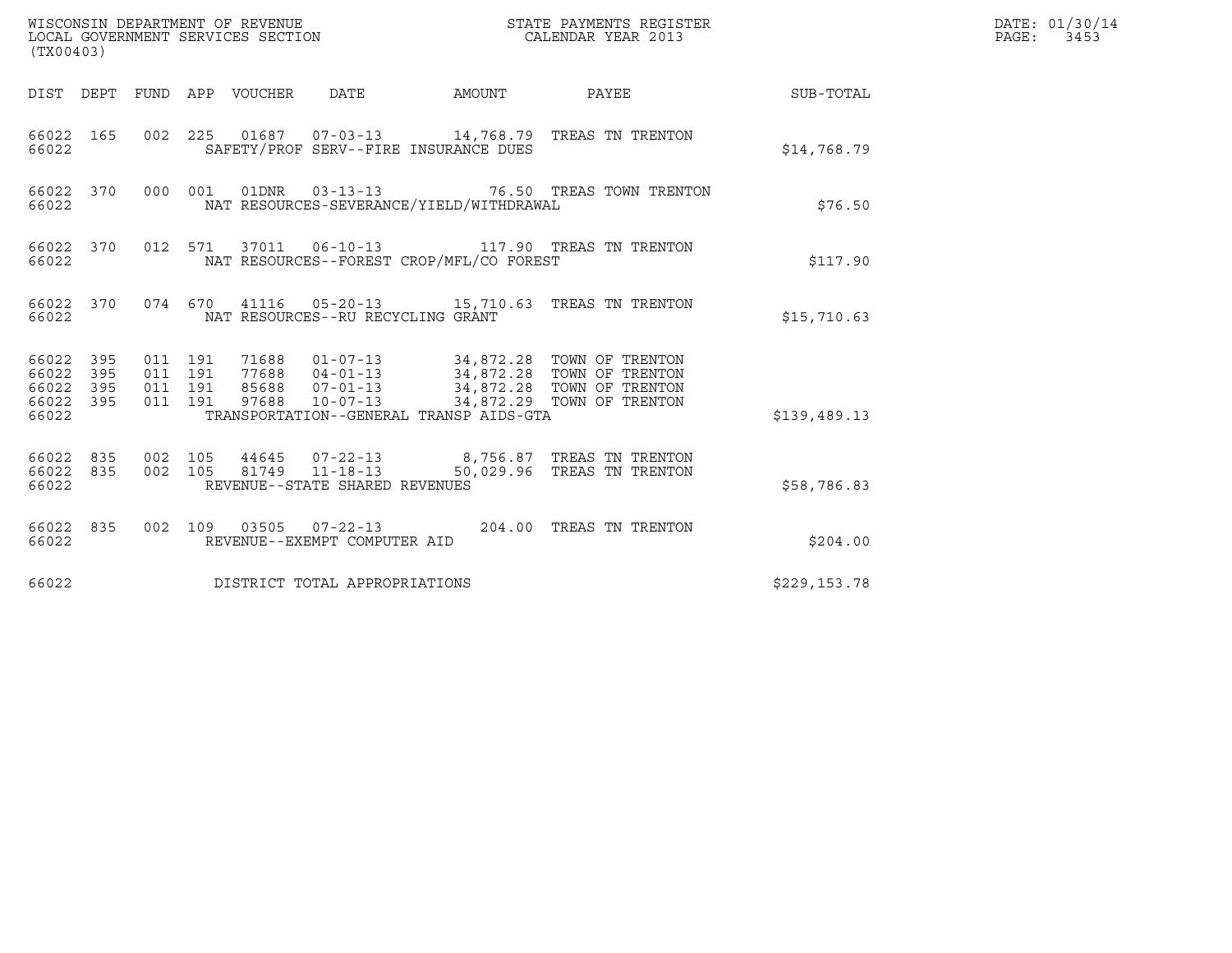| (TX00403)                                                                                                   | ${\tt WISCOONSIM} \begin{tabular}{lcccc} {\tt WISCO} & {\tt NEPARTMENT} & {\tt OF REVIEW} & {\tt MISCONSIMENTS} \begin{tabular}{lcccc} {\tt RECIS} \\ {\tt LOCALENDAR} & {\tt VERRIMENT} & {\tt SERVICES} & {\tt SECTION} \end{tabular} \end{tabular}$ | STATE PAYMENTS REGISTER    |              | DATE: 01/30/14<br>PAGE: 3453 |
|-------------------------------------------------------------------------------------------------------------|--------------------------------------------------------------------------------------------------------------------------------------------------------------------------------------------------------------------------------------------------------|----------------------------|--------------|------------------------------|
|                                                                                                             | AMOUNT<br>DIST DEPT FUND APP VOUCHER DATE                                                                                                                                                                                                              | PAYEE                      | SUB-TOTAL    |                              |
| 66022 165<br>66022                                                                                          | 002 225 01687 07-03-13 14,768.79 TREAS TN TRENTON<br>SAFETY/PROF SERV--FIRE INSURANCE DUES                                                                                                                                                             |                            | \$14,768.79  |                              |
| 66022 370<br>66022                                                                                          | 000 001 01DNR 03-13-13 76.50 TREAS TOWN TRENTON<br>NAT RESOURCES-SEVERANCE/YIELD/WITHDRAWAL                                                                                                                                                            |                            | \$76.50      |                              |
| 66022 370<br>66022                                                                                          | 012 571 37011 06-10-13 117.90 TREAS TN TRENTON<br>NAT RESOURCES--FOREST CROP/MFL/CO FOREST                                                                                                                                                             |                            | \$117.90     |                              |
| 66022 370<br>66022                                                                                          | 074 670 41116 05-20-13 15,710.63 TREAS TN TRENTON<br>NAT RESOURCES--RU RECYCLING GRANT                                                                                                                                                                 |                            | \$15,710.63  |                              |
| 66022 395<br>011 191<br>66022<br>395<br>011 191<br>395<br>011 191<br>66022<br>66022 395<br>011 191<br>66022 | 71688  01-07-13  34,872.28  TOWN OF TRENTON<br>77688  04-01-13  34,872.28  TOWN OF TRENTON<br>85688  07-01-13  34,872.28  TOWN OF TRENTON<br>97688  10-07-13  34,872.29  TOWN OF TRENTON<br>TRANSPORTATION--GENERAL TRANSP AIDS-GTA                    |                            | \$139,489.13 |                              |
| 66022 835<br>002 105<br>002 105<br>66022 835<br>66022                                                       | 44645 07-22-13 8,756.87 TREAS TN TRENTON<br>81749 11-18-13<br>REVENUE--STATE SHARED REVENUES                                                                                                                                                           | 50,029.96 TREAS TN TRENTON | \$58,786.83  |                              |
| 66022 835<br>66022                                                                                          | 002 109 03505 07-22-13 204.00 TREAS TN TRENTON<br>REVENUE--EXEMPT COMPUTER AID                                                                                                                                                                         |                            | \$204.00     |                              |
| 66022                                                                                                       | DISTRICT TOTAL APPROPRIATIONS                                                                                                                                                                                                                          |                            | \$229,153.78 |                              |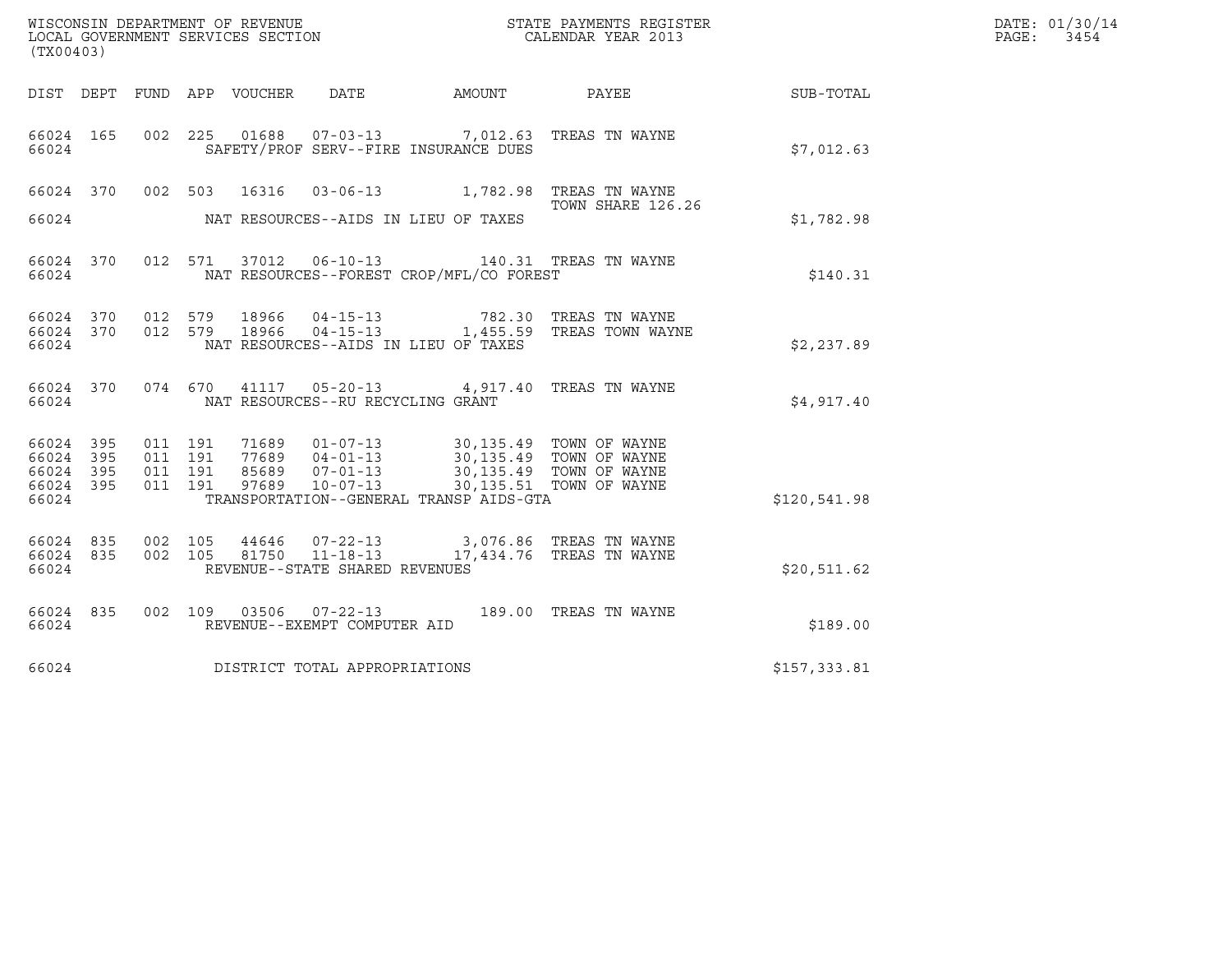|                                           |                          |                               |         |                  |                                                                    |                                                                                                                                   |                                                             |              | DATE: 01/30/14 |
|-------------------------------------------|--------------------------|-------------------------------|---------|------------------|--------------------------------------------------------------------|-----------------------------------------------------------------------------------------------------------------------------------|-------------------------------------------------------------|--------------|----------------|
| (TX00403)                                 |                          |                               |         |                  |                                                                    |                                                                                                                                   |                                                             |              | PAGE:<br>3454  |
| DIST DEPT                                 |                          |                               |         | FUND APP VOUCHER | DATE                                                               | AMOUNT                                                                                                                            | PAYEE                                                       | SUB-TOTAL    |                |
| 66024 165<br>66024                        |                          |                               |         |                  |                                                                    | 002 225 01688 07-03-13 7,012.63 TREAS TN WAYNE<br>SAFETY/PROF SERV--FIRE INSURANCE DUES                                           |                                                             | \$7,012.63   |                |
| 66024 370<br>66024                        |                          |                               | 002 503 | 16316            |                                                                    | 03-06-13 1,782.98 TREAS TN WAYNE<br>NAT RESOURCES--AIDS IN LIEU OF TAXES                                                          | TOWN SHARE 126.26                                           | \$1,782.98   |                |
| 66024 370<br>66024                        |                          |                               |         |                  |                                                                    | 012 571 37012 06-10-13 140.31 TREAS TN WAYNE<br>NAT RESOURCES--FOREST CROP/MFL/CO FOREST                                          |                                                             | \$140.31     |                |
| 66024 370<br>66024 370<br>66024           |                          | 012 579<br>012 579            |         | 18966            | 18966  04-15-13                                                    | NAT RESOURCES--AIDS IN LIEU OF TAXES                                                                                              | 782.30 TREAS TN WAYNE<br>04-15-13 1,455.59 TREAS TOWN WAYNE | \$2,237.89   |                |
| 66024 370<br>66024                        |                          |                               |         |                  | NAT RESOURCES--RU RECYCLING GRANT                                  | 074 670 41117 05-20-13 4,917.40 TREAS TN WAYNE                                                                                    |                                                             | \$4,917.40   |                |
| 66024<br>66024<br>66024<br>66024<br>66024 | 395<br>395<br>395<br>395 | 011 191<br>011 191<br>011 191 | 011 191 |                  |                                                                    | 71689  01-07-13  30,135.49  TOWN OF WAYNE<br>77689  04-01-13  30,135.49  TOWN OF WAYNE<br>TRANSPORTATION--GENERAL TRANSP AIDS-GTA | 30,135.49 TOWN OF WAYNE<br>30,135.51 TOWN OF WAYNE          | \$120,541.98 |                |
| 66024 835<br>66024 835<br>66024           |                          | 002 105<br>002 105            |         | 44646<br>81750   | $07 - 22 - 13$<br>$11 - 18 - 13$<br>REVENUE--STATE SHARED REVENUES |                                                                                                                                   | 3,076.86   TREAS  TN  WAYNE<br>17,434.76 TREAS TN WAYNE     | \$20,511.62  |                |
| 66024 835<br>66024                        |                          |                               |         |                  | REVENUE--EXEMPT COMPUTER AID                                       | 002 109 03506 07-22-13 189.00 TREAS TN WAYNE                                                                                      |                                                             | \$189.00     |                |
| 66024                                     |                          |                               |         |                  | DISTRICT TOTAL APPROPRIATIONS                                      |                                                                                                                                   |                                                             | \$157,333.81 |                |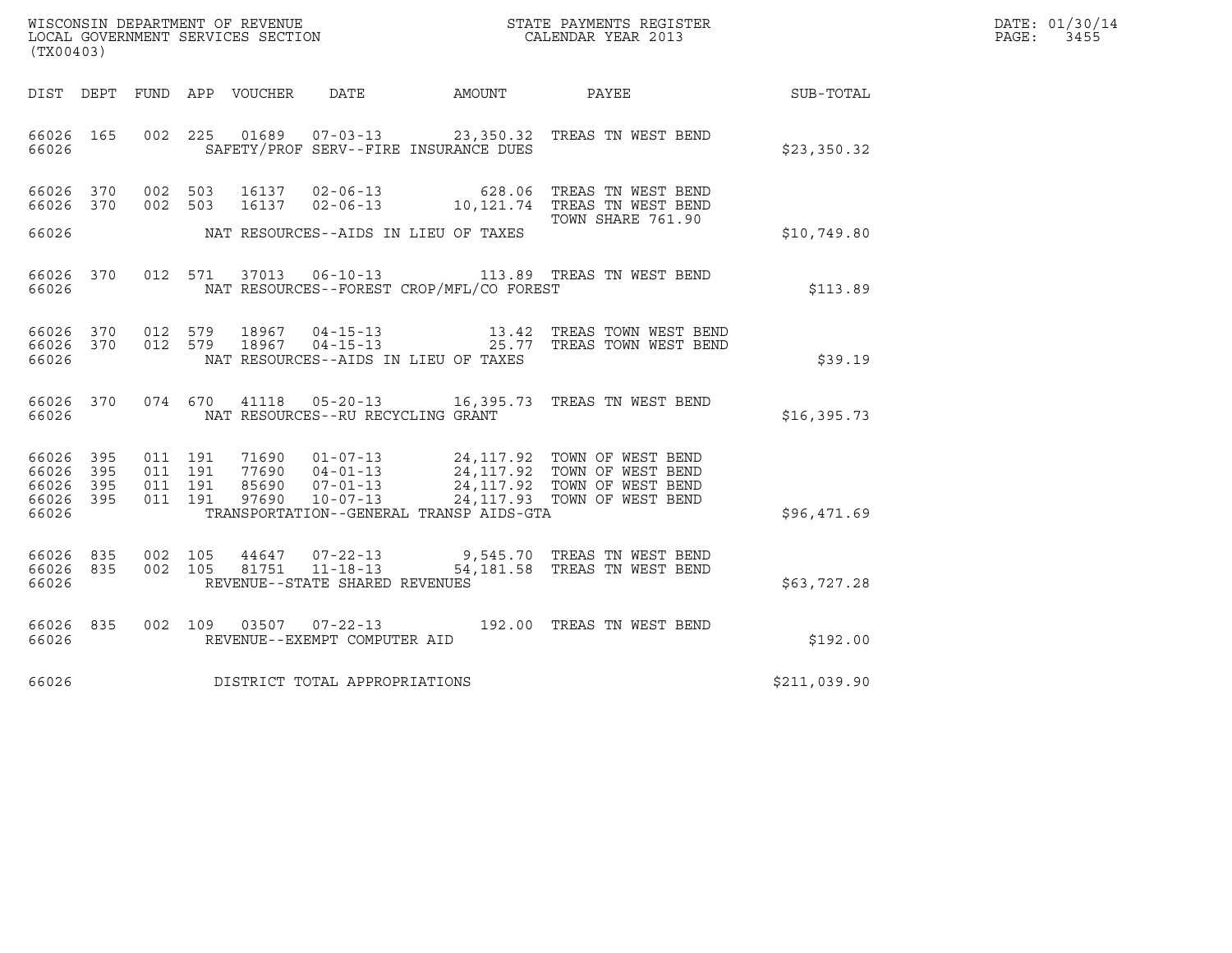| WISCONSIN DEPARTMENT OF REVENUE   | STATE PAYMENTS REGISTER | DATE: 01/30/14 |
|-----------------------------------|-------------------------|----------------|
| LOCAL GOVERNMENT SERVICES SECTION | CALENDAR YEAR 2013      | PAGE:<br>3455  |

| (TX00403)                                                 |                        |  | WISCONSIN DEPARTMENT OF REVENUE<br>LOCAL GOVERNMENT SERVICES SECTION<br>CALENDAR YEAR 2013 | $\mathbb{R}^n$                             | DATE: 01/30/14<br>PAGE: 3455                                                                                                                                                                                                                                                                                                  |              |  |
|-----------------------------------------------------------|------------------------|--|--------------------------------------------------------------------------------------------|--------------------------------------------|-------------------------------------------------------------------------------------------------------------------------------------------------------------------------------------------------------------------------------------------------------------------------------------------------------------------------------|--------------|--|
|                                                           |                        |  |                                                                                            |                                            | DIST DEPT FUND APP VOUCHER DATE AMOUNT PAYEE SUB-TOTAL                                                                                                                                                                                                                                                                        |              |  |
| 66026                                                     | 66026 165              |  |                                                                                            | SAFETY/PROF SERV--FIRE INSURANCE DUES      | 002 225 01689 07-03-13 23,350.32 TREAS TN WEST BEND                                                                                                                                                                                                                                                                           | \$23,350.32  |  |
|                                                           | 66026 370<br>66026 370 |  |                                                                                            |                                            | 002 503 16137 02-06-13 628.06 TREAS TN WEST BEND<br>002 503 16137 02-06-13 10,121.74 TREAS TN WEST BEND<br>TOWN SHARE 761.90                                                                                                                                                                                                  |              |  |
|                                                           |                        |  |                                                                                            | 66026 MAT RESOURCES--AIDS IN LIEU OF TAXES |                                                                                                                                                                                                                                                                                                                               | \$10,749.80  |  |
| 66026                                                     |                        |  |                                                                                            | NAT RESOURCES--FOREST CROP/MFL/CO FOREST   | 66026 370 012 571 37013 06-10-13 113.89 TREAS TN WEST BEND                                                                                                                                                                                                                                                                    | \$113.89     |  |
| 66026                                                     |                        |  |                                                                                            | NAT RESOURCES--AIDS IN LIEU OF TAXES       | 66026 370 012 579 18967 04-15-13 13.42 TREAS TOWN WEST BEND<br>66026 370 012 579 18967 04-15-13 25.77 TREAS TOWN WEST BEND                                                                                                                                                                                                    | \$39.19      |  |
| 66026                                                     | 66026 370              |  | NAT RESOURCES--RU RECYCLING GRANT                                                          |                                            | 074 670 41118 05-20-13 16,395.73 TREAS TN WEST BEND                                                                                                                                                                                                                                                                           | \$16,395.73  |  |
| 66026 395<br>66026 395<br>66026 395<br>66026 395<br>66026 |                        |  |                                                                                            | TRANSPORTATION--GENERAL TRANSP AIDS-GTA    | $\begin{array}{cccc} 011 & 191 & 71690 & 01-07-13 & 24,117.92 & \text{TOWN OF WEST BEND} \\ 011 & 191 & 77690 & 04-01-13 & 24,117.92 & \text{TOWN OF WEST BEND} \\ 011 & 191 & 85690 & 07-01-13 & 24,117.92 & \text{TOWN OF WEST BEND} \\ 011 & 191 & 97690 & 10-07-13 & 24,117.93 & \text{TOWN OF WEST BEND} \\ \end{array}$ | \$96,471.69  |  |
| 66026 835<br>66026                                        | 66026 835              |  | REVENUE--STATE SHARED REVENUES                                                             |                                            | 002 105 44647 07-22-13 9,545.70 TREAS TN WEST BEND<br>002 105 81751 11-18-13 54,181.58 TREAS TN WEST BEND                                                                                                                                                                                                                     | \$63,727.28  |  |
| 66026                                                     | 66026 835              |  | REVENUE--EXEMPT COMPUTER AID                                                               |                                            | 002 109 03507 07-22-13 192.00 TREAS TN WEST BEND                                                                                                                                                                                                                                                                              | \$192.00     |  |
| 66026                                                     |                        |  | DISTRICT TOTAL APPROPRIATIONS                                                              |                                            |                                                                                                                                                                                                                                                                                                                               | \$211,039.90 |  |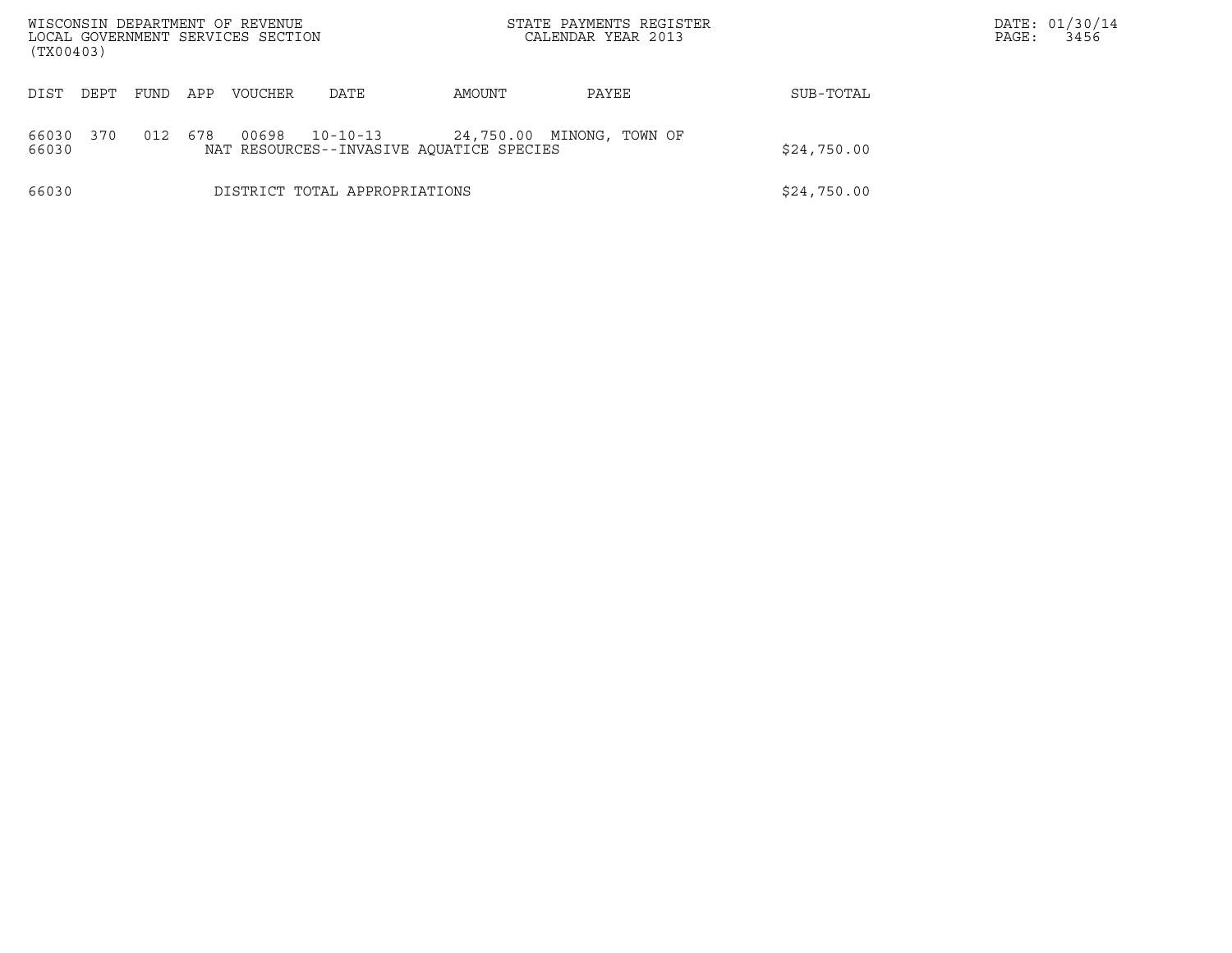|                | WISCONSIN DEPARTMENT OF REVENUE<br>LOCAL GOVERNMENT SERVICES SECTION<br>(TX00403) |      |     |                |                                                            |                           | STATE PAYMENTS REGISTER<br>CALENDAR YEAR 2013 |             | PAGE: | DATE: 01/30/14<br>3456 |
|----------------|-----------------------------------------------------------------------------------|------|-----|----------------|------------------------------------------------------------|---------------------------|-----------------------------------------------|-------------|-------|------------------------|
| DIST           | DEPT                                                                              | FUND | APP | <b>VOUCHER</b> | DATE                                                       | AMOUNT                    | PAYEE                                         | SUB-TOTAL   |       |                        |
| 66030<br>66030 | 370                                                                               | 012  | 678 | 00698          | $10 - 10 - 13$<br>NAT RESOURCES--INVASIVE AQUATICE SPECIES | 24,750.00 MINONG, TOWN OF |                                               | \$24,750.00 |       |                        |
| 66030          |                                                                                   |      |     |                | DISTRICT TOTAL APPROPRIATIONS                              |                           |                                               | \$24,750.00 |       |                        |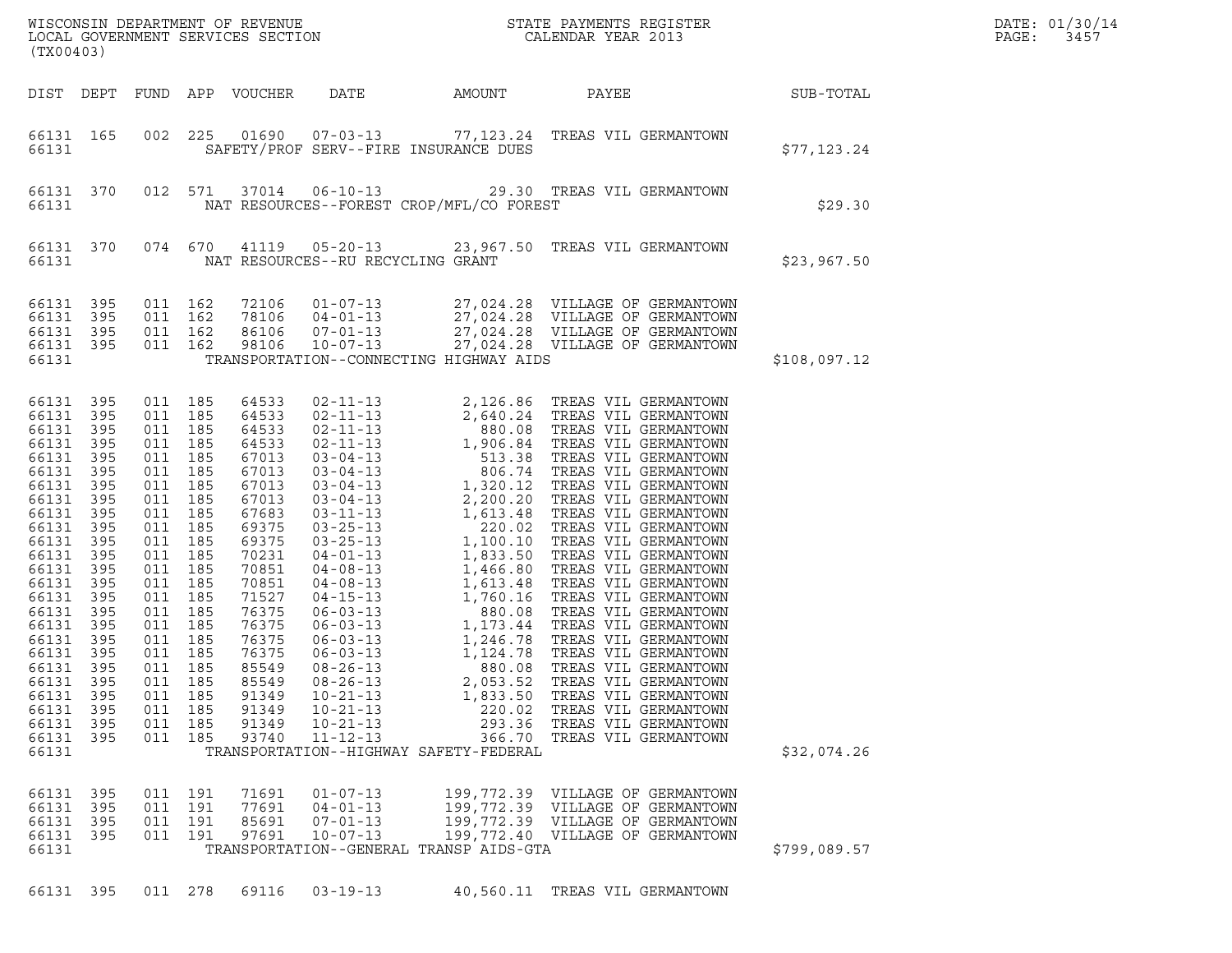| (TX00403)                                                                                                                                                                                                                                                                                                                                                                                              |     |                                                                                                                                                                                                                                                                                                                                                                                                                                                                                                              |                                                                                                          | DATE: 01/30/14<br>PAGE:<br>3457                  |                                                                                                                                                                                                                                                                                                            |              |  |
|--------------------------------------------------------------------------------------------------------------------------------------------------------------------------------------------------------------------------------------------------------------------------------------------------------------------------------------------------------------------------------------------------------|-----|--------------------------------------------------------------------------------------------------------------------------------------------------------------------------------------------------------------------------------------------------------------------------------------------------------------------------------------------------------------------------------------------------------------------------------------------------------------------------------------------------------------|----------------------------------------------------------------------------------------------------------|--------------------------------------------------|------------------------------------------------------------------------------------------------------------------------------------------------------------------------------------------------------------------------------------------------------------------------------------------------------------|--------------|--|
|                                                                                                                                                                                                                                                                                                                                                                                                        |     | DIST DEPT FUND APP VOUCHER                                                                                                                                                                                                                                                                                                                                                                                                                                                                                   | DATE                                                                                                     | AMOUNT                                           | PAYEE SUB-TOTAL                                                                                                                                                                                                                                                                                            |              |  |
| 66131 165<br>66131                                                                                                                                                                                                                                                                                                                                                                                     |     |                                                                                                                                                                                                                                                                                                                                                                                                                                                                                                              |                                                                                                          | SAFETY/PROF SERV--FIRE INSURANCE DUES            | 002 225 01690 07-03-13 77,123.24 TREAS VIL GERMANTOWN                                                                                                                                                                                                                                                      | \$77,123.24  |  |
| 66131 370<br>66131                                                                                                                                                                                                                                                                                                                                                                                     |     |                                                                                                                                                                                                                                                                                                                                                                                                                                                                                                              |                                                                                                          | NAT RESOURCES--FOREST CROP/MFL/CO FOREST         | 012 571 37014 06-10-13 29.30 TREAS VIL GERMANTOWN                                                                                                                                                                                                                                                          | \$29.30      |  |
| 66131 370<br>66131                                                                                                                                                                                                                                                                                                                                                                                     |     |                                                                                                                                                                                                                                                                                                                                                                                                                                                                                                              | NAT RESOURCES--RU RECYCLING GRANT                                                                        |                                                  | 074 670 41119 05-20-13 23,967.50 TREAS VIL GERMANTOWN                                                                                                                                                                                                                                                      | \$23,967.50  |  |
| 66131 395<br>66131<br>395<br>66131 395<br>66131 395<br>66131                                                                                                                                                                                                                                                                                                                                           |     | 011 162<br>72106<br>011 162<br>78106<br>011 162<br>86106<br>011 162<br>98106                                                                                                                                                                                                                                                                                                                                                                                                                                 |                                                                                                          | TRANSPORTATION--CONNECTING HIGHWAY AIDS          | $\begin{tabular}{c c c c c c c c c} \multicolumn{1}{c}{01-07-13} & & 27,024.28 & \text{VILLAGE OF GERMANTOWN} \\ 04-01-13 & & 27,024.28 & \text{VILLAGE OF GERMANTOWN} \\ 07-01-13 & & 27,024.28 & \text{VILLAGE OF GERMANTOWN} \\ 10-07-13 & & 27,024.28 & \text{VILLAGE OF GERMANTOWN} \\ \end{tabular}$ | \$108,097.12 |  |
| 66131<br>395<br>66131 395<br>66131<br>395<br>66131<br>395<br>66131<br>395<br>66131<br>395<br>66131<br>395<br>395<br>66131<br>66131<br>395<br>66131<br>395<br>66131<br>395<br>66131<br>395<br>66131<br>395<br>66131<br>395<br>66131<br>395<br>66131<br>395<br>66131<br>395<br>66131<br>395<br>66131<br>395<br>66131 395<br>66131<br>395<br>66131 395<br>66131<br>395<br>66131 395<br>66131 395<br>66131 | 011 | 011 185<br>64533<br>011 185<br>64533<br>011 185<br>64533<br>011 185<br>64533<br>011 185<br>67013<br>011 185<br>67013<br>011 185<br>67013<br>011 185<br>67013<br>011 185<br>67683<br>011 185<br>69375<br>69375<br>011 185<br>011 185<br>70231<br>011 185<br>70851<br>011 185<br>70851<br>011 185<br>71527<br>011 185<br>76375<br>76375<br>011 185<br>011 185<br>76375<br>76375<br>011 185<br>011 185<br>85549<br>185<br>85549<br>011 185<br>91349<br>011 185<br>91349<br>91349<br>011 185<br>93740<br>011 185 | $08 - 26 - 13$<br>$08 - 26 - 13$<br>$10 - 21 - 13$<br>$10 - 21 - 13$<br>$10 - 21 - 13$<br>$11 - 12 - 13$ | 220.02<br>TRANSPORTATION--HIGHWAY SAFETY-FEDERAL | 880.08 TREAS VIL GERMANTOWN<br>2,053.52 TREAS VIL GERMANTOWN<br>1,833.50 TREAS VIL GERMANTOWN<br>TREAS VIL GERMANTOWN<br>293.36 TREAS VIL GERMANTOWN<br>366.70 TREAS VIL GERMANTOWN                                                                                                                        | \$32,074.26  |  |
| 66131 395<br>66131 395<br>66131<br>- 395<br>66131 395<br>66131                                                                                                                                                                                                                                                                                                                                         |     | 011 191<br>71691<br>011 191<br>77691<br>011 191<br>85691<br>011 191<br>97691                                                                                                                                                                                                                                                                                                                                                                                                                                 | $01 - 07 - 13$<br>$04 - 01 - 13$<br>$07 - 01 - 13$<br>$10 - 07 - 13$                                     | TRANSPORTATION--GENERAL TRANSP AIDS-GTA          | 199,772.39 VILLAGE OF GERMANTOWN<br>199,772.39 VILLAGE OF GERMANTOWN<br>199,772.39 VILLAGE OF GERMANTOWN<br>199,772.40 VILLAGE OF GERMANTOWN                                                                                                                                                               | \$799,089.57 |  |

66131 395 011 278 69116 03-19-13 40,560.11 TREAS VIL GERMANTOWN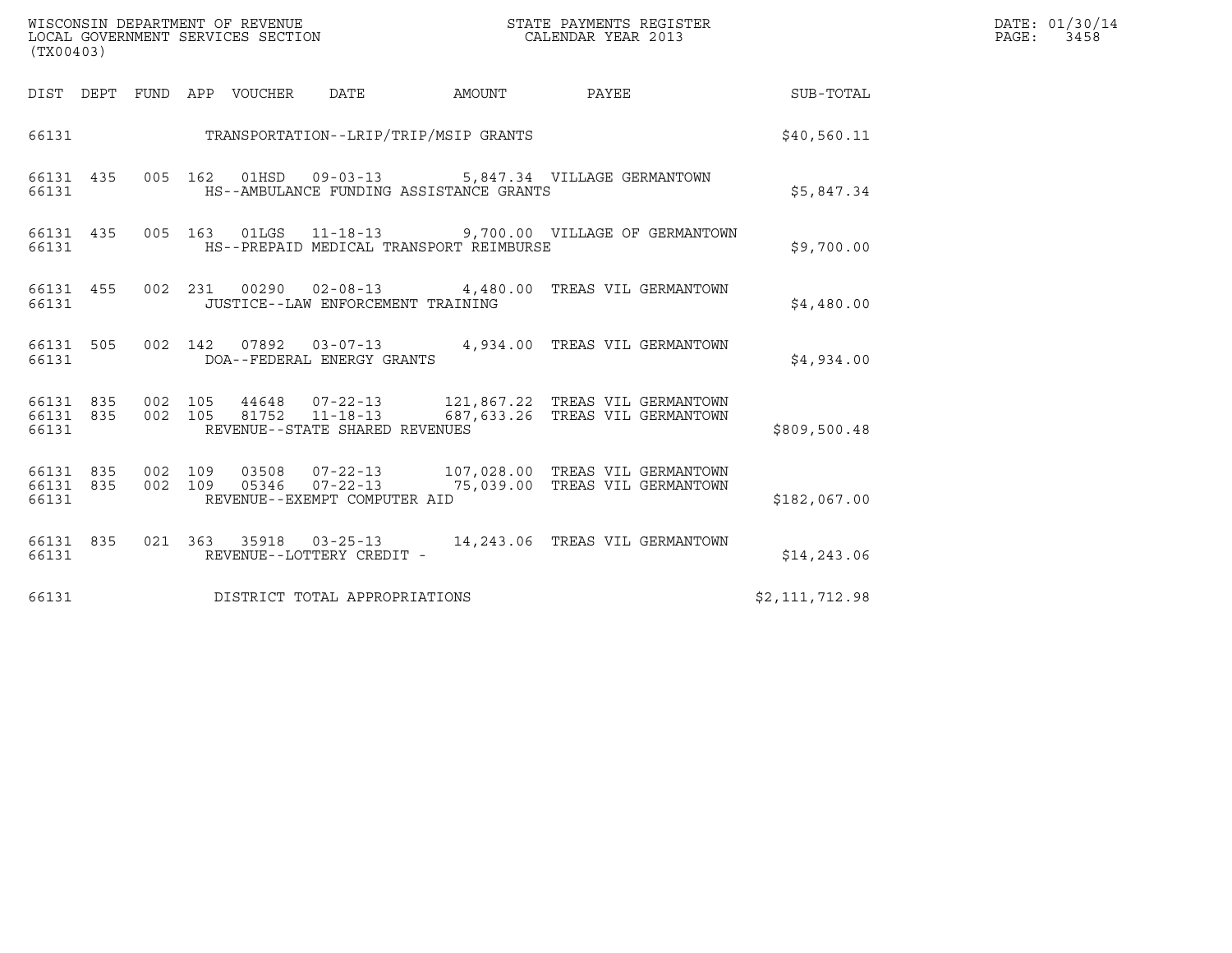|                                 | WISCONSIN DEPARTMENT OF REVENUE<br>LOCAL GOVERNMENT SERVICES SECTION<br>(TX00403) |                    |  |  |                                                   |  | STATE PAYMENTS REGISTER<br>CALENDAR YEAR 2013                                                       |                | DATE: 01/30/14<br>$\mathtt{PAGE:}$<br>3458 |
|---------------------------------|-----------------------------------------------------------------------------------|--------------------|--|--|---------------------------------------------------|--|-----------------------------------------------------------------------------------------------------|----------------|--------------------------------------------|
|                                 |                                                                                   |                    |  |  | DIST DEPT FUND APP VOUCHER DATE AMOUNT PAYEE      |  |                                                                                                     | SUB-TOTAL      |                                            |
| 66131 700                       |                                                                                   |                    |  |  | TRANSPORTATION--LRIP/TRIP/MSIP GRANTS             |  |                                                                                                     | \$40,560.11    |                                            |
| 66131 435<br>66131              |                                                                                   |                    |  |  | HS--AMBULANCE FUNDING ASSISTANCE GRANTS           |  | 005 162 01HSD 09-03-13 5,847.34 VILLAGE GERMANTOWN                                                  | \$5,847.34     |                                            |
| 66131 435<br>66131              |                                                                                   |                    |  |  | HS--PREPAID MEDICAL TRANSPORT REIMBURSE           |  | 005 163 01LGS 11-18-13 9,700.00 VILLAGE OF GERMANTOWN                                               | \$9,700.00     |                                            |
| 66131 455<br>66131              |                                                                                   |                    |  |  | JUSTICE--LAW ENFORCEMENT TRAINING                 |  | 002 231 00290 02-08-13 4,480.00 TREAS VIL GERMANTOWN                                                | \$4,480.00     |                                            |
| 66131 505<br>66131              |                                                                                   |                    |  |  | DOA--FEDERAL ENERGY GRANTS                        |  | 002 142 07892 03-07-13 4,934.00 TREAS VIL GERMANTOWN                                                | \$4,934.00     |                                            |
| 66131 835<br>66131 835<br>66131 |                                                                                   | 002 105            |  |  | 81752  11-18-13<br>REVENUE--STATE SHARED REVENUES |  | 002 105 44648 07-22-13 121,867.22 TREAS VIL GERMANTOWN<br>687, 633.26 TREAS VIL GERMANTOWN          | \$809,500.48   |                                            |
| 66131 835<br>66131 835<br>66131 |                                                                                   | 002 109<br>002 109 |  |  | REVENUE--EXEMPT COMPUTER AID                      |  | 03508  07-22-13  107,028.00 TREAS VIL GERMANTOWN<br>05346  07-22-13  75,039.00 TREAS VIL GERMANTOWN | \$182,067.00   |                                            |
| 66131 835<br>66131              |                                                                                   |                    |  |  | REVENUE--LOTTERY CREDIT -                         |  | 021  363  35918  03-25-13  14,243.06  TREAS VIL GERMANTOWN                                          | \$14, 243.06   |                                            |
| 66131                           |                                                                                   |                    |  |  | DISTRICT TOTAL APPROPRIATIONS                     |  |                                                                                                     | \$2,111,712.98 |                                            |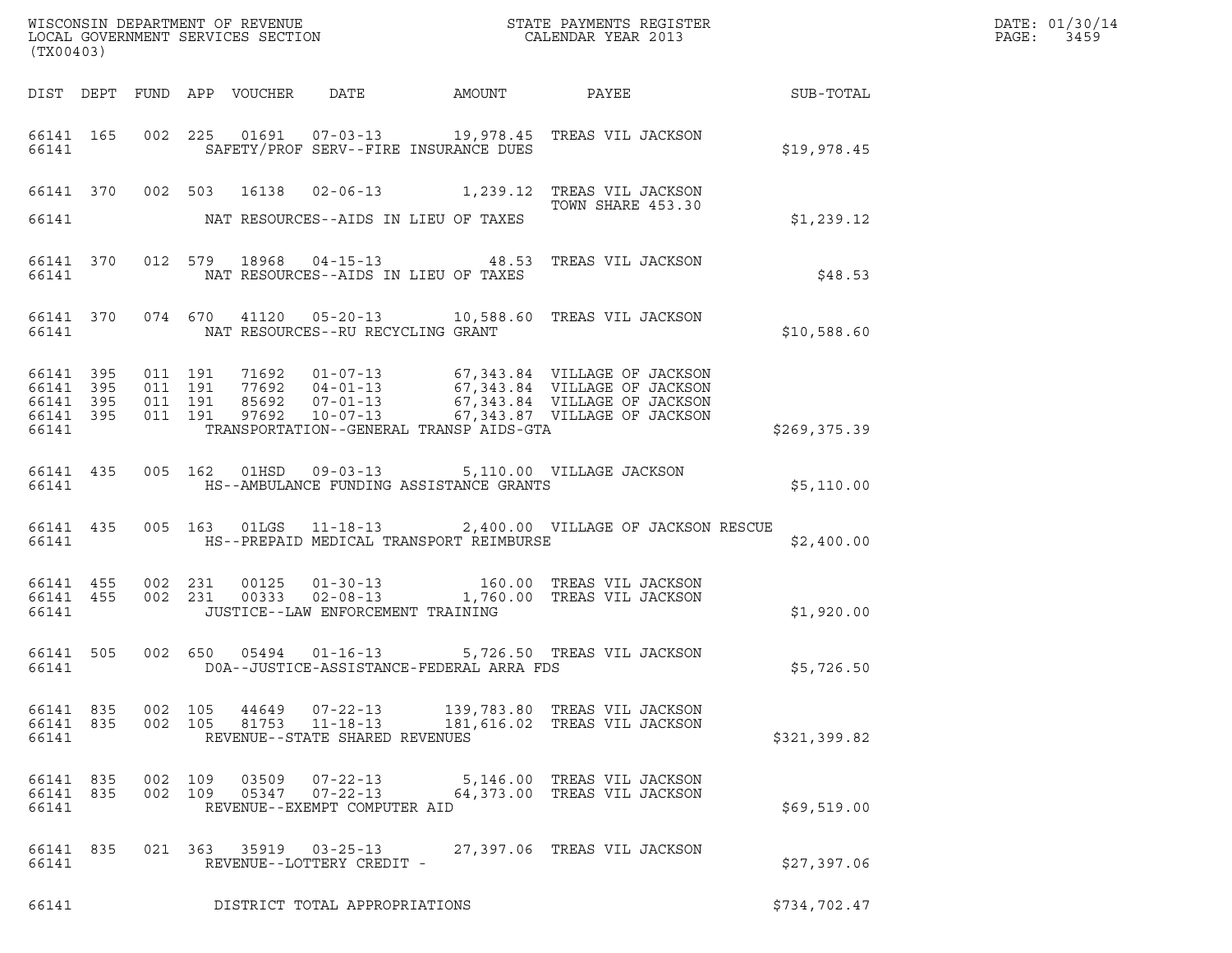| WISCONSIN DEPARTMENT OF REVENUE ${\small \begin{array}{ll} \text{MISCONS} \\ \text{LOCAL GOVERIMENTS} \\ \text{LOCAL EODAR} \end{array}}$<br>(TX00403) |            |                   |                               |                                 |                                                                    |  |                                                                                                  |              | DATE: 01/30/14<br>$\mathtt{PAGE}$ :<br>3459 |
|--------------------------------------------------------------------------------------------------------------------------------------------------------|------------|-------------------|-------------------------------|---------------------------------|--------------------------------------------------------------------|--|--------------------------------------------------------------------------------------------------|--------------|---------------------------------------------|
|                                                                                                                                                        |            |                   |                               | DIST DEPT FUND APP VOUCHER DATE |                                                                    |  | AMOUNT PAYEE SUB-TOTAL                                                                           |              |                                             |
| 66141                                                                                                                                                  |            |                   |                               |                                 | SAFETY/PROF SERV--FIRE INSURANCE DUES                              |  | 66141 165 002 225 01691 07-03-13 19,978.45 TREAS VIL JACKSON                                     | \$19,978.45  |                                             |
| 66141                                                                                                                                                  |            |                   |                               |                                 | NAT RESOURCES--AIDS IN LIEU OF TAXES                               |  | 66141 370 002 503 16138 02-06-13 1,239.12 TREAS VIL JACKSON<br>TOWN SHARE 453.30                 | \$1,239.12   |                                             |
| 66141                                                                                                                                                  |            |                   |                               |                                 | NAT RESOURCES--AIDS IN LIEU OF TAXES                               |  | 66141 370 012 579 18968 04-15-13 48.53 TREAS VIL JACKSON                                         | \$48.53      |                                             |
| 66141                                                                                                                                                  |            |                   |                               |                                 | NAT RESOURCES--RU RECYCLING GRANT                                  |  | 66141 370 074 670 41120 05-20-13 10,588.60 TREAS VIL JACKSON                                     | \$10,588.60  |                                             |
| 66141 395<br>66141 395<br>66141<br>66141 395<br>66141                                                                                                  | 395        | 011 191           | 011 191<br>011 191<br>011 191 |                                 | TRANSPORTATION--GENERAL TRANSP AIDS-GTA                            |  |                                                                                                  | \$269,375.39 |                                             |
| 66141                                                                                                                                                  | 66141 435  |                   |                               |                                 | HS--AMBULANCE FUNDING ASSISTANCE GRANTS                            |  | 005 162 01HSD 09-03-13 5,110.00 VILLAGE JACKSON                                                  | \$5,110.00   |                                             |
| 66141                                                                                                                                                  | 66141 435  |                   |                               |                                 | HS--PREPAID MEDICAL TRANSPORT REIMBURSE                            |  | 005 163 01LGS 11-18-13 2,400.00 VILLAGE OF JACKSON RESCUE                                        | \$2,400.00   |                                             |
| 66141                                                                                                                                                  | 66141 455  | 66141 455 002 231 | 002 231                       |                                 | JUSTICE--LAW ENFORCEMENT TRAINING                                  |  | 00125   01-30-13   160.00 TREAS   VIL JACKSON<br>00333   02-08-13   1,760.00 TREAS   VIL JACKSON | \$1,920.00   |                                             |
| 66141                                                                                                                                                  | 66141 505  |                   |                               |                                 | DOA--JUSTICE-ASSISTANCE-FEDERAL ARRA FDS                           |  | 002 650 05494 01-16-13 5,726.50 TREAS VIL JACKSON                                                | \$5,726.50   |                                             |
| 66141 835<br>66141 835<br>66141                                                                                                                        |            | 002 105           | 002 105                       | 44649<br>81753                  | $07 - 22 - 13$<br>$11 - 18 - 13$<br>REVENUE--STATE SHARED REVENUES |  | 139,783.80 TREAS VIL JACKSON<br>181,616.02 TREAS VIL JACKSON                                     | \$321,399.82 |                                             |
| 66141<br>66141<br>66141                                                                                                                                | 835<br>835 | 002 109           | 002 109                       | 03509<br>05347                  | $07 - 22 - 13$<br>07-22-13<br>REVENUE--EXEMPT COMPUTER AID         |  | 5,146.00 TREAS VIL JACKSON<br>64,373.00 TREAS VIL JACKSON                                        | \$69,519.00  |                                             |
| 66141 835<br>66141                                                                                                                                     |            |                   | 021 363                       | 35919                           | $03 - 25 - 13$<br>REVENUE--LOTTERY CREDIT -                        |  | 27,397.06 TREAS VIL JACKSON                                                                      | \$27,397.06  |                                             |
| 66141                                                                                                                                                  |            |                   |                               |                                 | DISTRICT TOTAL APPROPRIATIONS                                      |  |                                                                                                  | \$734,702.47 |                                             |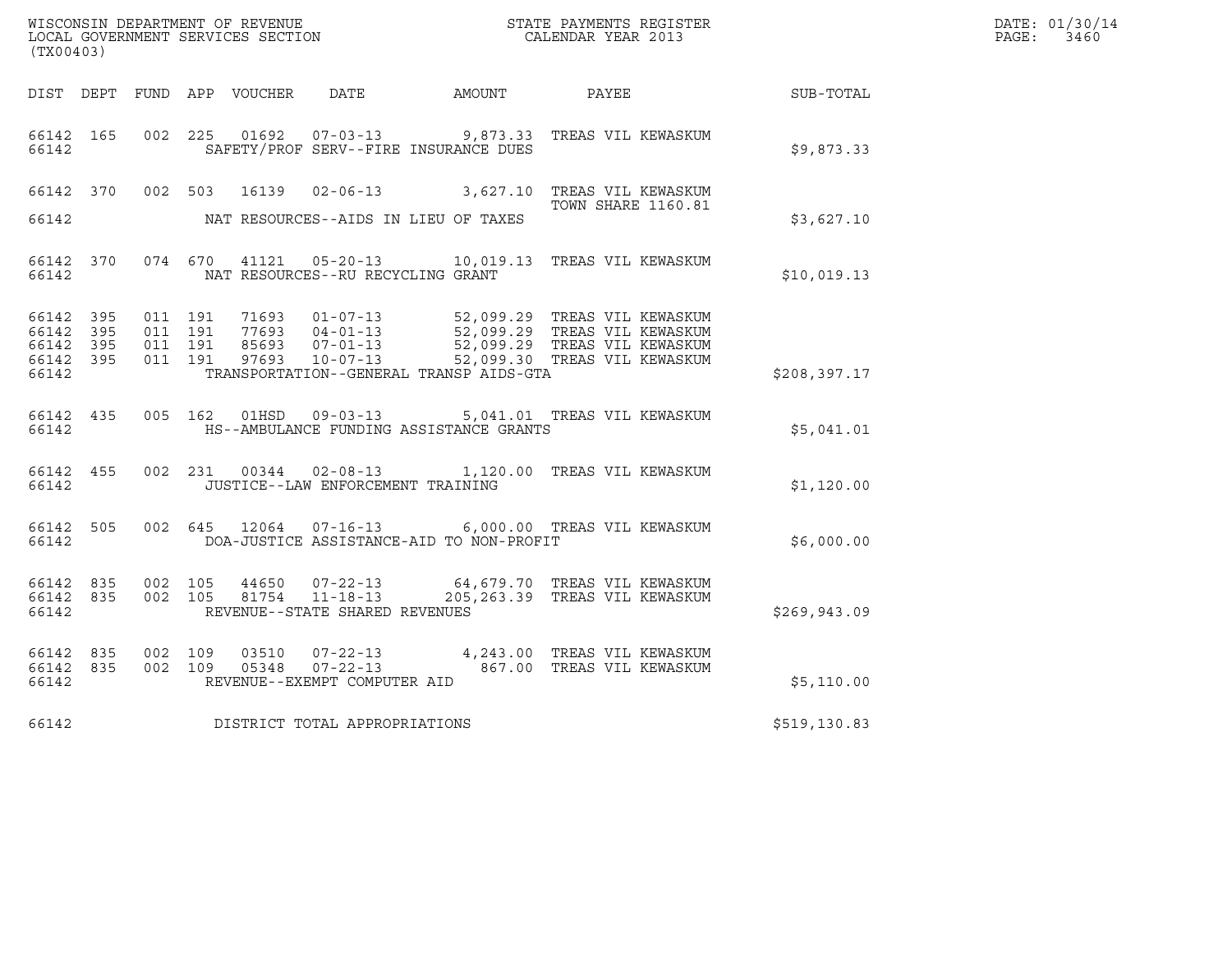| WISCONSIN DEPARTMENT OF REVENUE   | STATE PAYMENTS REGISTER | DATE: 01/30/14 |
|-----------------------------------|-------------------------|----------------|
| LOCAL GOVERNMENT SERVICES SECTION | CALENDAR YEAR 2013      | PAGE:<br>3460  |

| (TX00403)                       |                        |                                          |  |                                   |                                                      |                                                                                                                                                                                                          |              | DATE: 01/30/14<br>PAGE:<br>3460 |
|---------------------------------|------------------------|------------------------------------------|--|-----------------------------------|------------------------------------------------------|----------------------------------------------------------------------------------------------------------------------------------------------------------------------------------------------------------|--------------|---------------------------------|
|                                 |                        |                                          |  |                                   |                                                      |                                                                                                                                                                                                          |              |                                 |
|                                 |                        | 66142                                    |  |                                   | SAFETY/PROF SERV--FIRE INSURANCE DUES                | 66142 165 002 225 01692 07-03-13 9,873.33 TREAS VIL KEWASKUM                                                                                                                                             | \$9,873.33   |                                 |
|                                 |                        |                                          |  |                                   |                                                      | 66142 370 002 503 16139 02-06-13 3,627.10 TREAS VIL KEWASKUM<br><b>TOWN SHARE 1160.81</b>                                                                                                                | \$3,627.10   |                                 |
|                                 | 66142                  |                                          |  | NAT RESOURCES--RU RECYCLING GRANT |                                                      | 66142 370 074 670 41121 05-20-13 10,019.13 TREAS VIL KEWASKUM                                                                                                                                            | \$10,019.13  |                                 |
| 66142 395<br>66142 395<br>66142 | 66142 395<br>66142 395 | 011 191<br>011 191<br>011 191<br>011 191 |  |                                   | TRANSPORTATION--GENERAL TRANSP AIDS-GTA              | 71693  01-07-13  52,099.29  TREAS  VIL KEWASKUM<br>77693  04-01-13  52,099.29  TREAS  VIL KEWASKUM<br>85693  07-01-13  52,099.29  TREAS  VIL KEWASKUM<br>97693  10-07-13  52,099.30  TREAS  VIL KEWASKUM | \$208,397.17 |                                 |
|                                 |                        |                                          |  |                                   | 66142 <b>HS--AMBULANCE FUNDING ASSISTANCE GRANTS</b> | 66142 435 005 162 01HSD 09-03-13 5,041.01 TREAS VIL KEWASKUM                                                                                                                                             | \$5,041.01   |                                 |
|                                 | 66142                  |                                          |  | JUSTICE--LAW ENFORCEMENT TRAINING |                                                      | 66142 455 002 231 00344 02-08-13 1,120.00 TREAS VIL KEWASKUM                                                                                                                                             | \$1,120.00   |                                 |
| 66142                           | 66142 505              |                                          |  |                                   | DOA-JUSTICE ASSISTANCE-AID TO NON-PROFIT             | 002 645 12064 07-16-13 6,000.00 TREAS VIL KEWASKUM                                                                                                                                                       | \$6,000.00   |                                 |
| 66142                           |                        |                                          |  | REVENUE--STATE SHARED REVENUES    |                                                      | 66142 835 002 105 44650 07-22-13 64,679.70 TREAS VIL KEWASKUM<br>66142 835 002 105 81754 11-18-13 205,263.39 TREAS VIL KEWASKUM                                                                          | \$269,943.09 |                                 |
| 66142                           | 66142 835              | 66142 835 002 109                        |  | REVENUE--EXEMPT COMPUTER AID      |                                                      | 002 109 03510 07-22-13 4,243.00 TREAS VIL KEWASKUM<br>002 109 05348 07-22-13 667.00 TREAS VIL KEWASKUM                                                                                                   | \$5,110.00   |                                 |
| 66142                           |                        |                                          |  | DISTRICT TOTAL APPROPRIATIONS     |                                                      |                                                                                                                                                                                                          | \$519,130.83 |                                 |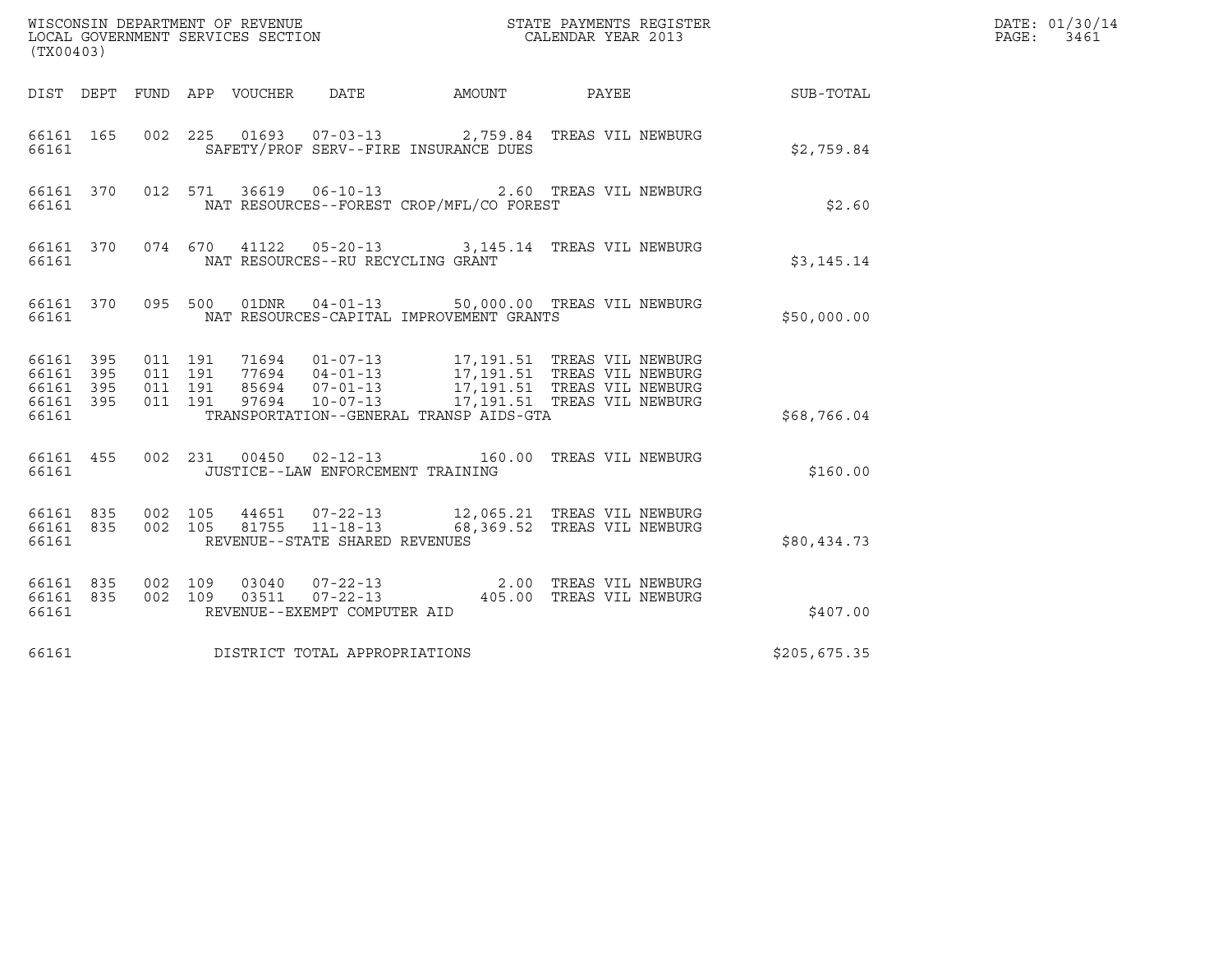| (TX00403)                                                 |                                          |         |                                 |                                                  |                                                                                                                                                                                                                                                 | DATE: 01/30/14<br>$\mathtt{PAGE:}$<br>3461 |                                         |  |
|-----------------------------------------------------------|------------------------------------------|---------|---------------------------------|--------------------------------------------------|-------------------------------------------------------------------------------------------------------------------------------------------------------------------------------------------------------------------------------------------------|--------------------------------------------|-----------------------------------------|--|
|                                                           |                                          |         | DIST DEPT FUND APP VOUCHER DATE |                                                  | AMOUNT                                                                                                                                                                                                                                          |                                            | <b>PAYEE</b> FOR THE PAYEE<br>SUB-TOTAL |  |
| 66161 165<br>66161                                        |                                          |         |                                 |                                                  | 002 225 01693 07-03-13 2,759.84 TREAS VIL NEWBURG<br>SAFETY/PROF SERV--FIRE INSURANCE DUES                                                                                                                                                      |                                            | \$2,759.84                              |  |
| 66161 370<br>66161                                        |                                          |         |                                 |                                                  | 012 571 36619 06-10-13 2.60 TREAS VIL NEWBURG<br>NAT RESOURCES--FOREST CROP/MFL/CO FOREST                                                                                                                                                       |                                            | \$2.60                                  |  |
| 66161 370<br>66161                                        |                                          |         |                                 | NAT RESOURCES--RU RECYCLING GRANT                | 074 670 41122 05-20-13 3,145.14 TREAS VIL NEWBURG                                                                                                                                                                                               |                                            | \$3,145.14                              |  |
| 66161                                                     |                                          |         |                                 |                                                  | 66161 370 095 500 01DNR 04-01-13 50,000.00 TREAS VIL NEWBURG<br>NAT RESOURCES-CAPITAL IMPROVEMENT GRANTS                                                                                                                                        |                                            | \$50,000.00                             |  |
| 66161 395<br>66161 395<br>66161 395<br>66161 395<br>66161 | 011 191<br>011 191<br>011 191<br>011 191 |         |                                 |                                                  | 71694  01-07-13  17,191.51  TREAS  VIL NEWBURG<br>77694  04-01-13  17,191.51  TREAS  VIL NEWBURG<br>85694  07-01-13  17,191.51  TREAS  VIL NEWBURG<br>97694  10-07-13  17,191.51  TREAS  VIL NEWBURG<br>TRANSPORTATION--GENERAL TRANSP AIDS-GTA |                                            | \$68,766.04                             |  |
| 66161 455<br>66161                                        |                                          |         |                                 | JUSTICE--LAW ENFORCEMENT TRAINING                | 002 231 00450 02-12-13 160.00 TREAS VIL NEWBURG                                                                                                                                                                                                 |                                            | \$160.00                                |  |
| 66161 835<br>66161 835<br>66161                           | 002 105<br>002 105                       |         | 81755                           | $11 - 18 - 13$<br>REVENUE--STATE SHARED REVENUES | 44651  07-22-13  12,065.21  TREAS VIL NEWBURG                                                                                                                                                                                                   | 68,369.52 TREAS VIL NEWBURG                | \$80,434.73                             |  |
| 66161 835<br>66161 835<br>66161                           | 002 109                                  | 002 109 |                                 | REVENUE--EXEMPT COMPUTER AID                     |                                                                                                                                                                                                                                                 |                                            | \$407.00                                |  |
| 66161                                                     |                                          |         |                                 | DISTRICT TOTAL APPROPRIATIONS                    |                                                                                                                                                                                                                                                 |                                            | \$205,675.35                            |  |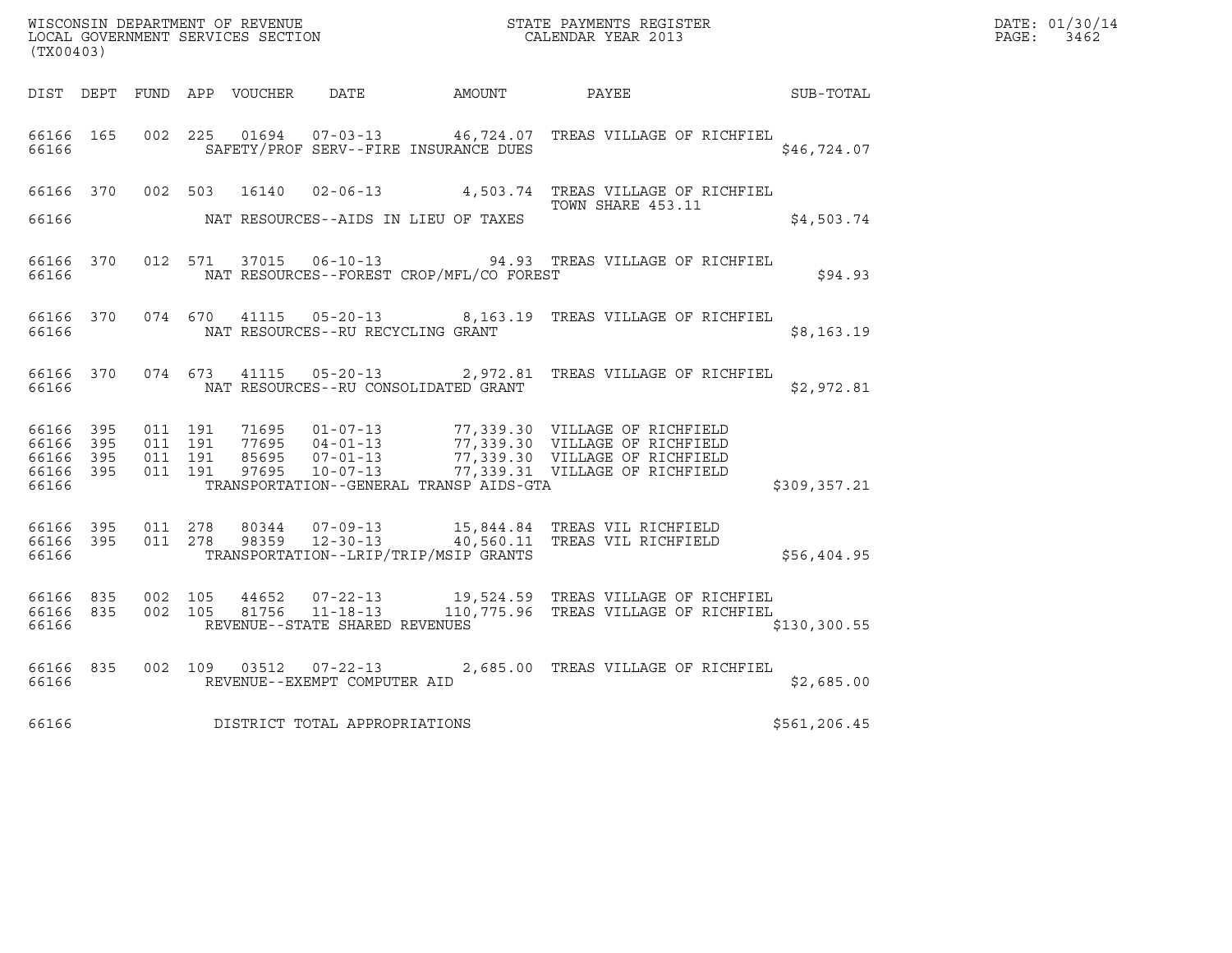| DATE: | 01/30/14 |
|-------|----------|
| PAGE: | 3462     |

| (TX00403)              |                        |                   |         |                                                  |                                              | WISCONSIN DEPARTMENT OF REVENUE<br>LOCAL GOVERNMENT SERVICES SECTION<br>CALENDAR YEAR 2013                                                                                                                   |               | DATE: 01/30/14<br>PAGE: 3462 |
|------------------------|------------------------|-------------------|---------|--------------------------------------------------|----------------------------------------------|--------------------------------------------------------------------------------------------------------------------------------------------------------------------------------------------------------------|---------------|------------------------------|
|                        |                        |                   |         |                                                  | DIST DEPT FUND APP VOUCHER DATE AMOUNT PAYEE | <b>SUB-TOTAL</b>                                                                                                                                                                                             |               |                              |
| 66166 165<br>66166     |                        | 002 225           |         |                                                  | SAFETY/PROF SERV--FIRE INSURANCE DUES        | 01694  07-03-13  46,724.07  TREAS VILLAGE OF RICHFIEL                                                                                                                                                        | \$46,724.07   |                              |
|                        |                        |                   |         |                                                  |                                              | 66166 370 002 503 16140 02-06-13 4,503.74 TREAS VILLAGE OF RICHFIEL<br>TOWN SHARE 453.11                                                                                                                     |               |                              |
| 66166                  |                        |                   |         |                                                  | NAT RESOURCES--AIDS IN LIEU OF TAXES         |                                                                                                                                                                                                              | \$4,503.74    |                              |
| 66166                  | 66166 370              |                   |         |                                                  | NAT RESOURCES--FOREST CROP/MFL/CO FOREST     | 012 571 37015 06-10-13 94.93 TREAS VILLAGE OF RICHFIEL                                                                                                                                                       | \$94.93       |                              |
| 66166                  | 66166 370              |                   |         | NAT RESOURCES--RU RECYCLING GRANT                |                                              | 074 670 41115 05-20-13 8,163.19 TREAS VILLAGE OF RICHFIEL                                                                                                                                                    | \$8,163.19    |                              |
| 66166 700              |                        |                   |         |                                                  | NAT RESOURCES--RU CONSOLIDATED GRANT         | 66166 370 074 673 41115 05-20-13 2,972.81 TREAS VILLAGE OF RICHFIEL                                                                                                                                          | \$2,972.81    |                              |
| 66166 395<br>66166 395 |                        | 011 191           | 011 191 |                                                  |                                              | 71695  01-07-13  77,339.30  VILLAGE OF RICHFIELD<br>77695  04-01-13  77,339.30  VILLAGE OF RICHFIELD<br>85695  07-01-13  77,339.30  VILLAGE OF RICHFIELD<br>97695  10-07-13  77,339.31  VILLAGE OF RICHFIELD |               |                              |
| 66166                  | 66166 395<br>66166 395 | 011 191           | 011 191 |                                                  | TRANSPORTATION--GENERAL TRANSP AIDS-GTA      |                                                                                                                                                                                                              | \$309,357.21  |                              |
| 66166                  | 66166 395              | 66166 395 011 278 | 011 278 | 80344 07-09-13<br>98359 12-30-13                 | TRANSPORTATION--LRIP/TRIP/MSIP GRANTS        | 15,844.84 TREAS VIL RICHFIELD<br>40,560.11 TREAS VIL RICHFIELD                                                                                                                                               | \$56,404.95   |                              |
| 66166                  | 66166 835<br>66166 835 | 002 105           | 002 105 | 81756 11-18-13<br>REVENUE--STATE SHARED REVENUES |                                              | 44652 07-22-13 19,524.59 TREAS VILLAGE OF RICHFIEL<br>110,775.96 TREAS VILLAGE OF RICHFIEL                                                                                                                   | \$130, 300.55 |                              |
| 66166                  | 66166 835              |                   |         | REVENUE--EXEMPT COMPUTER AID                     |                                              | 002 109 03512 07-22-13 2,685.00 TREAS VILLAGE OF RICHFIEL                                                                                                                                                    | \$2,685.00    |                              |
| 66166                  |                        |                   |         | DISTRICT TOTAL APPROPRIATIONS                    |                                              |                                                                                                                                                                                                              | \$561, 206.45 |                              |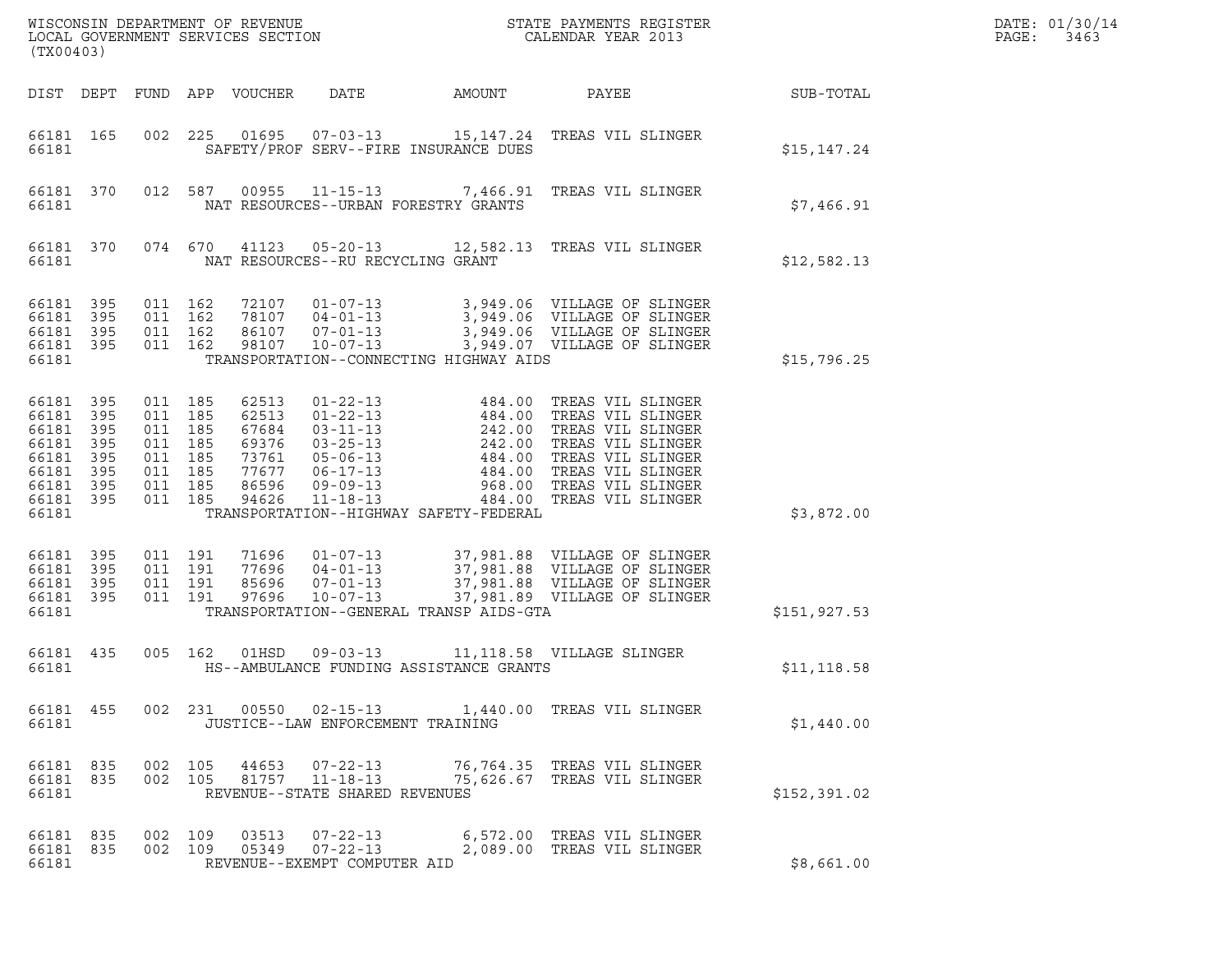| (TX00403)                                                                                         |                   |                                                                                      |                               |                            |                                                                    | ${\tt WISCOONSIM\ DEPARTMENT\ OF\ REVENUE}\ {\tt LOCAL\ EONDR}\ {\tt SOVERNMENT\ SERVICES\ SECTION}\ {\tt COCAL\ ENDAR\ YEAR\ 2013}$ |                                                                                                                                                                                                                                                                      | DATE: 01/30/14<br>$\mathtt{PAGE}$ :<br>3463 |  |
|---------------------------------------------------------------------------------------------------|-------------------|--------------------------------------------------------------------------------------|-------------------------------|----------------------------|--------------------------------------------------------------------|--------------------------------------------------------------------------------------------------------------------------------------|----------------------------------------------------------------------------------------------------------------------------------------------------------------------------------------------------------------------------------------------------------------------|---------------------------------------------|--|
|                                                                                                   |                   |                                                                                      |                               | DIST DEPT FUND APP VOUCHER | DATE                                                               | AMOUNT                                                                                                                               | PAYEE                                                                                                                                                                                                                                                                | <b>SUB-TOTAL</b>                            |  |
| 66181 165<br>66181                                                                                |                   |                                                                                      | 002 225                       |                            |                                                                    | SAFETY/PROF SERV--FIRE INSURANCE DUES                                                                                                | 01695  07-03-13  15,147.24  TREAS VIL SLINGER                                                                                                                                                                                                                        | \$15, 147.24                                |  |
| 66181                                                                                             | 66181 370         |                                                                                      |                               |                            |                                                                    | NAT RESOURCES--URBAN FORESTRY GRANTS                                                                                                 | 012 587 00955 11-15-13 7,466.91 TREAS VIL SLINGER                                                                                                                                                                                                                    | \$7,466.91                                  |  |
| 66181                                                                                             | 66181 370         |                                                                                      |                               |                            | NAT RESOURCES--RU RECYCLING GRANT                                  |                                                                                                                                      | 074 670 41123 05-20-13 12,582.13 TREAS VIL SLINGER                                                                                                                                                                                                                   | \$12,582.13                                 |  |
| 66181 395<br>66181<br>66181 395<br>66181 395<br>66181                                             | 395               | 011 162                                                                              | 011 162<br>011 162<br>011 162 | 98107                      |                                                                    | TRANSPORTATION--CONNECTING HIGHWAY AIDS                                                                                              | 72107  01-07-13  3,949.06  VILLAGE OF SLINGER<br>78107 04-01-13 3,949.06 VILLAGE OF SLINGER<br>86107 07-01-13 3,949.06 VILLAGE OF SLINGER<br>98107 10-07-13 3,949.07 VILLAGE OF SLINGER<br>3,949.07 VILLAGE OF SLINGER                                               | \$15,796.25                                 |  |
| 66181 395<br>66181 395<br>66181<br>66181<br>66181<br>66181 395<br>66181 395<br>66181 395<br>66181 | 395<br>395<br>395 | 011 185<br>011 185<br>011 185<br>011 185<br>011 185<br>011 185<br>011 185<br>011 185 |                               | 94626                      | 11-18-13                                                           | TRANSPORTATION--HIGHWAY SAFETY-FEDERAL                                                                                               | 62513 01-22-13 484.00 TREAS VIL SLINGER<br>62513 01-22-13 484.00 TREAS VIL SLINGER<br>67684 03-11-13 242.00 TREAS VIL SLINGER<br>69376 03-25-13 242.00 TREAS VIL SLINGER<br>73761 05-06-13 484.00 TREAS VIL SLINGER<br>77677 06-17-13 48<br>484.00 TREAS VIL SLINGER | \$3,872.00                                  |  |
| 66181 395<br>66181<br>66181 395<br>66181 395<br>66181                                             | 395               | 011 191<br>011 191                                                                   | 011 191<br>011 191            |                            |                                                                    | TRANSPORTATION--GENERAL TRANSP AIDS-GTA                                                                                              | 71696  01-07-13  37,981.88  VILLAGE OF SLINGER<br>77696 04-01-13 37,981.88 VILLAGE OF SLINGER<br>85696 07-01-13 37,981.88 VILLAGE OF SLINGER<br>97696 10-07-13 37,981.89 VILLAGE OF SLINGER                                                                          | \$151, 927.53                               |  |
| 66181 435<br>66181                                                                                |                   |                                                                                      | 005 162                       |                            |                                                                    | HS--AMBULANCE FUNDING ASSISTANCE GRANTS                                                                                              | 01HSD  09-03-13   11,118.58   VILLAGE SLINGER                                                                                                                                                                                                                        | \$11, 118.58                                |  |
| 66181 455<br>66181                                                                                |                   |                                                                                      | 002 231                       |                            | 00550 02-15-13<br>JUSTICE--LAW ENFORCEMENT TRAINING                |                                                                                                                                      | 1,440.00 TREAS VIL SLINGER                                                                                                                                                                                                                                           | \$1,440.00                                  |  |
| 66181 835<br>66181 835<br>66181                                                                   |                   | 002 105                                                                              | 002 105                       | 44653<br>81757             | $07 - 22 - 13$<br>$11 - 18 - 13$<br>REVENUE--STATE SHARED REVENUES |                                                                                                                                      | 76,764.35 TREAS VIL SLINGER<br>75,626.67 TREAS VIL SLINGER                                                                                                                                                                                                           | \$152,391.02                                |  |
| 66181 835<br>66181 835<br>66181                                                                   |                   | 002 109<br>002 109                                                                   |                               | 03513<br>05349             | $07 - 22 - 13$<br>$07 - 22 - 13$<br>REVENUE--EXEMPT COMPUTER AID   |                                                                                                                                      | 6,572.00 TREAS VIL SLINGER<br>2,089.00 TREAS VIL SLINGER                                                                                                                                                                                                             | \$8,661.00                                  |  |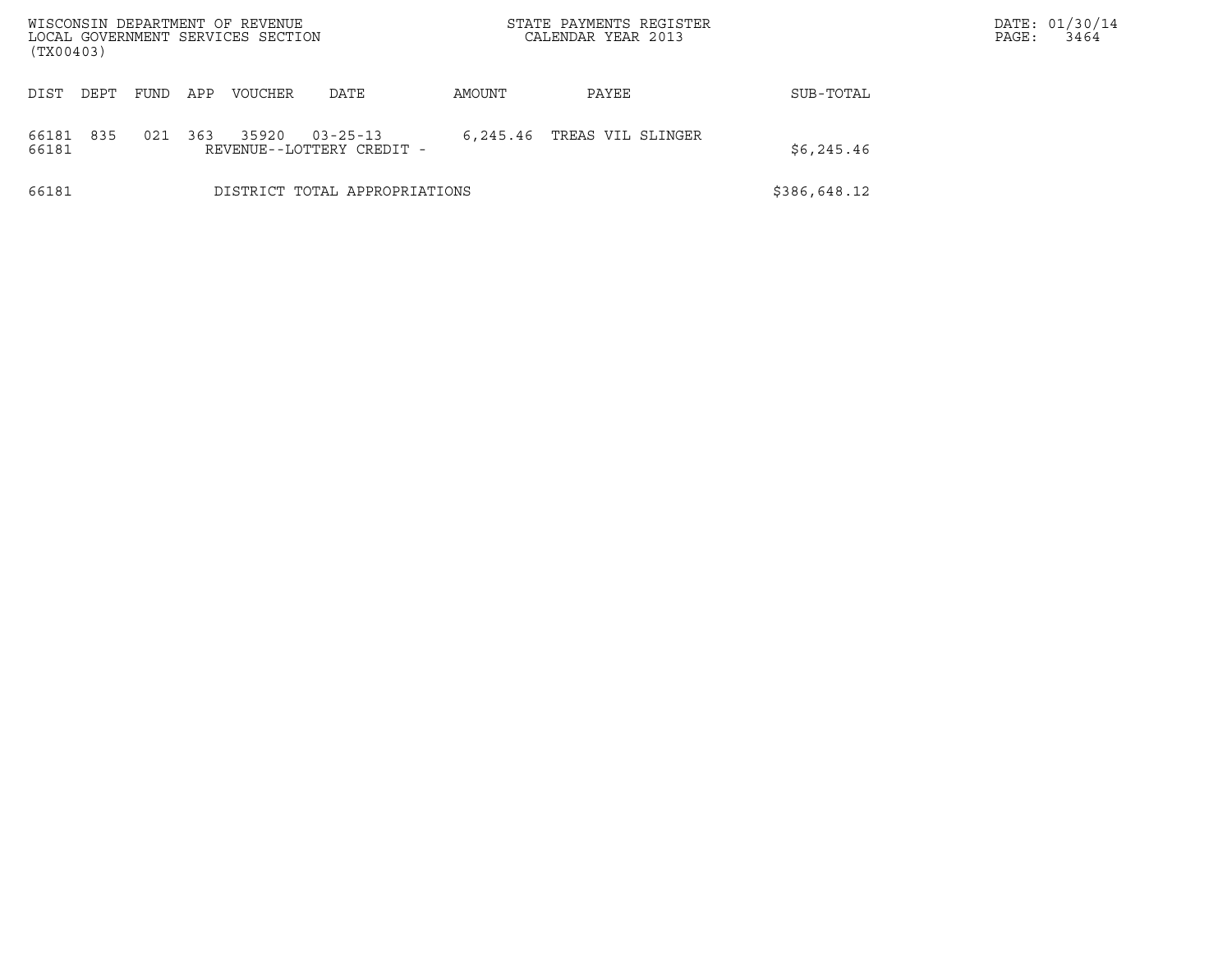| WISCONSIN DEPARTMENT OF REVENUE                |      |     |                |                                             |          | STATE PAYMENTS REGISTER |              | DATE: 01/30/14 |
|------------------------------------------------|------|-----|----------------|---------------------------------------------|----------|-------------------------|--------------|----------------|
| LOCAL GOVERNMENT SERVICES SECTION<br>(TX00403) |      |     |                |                                             |          | CALENDAR YEAR 2013      |              | 3464<br>PAGE:  |
| DIST<br>DEPT                                   | FUND | APP | <b>VOUCHER</b> | <b>DATE</b>                                 | AMOUNT   | PAYEE                   | SUB-TOTAL    |                |
| 835<br>66181<br>66181                          | 021  | 363 | 35920          | $03 - 25 - 13$<br>REVENUE--LOTTERY CREDIT - | 6,245.46 | TREAS VIL SLINGER       | \$6,245.46   |                |
| 66181                                          |      |     |                | DISTRICT TOTAL APPROPRIATIONS               |          |                         | \$386,648.12 |                |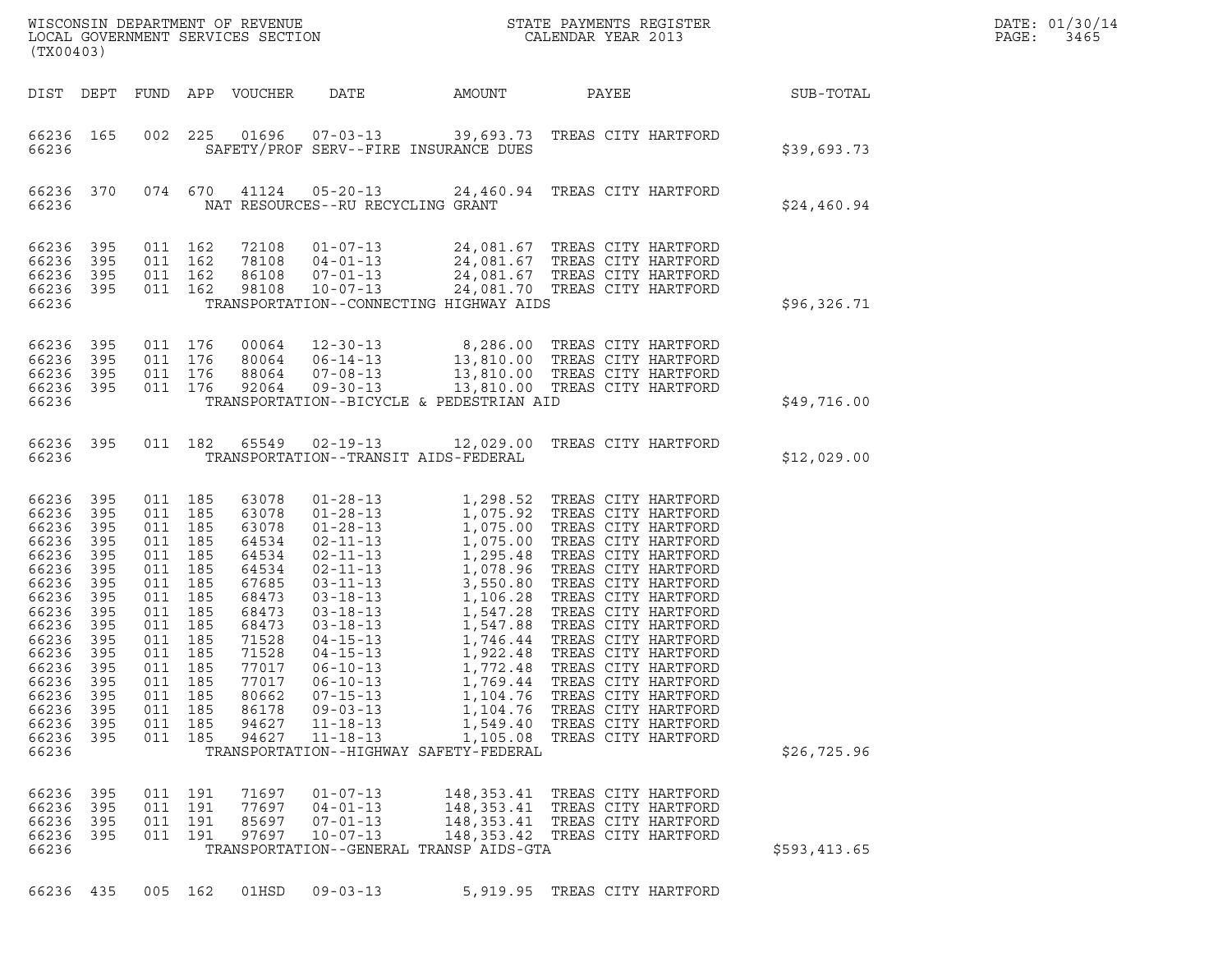| (TX00403)                                                                                                                                                                               |                                                                                                |                                                                         |                                                                                                                                           |                                                                                                                                                                |                                                                                                                            |                                                                            |                                                                                                                                                                                                                                                                                                                                                                                                                                               |                  | DATE: 01/30/14<br>PAGE:<br>3465 |
|-----------------------------------------------------------------------------------------------------------------------------------------------------------------------------------------|------------------------------------------------------------------------------------------------|-------------------------------------------------------------------------|-------------------------------------------------------------------------------------------------------------------------------------------|----------------------------------------------------------------------------------------------------------------------------------------------------------------|----------------------------------------------------------------------------------------------------------------------------|----------------------------------------------------------------------------|-----------------------------------------------------------------------------------------------------------------------------------------------------------------------------------------------------------------------------------------------------------------------------------------------------------------------------------------------------------------------------------------------------------------------------------------------|------------------|---------------------------------|
| DIST DEPT                                                                                                                                                                               |                                                                                                |                                                                         |                                                                                                                                           | FUND APP VOUCHER                                                                                                                                               | DATE                                                                                                                       | AMOUNT                                                                     | PAYEE                                                                                                                                                                                                                                                                                                                                                                                                                                         | <b>SUB-TOTAL</b> |                                 |
| 66236 165<br>66236                                                                                                                                                                      |                                                                                                | 002                                                                     |                                                                                                                                           |                                                                                                                                                                |                                                                                                                            | SAFETY/PROF SERV--FIRE INSURANCE DUES                                      | 225  01696  07-03-13  39,693.73  TREAS CITY HARTFORD                                                                                                                                                                                                                                                                                                                                                                                          | \$39,693.73      |                                 |
| 66236 370<br>66236                                                                                                                                                                      |                                                                                                |                                                                         | 074 670                                                                                                                                   |                                                                                                                                                                | NAT RESOURCES--RU RECYCLING GRANT                                                                                          |                                                                            | 41124  05-20-13  24,460.94  TREAS CITY HARTFORD                                                                                                                                                                                                                                                                                                                                                                                               | \$24,460.94      |                                 |
| 66236<br>66236<br>66236<br>66236 395<br>66236                                                                                                                                           | 395<br>395<br>395                                                                              |                                                                         | 011 162<br>011 162<br>011 162<br>011 162                                                                                                  | 72108<br>78108<br>86108<br>98108                                                                                                                               | $04 - 01 - 13$                                                                                                             | TRANSPORTATION--CONNECTING HIGHWAY AIDS                                    | 01-07-13 24,081.67 TREAS CITY HARTFORD<br>04-01-13 24,081.67 TREAS CITY HARTFORD<br>07-01-13 24,081.67 TREAS CITY HARTFORD<br>10-07-13 24,081.70 TREAS CITY HARTFORD                                                                                                                                                                                                                                                                          | \$96,326.71      |                                 |
| 66236<br>66236 395<br>66236<br>66236 395<br>66236                                                                                                                                       | 395<br>395                                                                                     |                                                                         | 011 176<br>011 176<br>011 176<br>011 176                                                                                                  |                                                                                                                                                                |                                                                                                                            | TRANSPORTATION--BICYCLE & PEDESTRIAN AID                                   | 00064   12-30-13   8,286.00 TREAS CITY HARTFORD<br>80064   06-14-13   13,810.00 TREAS CITY HARTFORD<br>88064   07-08-13   13,810.00 TREAS CITY HARTFORD<br>92064   09-30-13   13,810.00 TREAS CITY HARTFORD                                                                                                                                                                                                                                   | \$49,716.00      |                                 |
| 66236 395<br>66236                                                                                                                                                                      |                                                                                                |                                                                         |                                                                                                                                           | 011 182 65549                                                                                                                                                  |                                                                                                                            | TRANSPORTATION--TRANSIT AIDS-FEDERAL                                       | 02-19-13 12,029.00 TREAS CITY HARTFORD                                                                                                                                                                                                                                                                                                                                                                                                        | \$12,029.00      |                                 |
| 66236 395<br>66236<br>66236<br>66236<br>66236<br>66236<br>66236<br>66236<br>66236<br>66236<br>66236<br>66236<br>66236 395<br>66236<br>66236<br>66236<br>66236 395<br>66236 395<br>66236 | 395<br>395<br>395<br>395<br>395<br>395<br>395<br>395<br>395<br>395<br>395<br>395<br>395<br>395 | 011 185<br>011 185<br>011<br>011<br>011 185<br>011<br>011<br>011<br>011 | 011 185<br>011 185<br>011 185<br>011 185<br>011 185<br>185<br>011 185<br>011 185<br>011 185<br>185<br>185<br>185<br>185<br>185<br>011 185 | 63078<br>63078<br>63078<br>64534<br>64534<br>64534<br>67685<br>68473<br>68473<br>68473<br>71528<br>71528<br>77017<br>77017<br>80662<br>86178<br>94627<br>94627 | $01 - 28 - 13$<br>$06 - 10 - 13$<br>$06 - 10 - 13$<br>$07 - 15 - 13$<br>$09 - 03 - 13$<br>$11 - 18 - 13$<br>$11 - 18 - 13$ | 1,769.44<br>1,104.76<br>1,105.08<br>TRANSPORTATION--HIGHWAY SAFETY-FEDERAL | 1,298.52 TREAS CITY HARTFORD<br>01-28-13 1, 298.52 TREAS CITY HARTFORD<br>01-28-13 1, 075.92 TREAS CITY HARTFORD<br>01-28-13 1, 075.00 TREAS CITY HARTFORD<br>02-11-13 1, 075.00 TREAS CITY HARTFORD<br>02-11-13 1, 295.48 TREAS CITY HARTFORD<br>02-11-13 1, 078.96 TRE<br>1,772.48 TREAS CITY HARTFORD<br>TREAS CITY HARTFORD<br>TREAS CITY HARTFORD<br>1,104.76 TREAS CITY HARTFORD<br>1,549.40 TREAS CITY HARTFORD<br>TREAS CITY HARTFORD | \$26,725.96      |                                 |
| 66236<br>66236 395<br>66236<br>66236 395<br>66236                                                                                                                                       | 395<br>395                                                                                     | 011<br>011<br>011                                                       | 191<br>191<br>191<br>011 191                                                                                                              | 71697<br>77697<br>85697<br>97697                                                                                                                               | $01 - 07 - 13$<br>$04 - 01 - 13$<br>$07 - 01 - 13$<br>$10 - 07 - 13$                                                       | TRANSPORTATION--GENERAL TRANSP AIDS-GTA                                    | 148,353.41 TREAS CITY HARTFORD<br>148,353.41 TREAS CITY HARTFORD<br>148,353.41 TREAS CITY HARTFORD<br>148,353.42 TREAS CITY HARTFORD                                                                                                                                                                                                                                                                                                          | \$593,413.65     |                                 |
| 66236 435                                                                                                                                                                               |                                                                                                |                                                                         | 005 162                                                                                                                                   | 01HSD                                                                                                                                                          | $09 - 03 - 13$                                                                                                             |                                                                            | 5,919.95 TREAS CITY HARTFORD                                                                                                                                                                                                                                                                                                                                                                                                                  |                  |                                 |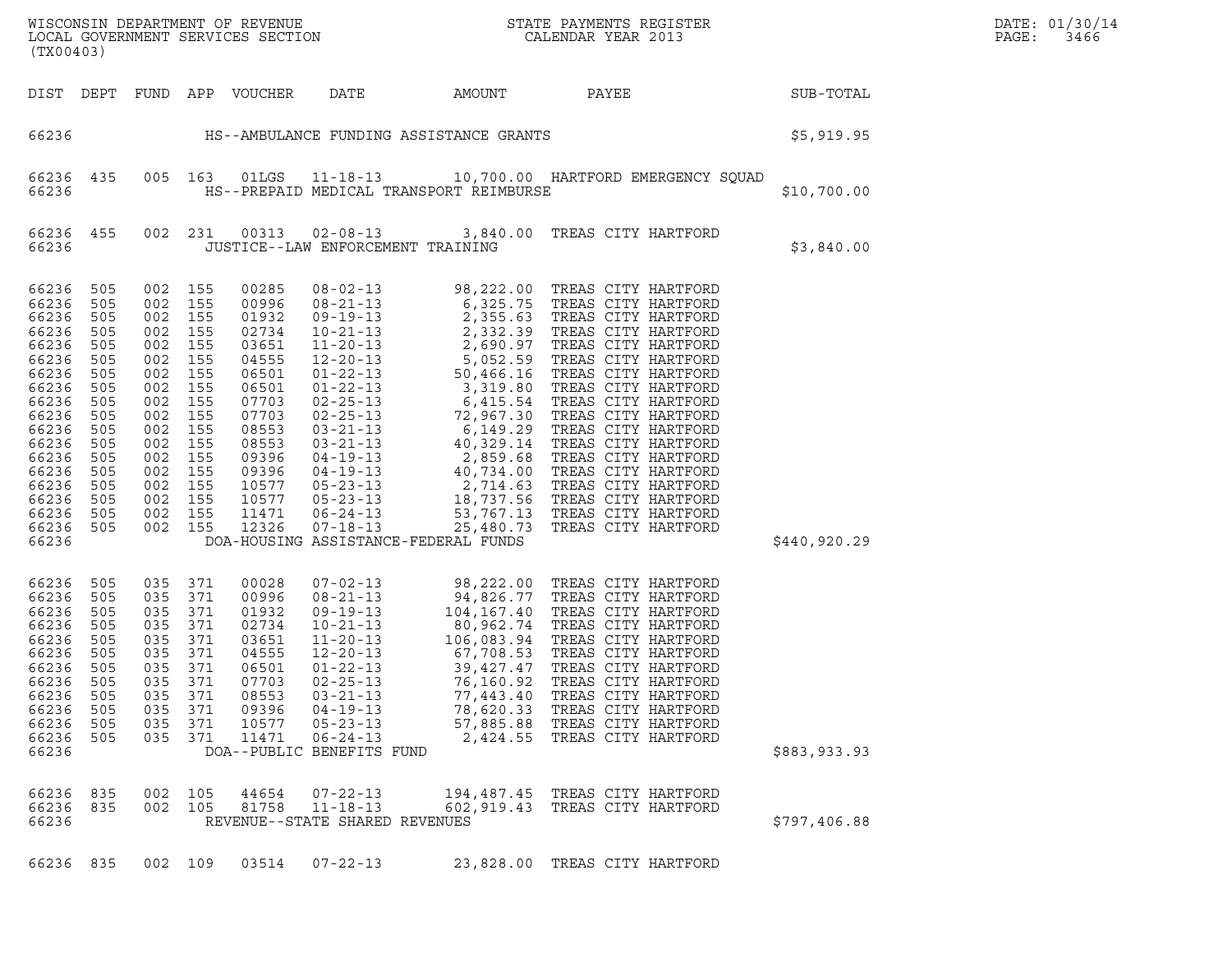| (TX00403)                                                                                                                                                                                                                       |                                               |                                                                                                                                  |                                                                        |                                                                                                                                                                |                                                                                                                                       |                                                                           |                                                                                                                                                                                                                                                                                                                                                                                                |              | DATE: 01/30/14<br>PAGE:<br>3466 |
|---------------------------------------------------------------------------------------------------------------------------------------------------------------------------------------------------------------------------------|-----------------------------------------------|----------------------------------------------------------------------------------------------------------------------------------|------------------------------------------------------------------------|----------------------------------------------------------------------------------------------------------------------------------------------------------------|---------------------------------------------------------------------------------------------------------------------------------------|---------------------------------------------------------------------------|------------------------------------------------------------------------------------------------------------------------------------------------------------------------------------------------------------------------------------------------------------------------------------------------------------------------------------------------------------------------------------------------|--------------|---------------------------------|
|                                                                                                                                                                                                                                 |                                               |                                                                                                                                  |                                                                        | DIST DEPT FUND APP VOUCHER                                                                                                                                     | DATE AMOUNT                                                                                                                           |                                                                           | SUB-TOTAL<br>PAYEE                                                                                                                                                                                                                                                                                                                                                                             |              |                                 |
| 66236                                                                                                                                                                                                                           |                                               |                                                                                                                                  |                                                                        |                                                                                                                                                                |                                                                                                                                       |                                                                           | HS--AMBULANCE FUNDING ASSISTANCE GRANTS (\$5,919.95)                                                                                                                                                                                                                                                                                                                                           |              |                                 |
| 66236 435<br>66236                                                                                                                                                                                                              |                                               |                                                                                                                                  |                                                                        | 005 163 01LGS                                                                                                                                                  | HS--PREPAID MEDICAL TRANSPORT REIMBURSE                                                                                               |                                                                           | 11-18-13 10,700.00 HARTFORD EMERGENCY SQUAD                                                                                                                                                                                                                                                                                                                                                    | \$10,700.00  |                                 |
| 66236 455<br>66236                                                                                                                                                                                                              |                                               |                                                                                                                                  | 002 231                                                                |                                                                                                                                                                | JUSTICE--LAW ENFORCEMENT TRAINING                                                                                                     |                                                                           | 00313  02-08-13  3,840.00  TREAS CITY HARTFORD                                                                                                                                                                                                                                                                                                                                                 | \$3,840.00   |                                 |
| 66236<br>66236 505<br>66236 505<br>66236 505<br>66236<br>66236 505<br>66236<br>66236 505<br>66236 505<br>66236 505<br>66236<br>66236 505<br>66236 505<br>66236 505<br>66236 505<br>66236 505<br>66236 505<br>66236 505<br>66236 | 505<br>505<br>505<br>505                      | 002 155<br>002 155<br>002 155<br>002 155<br>002 155<br>002 155<br>002 155<br>002 155<br>002 155<br>002 155<br>002 155<br>002 155 | 002 155<br>002 155<br>002 155<br>002 155<br>002 155<br>002 155         | 00285<br>00996<br>01932<br>02734<br>03651<br>04555<br>06501<br>06501<br>07703<br>07703<br>08553<br>08553<br>09396<br>09396<br>10577<br>10577<br>11471<br>12326 | DOA-HOUSING ASSISTANCE-FEDERAL FUNDS                                                                                                  |                                                                           |                                                                                                                                                                                                                                                                                                                                                                                                | \$440,920.29 |                                 |
| 66236<br>66236<br>66236 505<br>66236<br>66236<br>66236<br>66236<br>66236 505<br>66236 505<br>66236<br>66236 505<br>66236 505<br>66236                                                                                           | 505<br>505<br>505<br>505<br>505<br>505<br>505 | 035 371<br>035<br>035<br>035<br>035<br>035<br>035 371<br>035<br>035<br>035<br>035                                                | 371<br>371<br>371<br>371<br>371<br>371<br>371<br>371<br>371<br>035 371 | 00028<br>00996<br>01932<br>02734<br>03651<br>04555<br>06501<br>07703<br>08553<br>09396<br>10577<br>11471                                                       | $01 - 22 - 13$<br>$02 - 25 - 13$<br>$03 - 21 - 13$<br>$04 - 19 - 13$<br>$05 - 23 - 13$<br>$06 - 24 - 13$<br>DOA--PUBLIC BENEFITS FUND | 39,427.47<br>76,160.92<br>77,443.40<br>78,620.33<br>57,885.88<br>2,424.55 | 07-02-13<br>08,222.00 TREAS CITY HARTFORD<br>09-19-13<br>104,167.40 TREAS CITY HARTFORD<br>10-21-13<br>80,962.74 TREAS CITY HARTFORD<br>11-20-13<br>106,083.94 TREAS CITY HARTFORD<br>12-20-13<br>39.427.708.53 TREAS CITY HARTFORD<br>12-20-13<br>3<br>TREAS CITY HARTFORD<br>TREAS CITY HARTFORD<br>TREAS CITY HARTFORD<br>TREAS CITY HARTFORD<br>TREAS CITY HARTFORD<br>TREAS CITY HARTFORD | \$883,933.93 |                                 |
| 66236 835<br>66236 835<br>66236                                                                                                                                                                                                 |                                               | 002                                                                                                                              | 105<br>002 105                                                         | 44654<br>81758                                                                                                                                                 | $07 - 22 - 13$<br>$11 - 18 - 13$<br>REVENUE--STATE SHARED REVENUES                                                                    | 194,487.45                                                                | TREAS CITY HARTFORD<br>602,919.43 TREAS CITY HARTFORD                                                                                                                                                                                                                                                                                                                                          | \$797,406.88 |                                 |
| 66236 835                                                                                                                                                                                                                       |                                               |                                                                                                                                  | 002 109                                                                | 03514                                                                                                                                                          | $07 - 22 - 13$                                                                                                                        |                                                                           | 23,828.00 TREAS CITY HARTFORD                                                                                                                                                                                                                                                                                                                                                                  |              |                                 |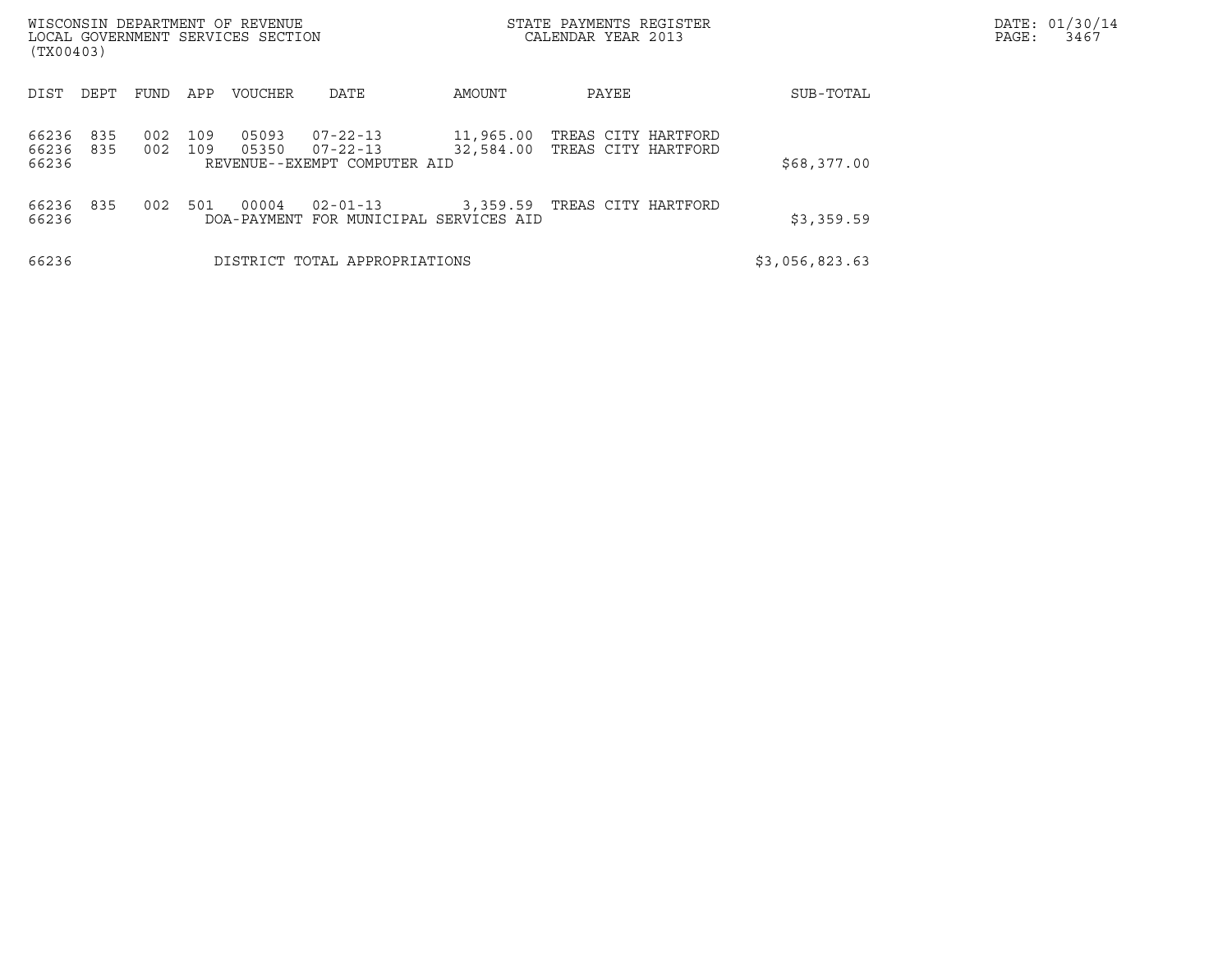| WISCONSIN DEPARTMENT OF REVENUE<br>LOCAL GOVERNMENT SERVICES SECTION<br>(TX00403) |                          |                |                                                                  |                        | STATE PAYMENTS REGISTER<br>CALENDAR YEAR 2013 |                | DATE: 01/30/14<br>PAGE:<br>3467 |
|-----------------------------------------------------------------------------------|--------------------------|----------------|------------------------------------------------------------------|------------------------|-----------------------------------------------|----------------|---------------------------------|
| DEPT<br>DIST                                                                      | FUND<br>APP              | VOUCHER        | DATE                                                             | AMOUNT                 | PAYEE                                         | SUB-TOTAL      |                                 |
| 835<br>66236<br>66236<br>835<br>66236                                             | 002<br>109<br>002<br>109 | 05093<br>05350 | $07 - 22 - 13$<br>$07 - 22 - 13$<br>REVENUE--EXEMPT COMPUTER AID | 11,965.00<br>32,584.00 | TREAS CITY HARTFORD<br>TREAS CITY HARTFORD    | \$68,377.00    |                                 |
| 835<br>66236<br>66236                                                             | 002<br>501               | 00004          | $02 - 01 - 13$<br>DOA-PAYMENT FOR MUNICIPAL SERVICES AID         | 3,359.59               | TREAS CITY HARTFORD                           | \$3,359.59     |                                 |
| 66236                                                                             |                          |                | DISTRICT TOTAL APPROPRIATIONS                                    |                        |                                               | \$3,056,823.63 |                                 |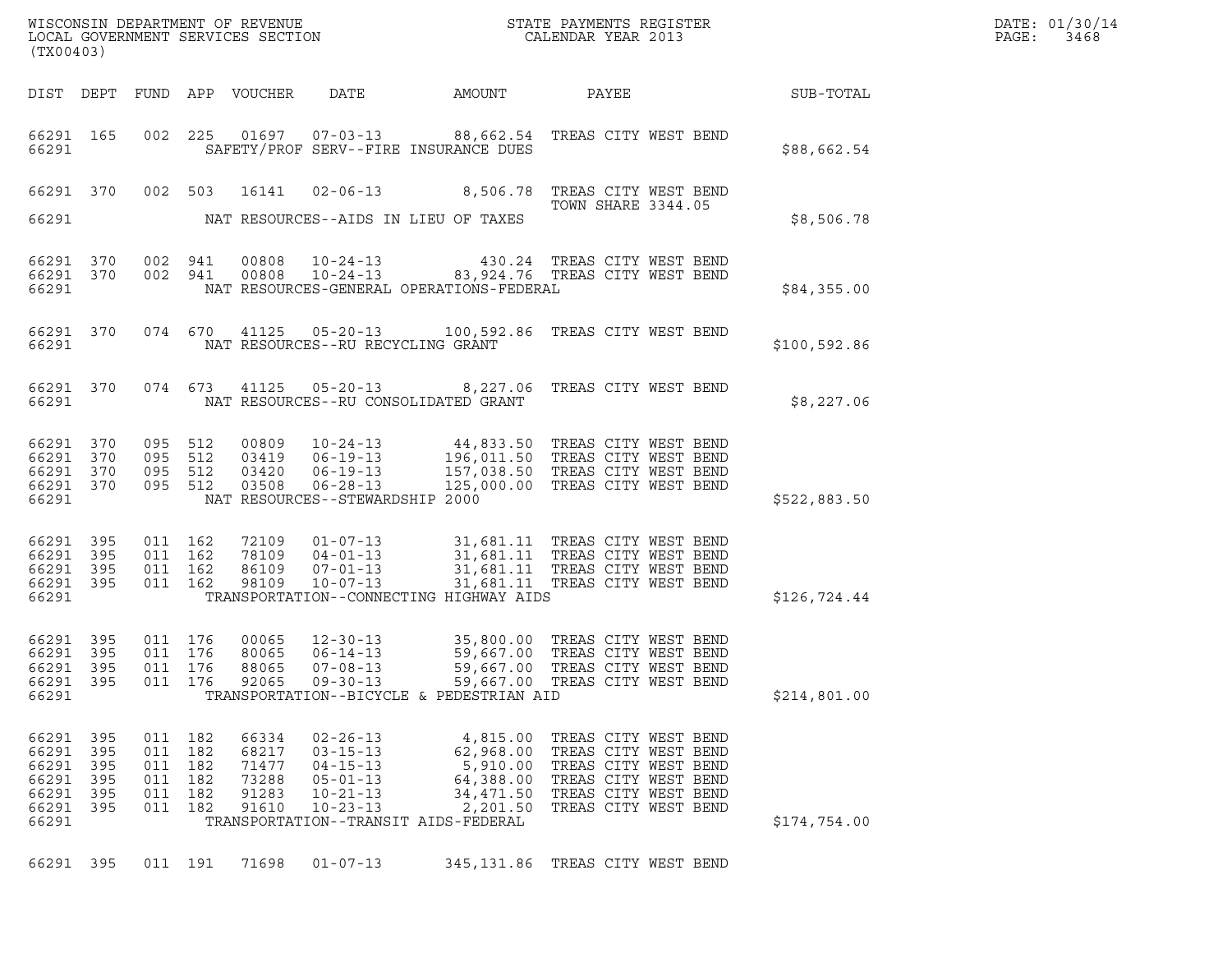| (TX00403)                           |                                        |                    |                    |                            |                                  |                                          |                                                                                                                                                                                                              |                  | DATE: 01/30/14<br>$\mathtt{PAGE}$ :<br>3468 |
|-------------------------------------|----------------------------------------|--------------------|--------------------|----------------------------|----------------------------------|------------------------------------------|--------------------------------------------------------------------------------------------------------------------------------------------------------------------------------------------------------------|------------------|---------------------------------------------|
|                                     |                                        |                    |                    | DIST DEPT FUND APP VOUCHER | DATE                             | AMOUNT                                   | PAYEE                                                                                                                                                                                                        | <b>SUB-TOTAL</b> |                                             |
| 66291 165<br>66291                  |                                        |                    |                    |                            |                                  | SAFETY/PROF SERV--FIRE INSURANCE DUES    | 002 225 01697 07-03-13 88,662.54 TREAS CITY WEST BEND                                                                                                                                                        | \$88,662.54      |                                             |
|                                     |                                        |                    |                    |                            |                                  |                                          | 66291 370 002 503 16141 02-06-13 8,506.78 TREAS CITY WEST BEND<br>TOWN SHARE 3344.05                                                                                                                         |                  |                                             |
| 66291                               |                                        |                    |                    |                            |                                  | NAT RESOURCES--AIDS IN LIEU OF TAXES     |                                                                                                                                                                                                              | \$8,506.78       |                                             |
| 66291                               | 66291 370 002 941<br>66291 370 002 941 |                    |                    | 00808<br>00808             |                                  | NAT RESOURCES-GENERAL OPERATIONS-FEDERAL | 10-24-13 430.24 TREAS CITY WEST BEND<br>10-24-13 83,924.76 TREAS CITY WEST BEND                                                                                                                              | \$84,355.00      |                                             |
| 66291                               |                                        |                    |                    |                            |                                  | NAT RESOURCES--RU RECYCLING GRANT        | 66291 370 074 670 41125 05-20-13 100,592.86 TREAS CITY WEST BEND                                                                                                                                             | \$100,592.86     |                                             |
| 66291                               |                                        |                    |                    |                            |                                  | NAT RESOURCES--RU CONSOLIDATED GRANT     | 66291 370 074 673 41125 05-20-13 8,227.06 TREAS CITY WEST BEND                                                                                                                                               | \$8,227.06       |                                             |
| 66291 370                           | 66291 370 095 512                      | 095 512            |                    | 00809                      |                                  |                                          |                                                                                                                                                                                                              |                  |                                             |
| 66291 370<br>66291 370<br>66291     |                                        | 095 512            | 095 512            |                            | NAT RESOURCES--STEWARDSHIP 2000  |                                          | 00809  10-24-13  44,833.50 TREAS CITY WEST BEND<br>03419  06-19-13  196,011.50 TREAS CITY WEST BEND<br>03420  06-19-13  157,038.50 TREAS CITY WEST BEND<br>03508  06-28-13  125,000.00 TREAS CITY WEST BEND  | \$522,883.50     |                                             |
|                                     |                                        |                    |                    |                            |                                  |                                          |                                                                                                                                                                                                              |                  |                                             |
| 66291 395<br>66291 395<br>66291 395 |                                        | 011 162<br>011 162 | 011 162            |                            |                                  |                                          | 72109  01-07-13  31,681.11  TREAS CITY WEST BEND<br>78109  04-01-13  31,681.11  TREAS CITY WEST BEND<br>86109  07-01-13  31,681.11  TREAS CITY WEST BEND<br>98109  10-07-13  31,681.11  TREAS CITY WEST BEND |                  |                                             |
| 66291 395<br>66291                  |                                        |                    | 011 162            |                            |                                  | TRANSPORTATION--CONNECTING HIGHWAY AIDS  |                                                                                                                                                                                                              | \$126,724.44     |                                             |
| 66291 395                           |                                        |                    | 011 176            | 00065                      |                                  |                                          | 12-30-13 35,800.00 TREAS CITY WEST BEND                                                                                                                                                                      |                  |                                             |
| 66291 395<br>66291 395<br>66291 395 |                                        | 011 176<br>011 176 | 011 176            | 80065<br>88065             | $07 - 08 - 13$<br>92065 09-30-13 |                                          | 06-14-13 59,667.00 TREAS CITY WEST BEND<br>59,667.00 TREAS CITY WEST BEND<br>59,667.00 TREAS CITY WEST BEND                                                                                                  |                  |                                             |
| 66291                               |                                        |                    |                    |                            |                                  | TRANSPORTATION--BICYCLE & PEDESTRIAN AID |                                                                                                                                                                                                              | \$214,801.00     |                                             |
| 66291 395<br>66291 395              |                                        | 011 182            | 011 182            | 66334<br>68217             | $02 - 26 - 13$<br>$03 - 15 - 13$ |                                          | 4,815.00 TREAS CITY WEST BEND<br>62,968.00 TREAS CITY WEST BEND                                                                                                                                              |                  |                                             |
| 66291<br>66291                      | 395<br>395                             | 011 182            | 011 182            | 71477<br>73288             | $04 - 15 - 13$<br>$05 - 01 - 13$ |                                          | 5,910.00 TREAS CITY WEST BEND<br>64,388.00 TREAS CITY WEST BEND                                                                                                                                              |                  |                                             |
| 66291<br>66291 395                  | 395                                    |                    | 011 182<br>011 182 | 91283<br>91610             | $10 - 21 - 13$<br>$10 - 23 - 13$ | 2,201.50                                 | 34,471.50 TREAS CITY WEST BEND<br>TREAS CITY WEST BEND                                                                                                                                                       |                  |                                             |
| 66291                               |                                        |                    |                    |                            |                                  | TRANSPORTATION--TRANSIT AIDS-FEDERAL     |                                                                                                                                                                                                              | \$174,754.00     |                                             |
| 66291 395                           |                                        |                    | 011 191            | 71698                      | $01 - 07 - 13$                   |                                          | 345,131.86 TREAS CITY WEST BEND                                                                                                                                                                              |                  |                                             |